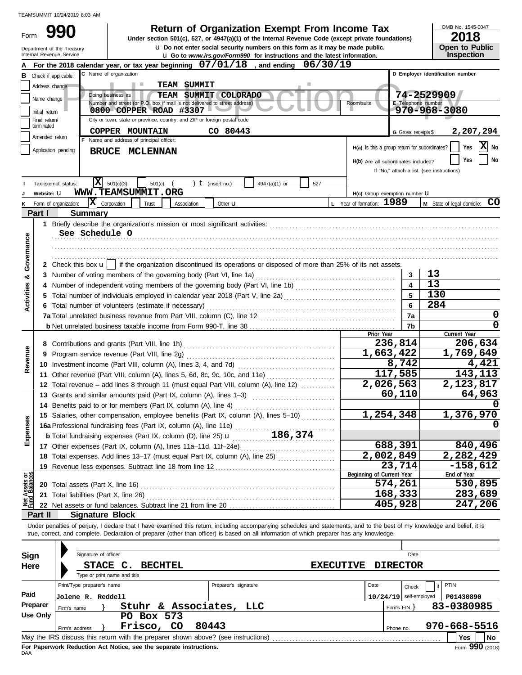|                         | TEAMSUMMIT 10/24/2019 8:03 AM              |                            |                                               |                                                                                                                                                                                                        |                      |                                                                                      |     |                  |                                     |                          |                                            |                               |
|-------------------------|--------------------------------------------|----------------------------|-----------------------------------------------|--------------------------------------------------------------------------------------------------------------------------------------------------------------------------------------------------------|----------------------|--------------------------------------------------------------------------------------|-----|------------------|-------------------------------------|--------------------------|--------------------------------------------|-------------------------------|
| Form                    |                                            |                            |                                               | Under section 501(c), 527, or 4947(a)(1) of the Internal Revenue Code (except private foundations)                                                                                                     |                      | <b>Return of Organization Exempt From Income Tax</b>                                 |     |                  |                                     |                          |                                            | OMB No. 1545-0047<br>2018     |
|                         | Department of the Treasury                 |                            |                                               |                                                                                                                                                                                                        |                      | <b>u</b> Do not enter social security numbers on this form as it may be made public. |     |                  |                                     |                          |                                            | <b>Open to Public</b>         |
|                         | Internal Revenue Service                   |                            |                                               |                                                                                                                                                                                                        |                      | u Go to www.irs.gov/Form990 for instructions and the latest information.             |     |                  |                                     |                          |                                            | Inspection                    |
|                         |                                            |                            | C Name of organization                        | A For the 2018 calendar year, or tax year beginning $07/01/18$ , and ending                                                                                                                            |                      |                                                                                      |     | 06/30/19         |                                     |                          | D Employer identification number           |                               |
| в                       | Check if applicable:                       |                            |                                               | <b>TEAM SUMMIT</b>                                                                                                                                                                                     |                      |                                                                                      |     |                  |                                     |                          |                                            |                               |
|                         | Address change                             |                            | Doing business as                             | <b>TEAM SUMMIT COLORADO</b>                                                                                                                                                                            |                      |                                                                                      |     |                  |                                     |                          | 74-2529909                                 |                               |
|                         | Name change                                |                            |                                               | Number and street (or P.O. box if mail is not delivered to street address)                                                                                                                             |                      |                                                                                      |     |                  | Room/suite                          |                          | E Telephone number                         |                               |
|                         | Initial return<br>Final return/            |                            |                                               | 0800 COPPER ROAD #3307<br>City or town, state or province, country, and ZIP or foreign postal code                                                                                                     |                      |                                                                                      |     |                  |                                     |                          | 970-968-3080                               |                               |
|                         | terminated                                 |                            | COPPER MOUNTAIN                               |                                                                                                                                                                                                        | CO 80443             |                                                                                      |     |                  |                                     |                          |                                            |                               |
| Amended return          | G Gross receipts \$                        | 2,207,294                  |                                               |                                                                                                                                                                                                        |                      |                                                                                      |     |                  |                                     |                          |                                            |                               |
|                         | Application pending                        |                            | H(a) Is this a group return for subordinates? | x <br>Yes<br>No                                                                                                                                                                                        |                      |                                                                                      |     |                  |                                     |                          |                                            |                               |
|                         |                                            |                            | BRUCE MCLENNAN                                |                                                                                                                                                                                                        |                      |                                                                                      |     |                  | H(b) Are all subordinates included? |                          |                                            | No<br>Yes                     |
|                         |                                            |                            |                                               |                                                                                                                                                                                                        |                      |                                                                                      |     |                  |                                     |                          | If "No," attach a list. (see instructions) |                               |
|                         | Tax-exempt status:                         | X                          | 501(c)(3)                                     | 501(c)                                                                                                                                                                                                 | $t$ (insert no.)     | 4947(a)(1) or                                                                        | 527 |                  |                                     |                          |                                            |                               |
|                         | Website: U                                 |                            |                                               | WWW.TEAMSUMMIT.ORG                                                                                                                                                                                     |                      |                                                                                      |     |                  | H(c) Group exemption number U       |                          |                                            |                               |
| κ                       | Form of organization:                      | x                          | Corporation                                   | Trust<br>Association                                                                                                                                                                                   | Other <b>u</b>       |                                                                                      |     |                  | L Year of formation: 1989           |                          |                                            | M State of legal domicile: CO |
|                         | Part I                                     | <b>Summary</b>             |                                               |                                                                                                                                                                                                        |                      |                                                                                      |     |                  |                                     |                          |                                            |                               |
|                         |                                            |                            |                                               |                                                                                                                                                                                                        |                      |                                                                                      |     |                  |                                     |                          |                                            |                               |
|                         |                                            | See Schedule O             |                                               |                                                                                                                                                                                                        |                      |                                                                                      |     |                  |                                     |                          |                                            |                               |
| Governance              |                                            |                            |                                               |                                                                                                                                                                                                        |                      |                                                                                      |     |                  |                                     |                          |                                            |                               |
|                         |                                            |                            |                                               |                                                                                                                                                                                                        |                      |                                                                                      |     |                  |                                     |                          |                                            |                               |
|                         |                                            |                            |                                               | 2 Check this box $\mathbf{u}$   if the organization discontinued its operations or disposed of more than 25% of its net assets.<br>3 Number of voting members of the governing body (Part VI, line 1a) |                      |                                                                                      |     |                  |                                     | 3                        | 13                                         |                               |
| ×                       |                                            |                            |                                               |                                                                                                                                                                                                        |                      |                                                                                      |     |                  |                                     | $\overline{\mathbf{4}}$  | 13                                         |                               |
| <b>Activities</b>       |                                            |                            |                                               |                                                                                                                                                                                                        | $\overline{5}$       | 130                                                                                  |     |                  |                                     |                          |                                            |                               |
|                         |                                            |                            |                                               | 6 Total number of volunteers (estimate if necessary)                                                                                                                                                   |                      |                                                                                      |     |                  |                                     | 6                        | 284                                        |                               |
|                         |                                            |                            |                                               |                                                                                                                                                                                                        |                      |                                                                                      |     |                  |                                     | 7a                       |                                            | 0                             |
|                         |                                            |                            |                                               |                                                                                                                                                                                                        |                      |                                                                                      |     |                  |                                     | 7b                       |                                            | 0                             |
|                         |                                            |                            |                                               |                                                                                                                                                                                                        |                      |                                                                                      |     |                  | Prior Year                          |                          |                                            | Current Year                  |
|                         |                                            |                            |                                               |                                                                                                                                                                                                        |                      |                                                                                      |     |                  |                                     | 236,814                  |                                            | 206,634                       |
| Revenue                 |                                            |                            |                                               | 9 Program service revenue (Part VIII, line 2g)                                                                                                                                                         |                      |                                                                                      |     |                  |                                     | $\overline{1,663,422}$   |                                            | 1,769,649                     |
|                         |                                            |                            |                                               | 10 Investment income (Part VIII, column (A), lines 3, 4, and 7d)                                                                                                                                       |                      |                                                                                      |     |                  |                                     | 8,742<br>117,585         |                                            | 4,421<br>143,113              |
|                         |                                            |                            |                                               | 11 Other revenue (Part VIII, column (A), lines 5, 6d, 8c, 9c, 10c, and 11e)<br>12 Total revenue - add lines 8 through 11 (must equal Part VIII, column (A), line 12)                                   |                      |                                                                                      |     |                  |                                     | 2,026,563                |                                            | 2,123,817                     |
|                         |                                            |                            |                                               | 13 Grants and similar amounts paid (Part IX, column (A), lines 1-3)                                                                                                                                    |                      |                                                                                      |     |                  |                                     | 60,110                   |                                            | 64,963                        |
|                         |                                            |                            |                                               | 14 Benefits paid to or for members (Part IX, column (A), line 4)                                                                                                                                       |                      |                                                                                      |     |                  |                                     |                          |                                            |                               |
|                         |                                            |                            |                                               | 15 Salaries, other compensation, employee benefits (Part IX, column (A), lines 5-10)                                                                                                                   |                      |                                                                                      |     |                  |                                     | 1,254,348                |                                            | 1,376,970                     |
| Expenses                |                                            |                            |                                               |                                                                                                                                                                                                        |                      |                                                                                      |     |                  |                                     |                          |                                            |                               |
|                         |                                            |                            |                                               |                                                                                                                                                                                                        |                      |                                                                                      |     |                  |                                     |                          |                                            |                               |
|                         |                                            |                            |                                               | 17 Other expenses (Part IX, column (A), lines 11a-11d, 11f-24e)                                                                                                                                        |                      |                                                                                      |     |                  |                                     | 688,391                  |                                            | 840,496                       |
|                         |                                            |                            |                                               |                                                                                                                                                                                                        |                      |                                                                                      |     |                  |                                     | 2,002,849                |                                            | 2,282,429                     |
|                         |                                            |                            |                                               | 19 Revenue less expenses. Subtract line 18 from line 12                                                                                                                                                |                      |                                                                                      |     |                  |                                     | 23,714                   |                                            | $-158,612$                    |
| Assets or<br>d Balances |                                            |                            |                                               |                                                                                                                                                                                                        |                      |                                                                                      |     |                  | Beginning of Current Year           | 574,261                  |                                            | End of Year<br>530,895        |
|                         |                                            |                            |                                               | 20 Total assets (Part X, line 16) <b>CONVERTED ASSETS</b> Total assets (Part X, line 16)                                                                                                               |                      |                                                                                      |     |                  |                                     | 168,333                  |                                            | 283,689                       |
| <b>Det</b><br>Fund      |                                            |                            |                                               |                                                                                                                                                                                                        |                      |                                                                                      |     |                  |                                     | 405,928                  |                                            | 247,206                       |
|                         | Part II                                    | <b>Signature Block</b>     |                                               |                                                                                                                                                                                                        |                      |                                                                                      |     |                  |                                     |                          |                                            |                               |
|                         |                                            |                            |                                               | Under penalties of perjury, I declare that I have examined this return, including accompanying schedules and statements, and to the best of my knowledge and belief, it is                             |                      |                                                                                      |     |                  |                                     |                          |                                            |                               |
|                         |                                            |                            |                                               | true, correct, and complete. Declaration of preparer (other than officer) is based on all information of which preparer has any knowledge.                                                             |                      |                                                                                      |     |                  |                                     |                          |                                            |                               |
|                         |                                            |                            |                                               |                                                                                                                                                                                                        |                      |                                                                                      |     |                  |                                     |                          |                                            |                               |
| Sign                    |                                            | Signature of officer       |                                               |                                                                                                                                                                                                        |                      |                                                                                      |     |                  |                                     | Date                     |                                            |                               |
| Here                    |                                            |                            | STACE C.                                      | <b>BECHTEL</b>                                                                                                                                                                                         |                      |                                                                                      |     | <b>EXECUTIVE</b> |                                     | <b>DIRECTOR</b>          |                                            |                               |
|                         |                                            |                            | Type or print name and title                  |                                                                                                                                                                                                        |                      |                                                                                      |     |                  |                                     |                          |                                            |                               |
|                         |                                            | Print/Type preparer's name |                                               |                                                                                                                                                                                                        | Preparer's signature |                                                                                      |     |                  | Date                                | Check                    | if                                         | PTIN                          |
| Paid                    |                                            | Jolene R. Reddell          |                                               |                                                                                                                                                                                                        |                      |                                                                                      |     |                  |                                     | $10/24/19$ self-employed |                                            | P01430890                     |
|                         | Preparer<br>Firm's name<br><b>Use Only</b> |                            |                                               | Stuhr & Associates,                                                                                                                                                                                    |                      | LLC                                                                                  |     |                  |                                     | Firm's $EIN$ }           |                                            | 83-0380985                    |
|                         |                                            |                            |                                               | PO Box 573<br>Frisco,                                                                                                                                                                                  | 80443                |                                                                                      |     |                  |                                     |                          |                                            | 970-668-5516                  |
|                         |                                            | Firm's address             |                                               | CO<br>May the IRS discuss this return with the preparer shown above? (see instructions)                                                                                                                |                      |                                                                                      |     |                  |                                     | Phone no.                |                                            | Yes<br>No                     |
|                         |                                            |                            |                                               |                                                                                                                                                                                                        |                      |                                                                                      |     |                  |                                     |                          |                                            |                               |

| Sign     | Signature of officer                                                                             |                      | Date                                |                                       |  |  |  |  |  |  |  |  |
|----------|--------------------------------------------------------------------------------------------------|----------------------|-------------------------------------|---------------------------------------|--|--|--|--|--|--|--|--|
| Here     | STACE C.<br><b>BECHTEL</b>                                                                       |                      | <b>EXECUTIVE</b><br><b>DIRECTOR</b> |                                       |  |  |  |  |  |  |  |  |
|          | Type or print name and title                                                                     |                      |                                     |                                       |  |  |  |  |  |  |  |  |
|          | Print/Type preparer's name                                                                       | Preparer's signature | Date                                | PTIN<br>Check                         |  |  |  |  |  |  |  |  |
| Paid     | <b>Jolene R. Reddell</b>                                                                         |                      |                                     | $10/24/19$ self-employed<br>P01430890 |  |  |  |  |  |  |  |  |
| Preparer | Stuhr<br>&ւ<br>Firm's name                                                                       | Associates, LLC      | Firm's EIN Y                        | 83-0380985                            |  |  |  |  |  |  |  |  |
| Use Only | PO Box 573                                                                                       |                      |                                     |                                       |  |  |  |  |  |  |  |  |
|          | Frisco,<br><b>CO</b><br>Firm's address                                                           | 80443                | Phone no.                           | 970-668-5516                          |  |  |  |  |  |  |  |  |
|          | l No<br>May the IRS discuss this return with the preparer shown above? (see instructions)<br>Yes |                      |                                     |                                       |  |  |  |  |  |  |  |  |
|          |                                                                                                  |                      |                                     | $\sim$                                |  |  |  |  |  |  |  |  |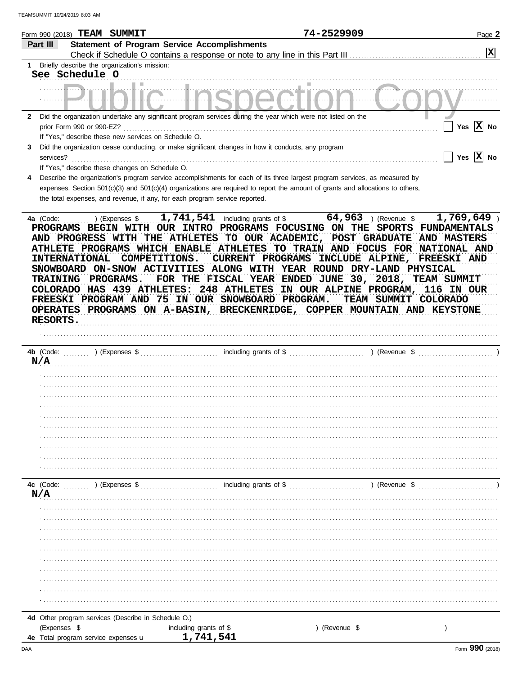|              | Form 990 (2018) $\textbf{TEM}$ SUMMIT                                                                                                                                                                                                                                                                                                                                                                                                                                                                       |                                                                               | 74-2529909                                                                                                                                                                                      | Page 2                                                                                                           |
|--------------|-------------------------------------------------------------------------------------------------------------------------------------------------------------------------------------------------------------------------------------------------------------------------------------------------------------------------------------------------------------------------------------------------------------------------------------------------------------------------------------------------------------|-------------------------------------------------------------------------------|-------------------------------------------------------------------------------------------------------------------------------------------------------------------------------------------------|------------------------------------------------------------------------------------------------------------------|
|              | Part III                                                                                                                                                                                                                                                                                                                                                                                                                                                                                                    | <b>Statement of Program Service Accomplishments</b>                           |                                                                                                                                                                                                 |                                                                                                                  |
|              |                                                                                                                                                                                                                                                                                                                                                                                                                                                                                                             | Check if Schedule O contains a response or note to any line in this Part III. |                                                                                                                                                                                                 | X                                                                                                                |
| 1.           | Briefly describe the organization's mission:                                                                                                                                                                                                                                                                                                                                                                                                                                                                |                                                                               |                                                                                                                                                                                                 |                                                                                                                  |
|              | See Schedule O                                                                                                                                                                                                                                                                                                                                                                                                                                                                                              |                                                                               |                                                                                                                                                                                                 |                                                                                                                  |
|              |                                                                                                                                                                                                                                                                                                                                                                                                                                                                                                             |                                                                               |                                                                                                                                                                                                 |                                                                                                                  |
| $\mathbf{2}$ | Did the organization undertake any significant program services during the year which were not listed on the                                                                                                                                                                                                                                                                                                                                                                                                |                                                                               |                                                                                                                                                                                                 |                                                                                                                  |
|              | prior Form 990 or 990-EZ?                                                                                                                                                                                                                                                                                                                                                                                                                                                                                   |                                                                               |                                                                                                                                                                                                 | Yes $\overline{X}$ No                                                                                            |
|              | If "Yes," describe these new services on Schedule O.                                                                                                                                                                                                                                                                                                                                                                                                                                                        |                                                                               |                                                                                                                                                                                                 |                                                                                                                  |
| 3.           | Did the organization cease conducting, or make significant changes in how it conducts, any program                                                                                                                                                                                                                                                                                                                                                                                                          |                                                                               |                                                                                                                                                                                                 |                                                                                                                  |
|              | services?                                                                                                                                                                                                                                                                                                                                                                                                                                                                                                   |                                                                               |                                                                                                                                                                                                 | Yes $ \mathbf{X} $ No                                                                                            |
| 4            | If "Yes," describe these changes on Schedule O.<br>Describe the organization's program service accomplishments for each of its three largest program services, as measured by                                                                                                                                                                                                                                                                                                                               |                                                                               |                                                                                                                                                                                                 |                                                                                                                  |
|              | expenses. Section 501(c)(3) and 501(c)(4) organizations are required to report the amount of grants and allocations to others,                                                                                                                                                                                                                                                                                                                                                                              |                                                                               |                                                                                                                                                                                                 |                                                                                                                  |
|              | the total expenses, and revenue, if any, for each program service reported.                                                                                                                                                                                                                                                                                                                                                                                                                                 |                                                                               |                                                                                                                                                                                                 |                                                                                                                  |
|              |                                                                                                                                                                                                                                                                                                                                                                                                                                                                                                             |                                                                               |                                                                                                                                                                                                 |                                                                                                                  |
|              | 4a (Code:<br>(Express \$<br>PROGRAMS BEGIN WITH OUR INTRO PROGRAMS FOCUSING ON THE SPORTS FUNDAMENTALS<br>AND PROGRESS WITH THE ATHLETES TO OUR ACADEMIC, POST GRADUATE<br>ATHLETE PROGRAMS WHICH ENABLE ATHLETES<br><b>INTERNATIONAL</b><br>COMPETITIONS.<br>SNOWBOARD ON-SNOW ACTIVITIES<br>PROGRAMS.<br><b>TRAINING</b><br>COLORADO HAS 439 ATHLETES:<br>FREESKI PROGRAM AND 75 IN OUR SNOWBOARD PROGRAM.<br>OPERATES PROGRAMS ON A-BASIN, BRECKENRIDGE, COPPER MOUNTAIN AND KEYSTONE<br><b>RESORTS.</b> | 1,741,541<br>including grants of \$<br><b>248 ATHLETES</b>                    | $64,963$ ) (Revenue \$<br>CURRENT PROGRAMS INCLUDE ALPINE, FREESKI AND<br>ALONG WITH YEAR ROUND DRY-LAND PHYSICAL<br>FOR THE FISCAL YEAR ENDED JUNE 30, 2018, TEAM SUMMIT<br><b>TEAM SUMMIT</b> | 1,769,649<br>AND MASTERS<br>TO TRAIN AND FOCUS FOR NATIONAL AND<br>IN OUR ALPINE PROGRAM, 116 IN OUR<br>COLORADO |
|              |                                                                                                                                                                                                                                                                                                                                                                                                                                                                                                             |                                                                               |                                                                                                                                                                                                 |                                                                                                                  |
|              | 4b (Code: $\ldots$<br>) (Expenses \$                                                                                                                                                                                                                                                                                                                                                                                                                                                                        | including grants of \$                                                        |                                                                                                                                                                                                 | ) (Revenue \$                                                                                                    |
|              | N/A                                                                                                                                                                                                                                                                                                                                                                                                                                                                                                         |                                                                               |                                                                                                                                                                                                 |                                                                                                                  |
|              |                                                                                                                                                                                                                                                                                                                                                                                                                                                                                                             |                                                                               |                                                                                                                                                                                                 |                                                                                                                  |
|              |                                                                                                                                                                                                                                                                                                                                                                                                                                                                                                             |                                                                               |                                                                                                                                                                                                 |                                                                                                                  |
|              |                                                                                                                                                                                                                                                                                                                                                                                                                                                                                                             |                                                                               |                                                                                                                                                                                                 |                                                                                                                  |
|              |                                                                                                                                                                                                                                                                                                                                                                                                                                                                                                             |                                                                               |                                                                                                                                                                                                 |                                                                                                                  |
|              |                                                                                                                                                                                                                                                                                                                                                                                                                                                                                                             |                                                                               |                                                                                                                                                                                                 |                                                                                                                  |
|              |                                                                                                                                                                                                                                                                                                                                                                                                                                                                                                             |                                                                               |                                                                                                                                                                                                 |                                                                                                                  |
|              |                                                                                                                                                                                                                                                                                                                                                                                                                                                                                                             |                                                                               |                                                                                                                                                                                                 |                                                                                                                  |
|              |                                                                                                                                                                                                                                                                                                                                                                                                                                                                                                             |                                                                               |                                                                                                                                                                                                 |                                                                                                                  |
|              |                                                                                                                                                                                                                                                                                                                                                                                                                                                                                                             |                                                                               |                                                                                                                                                                                                 |                                                                                                                  |
|              |                                                                                                                                                                                                                                                                                                                                                                                                                                                                                                             |                                                                               |                                                                                                                                                                                                 | ) (Revenue \$                                                                                                    |
|              | N/A                                                                                                                                                                                                                                                                                                                                                                                                                                                                                                         |                                                                               |                                                                                                                                                                                                 |                                                                                                                  |
|              |                                                                                                                                                                                                                                                                                                                                                                                                                                                                                                             |                                                                               |                                                                                                                                                                                                 |                                                                                                                  |
|              |                                                                                                                                                                                                                                                                                                                                                                                                                                                                                                             |                                                                               |                                                                                                                                                                                                 |                                                                                                                  |
|              |                                                                                                                                                                                                                                                                                                                                                                                                                                                                                                             |                                                                               |                                                                                                                                                                                                 |                                                                                                                  |
|              |                                                                                                                                                                                                                                                                                                                                                                                                                                                                                                             |                                                                               |                                                                                                                                                                                                 |                                                                                                                  |
|              |                                                                                                                                                                                                                                                                                                                                                                                                                                                                                                             |                                                                               |                                                                                                                                                                                                 |                                                                                                                  |
|              |                                                                                                                                                                                                                                                                                                                                                                                                                                                                                                             |                                                                               |                                                                                                                                                                                                 |                                                                                                                  |
|              |                                                                                                                                                                                                                                                                                                                                                                                                                                                                                                             |                                                                               |                                                                                                                                                                                                 |                                                                                                                  |
|              |                                                                                                                                                                                                                                                                                                                                                                                                                                                                                                             |                                                                               |                                                                                                                                                                                                 |                                                                                                                  |
|              |                                                                                                                                                                                                                                                                                                                                                                                                                                                                                                             |                                                                               |                                                                                                                                                                                                 |                                                                                                                  |
|              |                                                                                                                                                                                                                                                                                                                                                                                                                                                                                                             |                                                                               |                                                                                                                                                                                                 |                                                                                                                  |
|              | 4d Other program services (Describe in Schedule O.)                                                                                                                                                                                                                                                                                                                                                                                                                                                         |                                                                               |                                                                                                                                                                                                 |                                                                                                                  |
|              | (Expenses \$<br>4e Total program service expenses u                                                                                                                                                                                                                                                                                                                                                                                                                                                         | including grants of \$<br>1,741,541                                           | (Revenue \$                                                                                                                                                                                     |                                                                                                                  |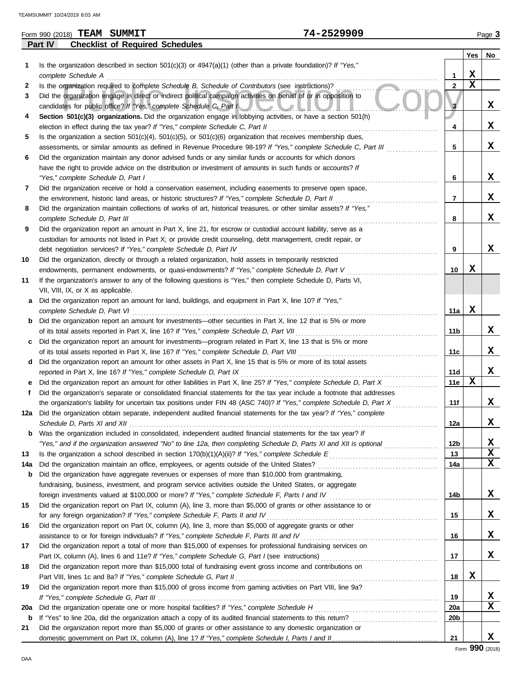|     | Form 990 (2018) TEAM SUMMIT                                                                                                                                                                            | 74-2529909 |                 |             | Page 3      |
|-----|--------------------------------------------------------------------------------------------------------------------------------------------------------------------------------------------------------|------------|-----------------|-------------|-------------|
|     | <b>Checklist of Required Schedules</b><br>Part IV                                                                                                                                                      |            |                 |             |             |
|     |                                                                                                                                                                                                        |            |                 | Yes         | No          |
| 1   | Is the organization described in section $501(c)(3)$ or $4947(a)(1)$ (other than a private foundation)? If "Yes,"                                                                                      |            |                 |             |             |
|     | complete Schedule A                                                                                                                                                                                    |            | 1               | X           |             |
| 2   | Is the organization required to complete Schedule B, Schedule of Contributors (see instructions)?                                                                                                      |            | $\mathbf{2}$    | $\mathbf x$ |             |
| 3   | Did the organization engage in direct or indirect political campaign activities on behalf of or in opposition to                                                                                       |            |                 |             | x           |
|     | candidates for public office? If "Yes," complete Schedule C, Part I                                                                                                                                    |            | 3               |             |             |
| 4   | Section 501(c)(3) organizations. Did the organization engage in lobbying activities, or have a section 501(h)                                                                                          |            | 4               |             | x           |
| 5   | election in effect during the tax year? If "Yes," complete Schedule C, Part II<br>Is the organization a section $501(c)(4)$ , $501(c)(5)$ , or $501(c)(6)$ organization that receives membership dues, |            |                 |             |             |
|     | assessments, or similar amounts as defined in Revenue Procedure 98-19? If "Yes," complete Schedule C, Part III                                                                                         |            | 5               |             | X           |
| 6   | Did the organization maintain any donor advised funds or any similar funds or accounts for which donors                                                                                                |            |                 |             |             |
|     | have the right to provide advice on the distribution or investment of amounts in such funds or accounts? If                                                                                            |            |                 |             |             |
|     | "Yes," complete Schedule D, Part I                                                                                                                                                                     |            | 6               |             | x           |
| 7   | Did the organization receive or hold a conservation easement, including easements to preserve open space,                                                                                              |            |                 |             |             |
|     | the environment, historic land areas, or historic structures? If "Yes," complete Schedule D, Part II                                                                                                   |            | 7               |             | X           |
| 8   | Did the organization maintain collections of works of art, historical treasures, or other similar assets? If "Yes,"                                                                                    |            |                 |             |             |
|     | complete Schedule D, Part III                                                                                                                                                                          |            | 8               |             | X           |
| 9   | Did the organization report an amount in Part X, line 21, for escrow or custodial account liability, serve as a                                                                                        |            |                 |             |             |
|     | custodian for amounts not listed in Part X; or provide credit counseling, debt management, credit repair, or                                                                                           |            |                 |             |             |
|     | debt negotiation services? If "Yes," complete Schedule D, Part IV                                                                                                                                      |            | 9               |             | X           |
| 10  | Did the organization, directly or through a related organization, hold assets in temporarily restricted                                                                                                |            |                 |             |             |
|     | endowments, permanent endowments, or quasi-endowments? If "Yes," complete Schedule D, Part V                                                                                                           |            | 10              | X           |             |
| 11  | If the organization's answer to any of the following questions is "Yes," then complete Schedule D, Parts VI,                                                                                           |            |                 |             |             |
|     | VII, VIII, IX, or X as applicable.                                                                                                                                                                     |            |                 |             |             |
| а   | Did the organization report an amount for land, buildings, and equipment in Part X, line 10? If "Yes,"                                                                                                 |            |                 |             |             |
|     | complete Schedule D, Part VI                                                                                                                                                                           |            | 11a             | X           |             |
|     | <b>b</b> Did the organization report an amount for investments—other securities in Part X, line 12 that is 5% or more                                                                                  |            |                 |             |             |
|     | of its total assets reported in Part X, line 16? If "Yes," complete Schedule D, Part VII                                                                                                               |            | 11 <sub>b</sub> |             | x           |
| c   | Did the organization report an amount for investments—program related in Part X, line 13 that is 5% or more                                                                                            |            |                 |             |             |
|     | of its total assets reported in Part X, line 16? If "Yes," complete Schedule D, Part VIII                                                                                                              |            | 11c             |             | x           |
|     | d Did the organization report an amount for other assets in Part X, line 15 that is 5% or more of its total assets                                                                                     |            |                 |             |             |
|     | reported in Part X, line 16? If "Yes," complete Schedule D, Part IX                                                                                                                                    |            | 11d             |             | X           |
| е   | Did the organization report an amount for other liabilities in Part X, line 25? If "Yes," complete Schedule D, Part X                                                                                  |            | 11e             | $\mathbf x$ |             |
| f   | Did the organization's separate or consolidated financial statements for the tax year include a footnote that addresses                                                                                |            |                 |             | X           |
|     | the organization's liability for uncertain tax positions under FIN 48 (ASC 740)? If "Yes," complete Schedule D, Part X                                                                                 |            | 11f             |             |             |
|     | 12a Did the organization obtain separate, independent audited financial statements for the tax year? If "Yes," complete                                                                                |            |                 |             | X           |
|     | <b>b</b> Was the organization included in consolidated, independent audited financial statements for the tax year? If                                                                                  |            | 12a             |             |             |
|     | "Yes," and if the organization answered "No" to line 12a, then completing Schedule D, Parts XI and XII is optional                                                                                     |            | 12b             |             | X           |
| 13  |                                                                                                                                                                                                        |            | 13              |             | $\mathbf x$ |
| 14a | Did the organization maintain an office, employees, or agents outside of the United States?                                                                                                            |            | 14a             |             | $\mathbf x$ |
| b   | Did the organization have aggregate revenues or expenses of more than \$10,000 from grantmaking,                                                                                                       |            |                 |             |             |
|     | fundraising, business, investment, and program service activities outside the United States, or aggregate                                                                                              |            |                 |             |             |
|     |                                                                                                                                                                                                        |            | 14b             |             | X           |
| 15  | Did the organization report on Part IX, column (A), line 3, more than \$5,000 of grants or other assistance to or                                                                                      |            |                 |             |             |
|     | for any foreign organization? If "Yes," complete Schedule F, Parts II and IV                                                                                                                           |            | 15              |             | X           |
| 16  | Did the organization report on Part IX, column (A), line 3, more than \$5,000 of aggregate grants or other                                                                                             |            |                 |             |             |
|     | assistance to or for foreign individuals? If "Yes," complete Schedule F, Parts III and IV                                                                                                              |            | 16              |             | X           |
| 17  | Did the organization report a total of more than \$15,000 of expenses for professional fundraising services on                                                                                         |            |                 |             |             |
|     |                                                                                                                                                                                                        |            | 17              |             | X           |
| 18  | Did the organization report more than \$15,000 total of fundraising event gross income and contributions on                                                                                            |            |                 |             |             |
|     | Part VIII, lines 1c and 8a? If "Yes," complete Schedule G, Part II                                                                                                                                     |            | 18              | X           |             |
| 19  | Did the organization report more than \$15,000 of gross income from gaming activities on Part VIII, line 9a?                                                                                           |            |                 |             |             |
|     |                                                                                                                                                                                                        |            | 19              |             | X           |
| 20a | Did the organization operate one or more hospital facilities? If "Yes," complete Schedule H                                                                                                            |            | 20a             |             | $\mathbf x$ |
|     | <b>b</b> If "Yes" to line 20a, did the organization attach a copy of its audited financial statements to this return?                                                                                  |            | 20 <sub>b</sub> |             |             |

**X**

**21**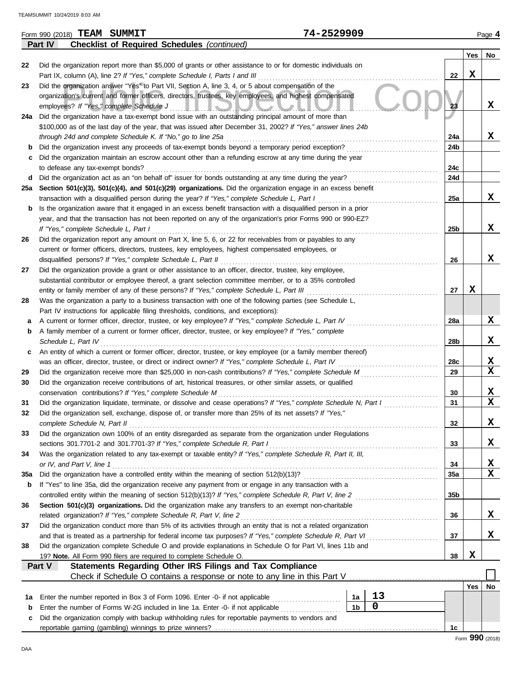|     | Form 990 (2018) TEAM SUMMIT                                                                                                                                                                                                      | 74-2529909                    |                 |            | Page 4      |
|-----|----------------------------------------------------------------------------------------------------------------------------------------------------------------------------------------------------------------------------------|-------------------------------|-----------------|------------|-------------|
|     | <b>Checklist of Required Schedules (continued)</b><br>Part IV                                                                                                                                                                    |                               |                 |            |             |
|     |                                                                                                                                                                                                                                  |                               |                 | Yes        | No          |
| 22  | Did the organization report more than \$5,000 of grants or other assistance to or for domestic individuals on                                                                                                                    |                               |                 |            |             |
|     | Part IX, column (A), line 2? If "Yes," complete Schedule I, Parts I and III                                                                                                                                                      |                               | 22              | X          |             |
| 23  | Did the organization answer "Yes" to Part VII, Section A, line 3, 4, or 5 about compensation of the                                                                                                                              |                               |                 |            |             |
|     | organization's current and former officers, directors, trustees, key employees, and highest compensated                                                                                                                          |                               |                 |            |             |
|     | employees? If "Yes," complete Schedule J                                                                                                                                                                                         | <u>THE REAL AND AN</u>        | 23              |            | X           |
|     | 24a Did the organization have a tax-exempt bond issue with an outstanding principal amount of more than                                                                                                                          |                               |                 |            |             |
|     | \$100,000 as of the last day of the year, that was issued after December 31, 2002? If "Yes," answer lines 24b                                                                                                                    |                               |                 |            |             |
|     | through 24d and complete Schedule K. If "No," go to line 25a                                                                                                                                                                     |                               | 24a             |            | X           |
| b   | Did the organization invest any proceeds of tax-exempt bonds beyond a temporary period exception?                                                                                                                                |                               | 24b             |            |             |
| С   | Did the organization maintain an escrow account other than a refunding escrow at any time during the year                                                                                                                        |                               |                 |            |             |
|     | to defease any tax-exempt bonds?                                                                                                                                                                                                 |                               | 24c             |            |             |
|     | d Did the organization act as an "on behalf of" issuer for bonds outstanding at any time during the year?                                                                                                                        |                               | 24d             |            |             |
|     | 25a Section 501(c)(3), 501(c)(4), and 501(c)(29) organizations. Did the organization engage in an excess benefit                                                                                                                 |                               |                 |            | x           |
|     | transaction with a disqualified person during the year? If "Yes," complete Schedule L, Part I                                                                                                                                    |                               | 25a             |            |             |
| b   | Is the organization aware that it engaged in an excess benefit transaction with a disqualified person in a prior<br>year, and that the transaction has not been reported on any of the organization's prior Forms 990 or 990-EZ? |                               |                 |            |             |
|     | If "Yes," complete Schedule L, Part I                                                                                                                                                                                            |                               | 25b             |            | X           |
| 26  | Did the organization report any amount on Part X, line 5, 6, or 22 for receivables from or payables to any                                                                                                                       |                               |                 |            |             |
|     | current or former officers, directors, trustees, key employees, highest compensated employees, or                                                                                                                                |                               |                 |            |             |
|     | disqualified persons? If "Yes," complete Schedule L, Part II                                                                                                                                                                     |                               | 26              |            | X           |
| 27  | Did the organization provide a grant or other assistance to an officer, director, trustee, key employee,                                                                                                                         |                               |                 |            |             |
|     | substantial contributor or employee thereof, a grant selection committee member, or to a 35% controlled                                                                                                                          |                               |                 |            |             |
|     | entity or family member of any of these persons? If "Yes," complete Schedule L, Part III                                                                                                                                         |                               | 27              | X          |             |
| 28  | Was the organization a party to a business transaction with one of the following parties (see Schedule L,                                                                                                                        |                               |                 |            |             |
|     | Part IV instructions for applicable filing thresholds, conditions, and exceptions):                                                                                                                                              |                               |                 |            |             |
| а   | A current or former officer, director, trustee, or key employee? If "Yes," complete Schedule L, Part IV                                                                                                                          |                               | 28a             |            | X           |
| b   | A family member of a current or former officer, director, trustee, or key employee? If "Yes," complete                                                                                                                           |                               |                 |            |             |
|     | Schedule L, Part IV                                                                                                                                                                                                              |                               | 28b             |            | X           |
| c   | An entity of which a current or former officer, director, trustee, or key employee (or a family member thereof)                                                                                                                  |                               |                 |            |             |
|     | was an officer, director, trustee, or direct or indirect owner? If "Yes," complete Schedule L, Part IV                                                                                                                           |                               | 28c             |            | X           |
| 29  | Did the organization receive more than \$25,000 in non-cash contributions? If "Yes," complete Schedule M                                                                                                                         |                               | 29              |            | $\mathbf x$ |
| 30  | Did the organization receive contributions of art, historical treasures, or other similar assets, or qualified                                                                                                                   |                               |                 |            |             |
|     | conservation contributions? If "Yes," complete Schedule M                                                                                                                                                                        |                               | 30              |            | X           |
| 31  | Did the organization liquidate, terminate, or dissolve and cease operations? If "Yes," complete Schedule N, Part I                                                                                                               |                               | 31              |            | $\mathbf x$ |
|     | Did the organization sell, exchange, dispose of, or transfer more than 25% of its net assets? If "Yes,"                                                                                                                          |                               |                 |            |             |
|     | complete Schedule N, Part II                                                                                                                                                                                                     |                               | 32              |            | X           |
| 33  | Did the organization own 100% of an entity disregarded as separate from the organization under Regulations                                                                                                                       |                               |                 |            |             |
|     | sections 301.7701-2 and 301.7701-3? If "Yes," complete Schedule R, Part I                                                                                                                                                        |                               | 33              |            | X           |
| 34  | Was the organization related to any tax-exempt or taxable entity? If "Yes," complete Schedule R, Part II, III,                                                                                                                   |                               |                 |            |             |
|     | or IV, and Part V, line 1                                                                                                                                                                                                        |                               | 34              |            | х           |
| 35a | Did the organization have a controlled entity within the meaning of section 512(b)(13)?                                                                                                                                          |                               | 35a             |            | X           |
| b   | If "Yes" to line 35a, did the organization receive any payment from or engage in any transaction with a                                                                                                                          |                               |                 |            |             |
|     | controlled entity within the meaning of section 512(b)(13)? If "Yes," complete Schedule R, Part V, line 2<br>Section 501(c)(3) organizations. Did the organization make any transfers to an exempt non-charitable                |                               | 35 <sub>b</sub> |            |             |
| 36  | related organization? If "Yes," complete Schedule R, Part V, line 2                                                                                                                                                              |                               | 36              |            | X           |
| 37  | Did the organization conduct more than 5% of its activities through an entity that is not a related organization                                                                                                                 |                               |                 |            |             |
|     | and that is treated as a partnership for federal income tax purposes? If "Yes," complete Schedule R, Part VI                                                                                                                     |                               | 37              |            | X           |
| 38  | Did the organization complete Schedule O and provide explanations in Schedule O for Part VI, lines 11b and                                                                                                                       |                               |                 |            |             |
|     | 19? Note. All Form 990 filers are required to complete Schedule O.                                                                                                                                                               |                               | 38              | X          |             |
|     | Statements Regarding Other IRS Filings and Tax Compliance<br>Part V                                                                                                                                                              |                               |                 |            |             |
|     | Check if Schedule O contains a response or note to any line in this Part V                                                                                                                                                       |                               |                 |            |             |
|     |                                                                                                                                                                                                                                  |                               |                 | <b>Yes</b> | No          |
| 1a  | Enter the number reported in Box 3 of Form 1096. Enter -0- if not applicable                                                                                                                                                     | 13<br>1а                      |                 |            |             |
| b   | Enter the number of Forms W-2G included in line 1a. Enter -0- if not applicable                                                                                                                                                  | $\mathbf 0$<br>1 <sub>b</sub> |                 |            |             |
| c   | Did the organization comply with backup withholding rules for reportable payments to vendors and                                                                                                                                 |                               |                 |            |             |
|     |                                                                                                                                                                                                                                  |                               | 1с              |            |             |
|     |                                                                                                                                                                                                                                  |                               |                 |            |             |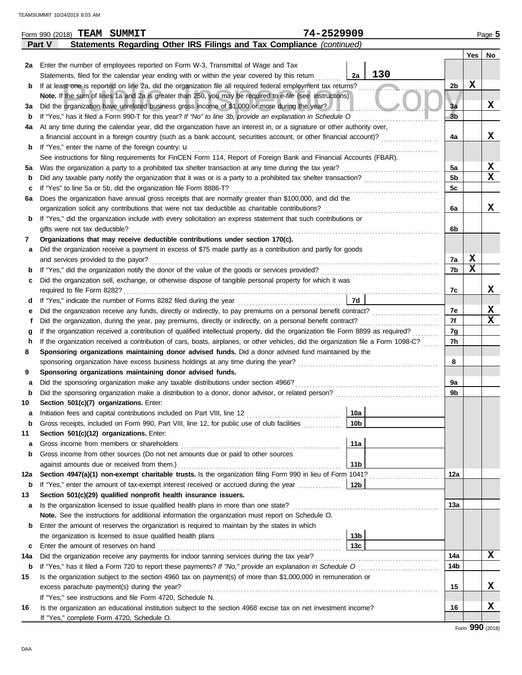|             | 74-2529909<br>Form 990 (2018) TEAM SUMMIT                                                                                                                 |                 |                |             | Page 5      |
|-------------|-----------------------------------------------------------------------------------------------------------------------------------------------------------|-----------------|----------------|-------------|-------------|
|             | Statements Regarding Other IRS Filings and Tax Compliance (continued)<br>Part V                                                                           |                 |                |             |             |
|             |                                                                                                                                                           |                 |                | Yes         | No          |
| 2a          | Enter the number of employees reported on Form W-3, Transmittal of Wage and Tax                                                                           |                 |                |             |             |
|             | Statements, filed for the calendar year ending with or within the year covered by this return                                                             | 130<br>2a       |                |             |             |
| b           | If at least one is reported on line 2a, did the organization file all required federal employment tax returns?                                            |                 | 2b             | X           |             |
|             | Note. If the sum of lines 1a and 2a is greater than 250, you may be required to e-file (see instructions)                                                 |                 |                |             |             |
| За          | Did the organization have unrelated business gross income of \$1,000 or more during the year?                                                             |                 | 3a             |             | X           |
| b           | If "Yes," has it filed a Form 990-T for this year? If "No" to line 3b, provide an explanation in Schedule O                                               |                 | 3 <sub>b</sub> |             |             |
| 4a          | At any time during the calendar year, did the organization have an interest in, or a signature or other authority over,                                   |                 |                |             |             |
|             | a financial account in a foreign country (such as a bank account, securities account, or other financial account)?                                        |                 | 4a             |             | X           |
| b           | If "Yes," enter the name of the foreign country: u                                                                                                        |                 |                |             |             |
|             | See instructions for filing requirements for FinCEN Form 114, Report of Foreign Bank and Financial Accounts (FBAR).                                       |                 |                |             |             |
|             |                                                                                                                                                           |                 | 5a             |             | X           |
| <b>5a</b>   | Was the organization a party to a prohibited tax shelter transaction at any time during the tax year?                                                     |                 | 5 <sub>b</sub> |             | $\mathbf x$ |
| b           | Did any taxable party notify the organization that it was or is a party to a prohibited tax shelter transaction?                                          |                 |                |             |             |
| c           | If "Yes" to line 5a or 5b, did the organization file Form 8886-T?                                                                                         |                 | 5c             |             |             |
| 6а          | Does the organization have annual gross receipts that are normally greater than \$100,000, and did the                                                    |                 |                |             |             |
|             | organization solicit any contributions that were not tax deductible as charitable contributions?                                                          |                 | 6a             |             | X           |
| b           | If "Yes," did the organization include with every solicitation an express statement that such contributions or                                            |                 |                |             |             |
|             | gifts were not tax deductible?                                                                                                                            |                 | 6b             |             |             |
| 7           | Organizations that may receive deductible contributions under section 170(c).                                                                             |                 |                |             |             |
| а           | Did the organization receive a payment in excess of \$75 made partly as a contribution and partly for goods                                               |                 |                |             |             |
|             | and services provided to the payor?                                                                                                                       |                 | 7a             | X           |             |
| $\mathbf b$ |                                                                                                                                                           |                 | 7b             | $\mathbf x$ |             |
| с           | Did the organization sell, exchange, or otherwise dispose of tangible personal property for which it was                                                  |                 |                |             |             |
|             |                                                                                                                                                           |                 | 7c             |             | x           |
| d           |                                                                                                                                                           | 7d              |                |             |             |
| е           | Did the organization receive any funds, directly or indirectly, to pay premiums on a personal benefit contract?                                           |                 | 7e             |             | X           |
|             | Did the organization, during the year, pay premiums, directly or indirectly, on a personal benefit contract?                                              |                 | 7f             |             | x           |
| g           | If the organization received a contribution of qualified intellectual property, did the organization file Form 8899 as required?                          |                 | 7g             |             |             |
| h           | If the organization received a contribution of cars, boats, airplanes, or other vehicles, did the organization file a Form 1098-C?                        |                 | 7h             |             |             |
| 8           | Sponsoring organizations maintaining donor advised funds. Did a donor advised fund maintained by the                                                      |                 |                |             |             |
|             | sponsoring organization have excess business holdings at any time during the year?                                                                        |                 | 8              |             |             |
| 9           | Sponsoring organizations maintaining donor advised funds.                                                                                                 |                 |                |             |             |
| а           | Did the sponsoring organization make any taxable distributions under section 4966?                                                                        |                 | 9a             |             |             |
| b           | Did the sponsoring organization make a distribution to a donor, donor advisor, or related person?                                                         |                 | 9b             |             |             |
| 10          | Section 501(c)(7) organizations. Enter:                                                                                                                   |                 |                |             |             |
|             |                                                                                                                                                           | 10a             |                |             |             |
| b           | Gross receipts, included on Form 990, Part VIII, line 12, for public use of club facilities                                                               | 10 <sub>b</sub> |                |             |             |
| 11          | Section 501(c)(12) organizations. Enter:                                                                                                                  |                 |                |             |             |
| а           | Gross income from members or shareholders                                                                                                                 | 11a             |                |             |             |
| b           | Gross income from other sources (Do not net amounts due or paid to other sources                                                                          |                 |                |             |             |
|             |                                                                                                                                                           | 11 <sub>b</sub> |                |             |             |
|             | against amounts due or received from them.)<br>Section 4947(a)(1) non-exempt charitable trusts. Is the organization filing Form 990 in lieu of Form 1041? |                 |                |             |             |
| 12a         |                                                                                                                                                           |                 | 12a            |             |             |
| b           | If "Yes," enter the amount of tax-exempt interest received or accrued during the year <i>minimizion</i> .                                                 | 12b             |                |             |             |
| 13          | Section 501(c)(29) qualified nonprofit health insurance issuers.                                                                                          |                 |                |             |             |
| а           | Is the organization licensed to issue qualified health plans in more than one state?                                                                      |                 | 13a            |             |             |
|             | Note. See the instructions for additional information the organization must report on Schedule O.                                                         |                 |                |             |             |
| b           | Enter the amount of reserves the organization is required to maintain by the states in which                                                              |                 |                |             |             |
|             |                                                                                                                                                           | 13b             |                |             |             |
| c           | Enter the amount of reserves on hand                                                                                                                      | 13 <sub>c</sub> |                |             |             |
| 14a         | Did the organization receive any payments for indoor tanning services during the tax year?                                                                |                 | 14a            |             | x           |
| b           | If "Yes," has it filed a Form 720 to report these payments? If "No," provide an explanation in Schedule O                                                 |                 | 14b            |             |             |
| 15          | Is the organization subject to the section 4960 tax on payment(s) of more than \$1,000,000 in remuneration or                                             |                 |                |             |             |
|             | excess parachute payment(s) during the year?                                                                                                              |                 | 15             |             | x           |
|             | If "Yes," see instructions and file Form 4720, Schedule N.                                                                                                |                 |                |             |             |
| 16          | Is the organization an educational institution subject to the section 4968 excise tax on net investment income?                                           |                 | 16             |             | X           |
|             | If "Yes," complete Form 4720, Schedule O.                                                                                                                 |                 |                |             |             |

Form **990** (2018)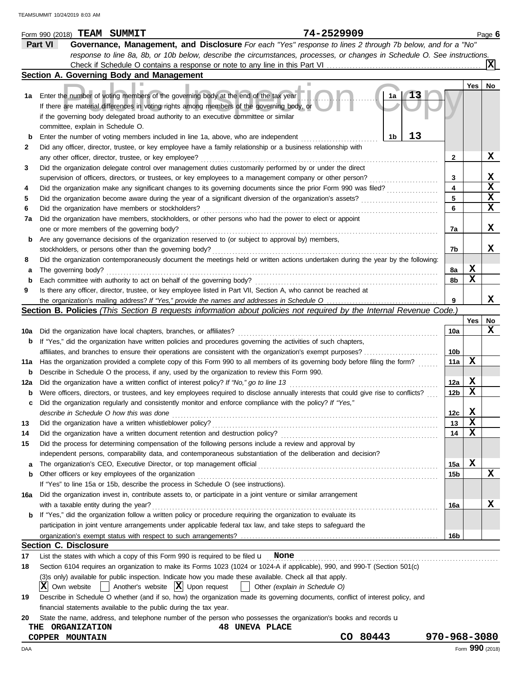|             | 74-2529909<br>Form 990 (2018) TEAM SUMMIT                                                                                                                                                  |                 |                 | Page 6            |
|-------------|--------------------------------------------------------------------------------------------------------------------------------------------------------------------------------------------|-----------------|-----------------|-------------------|
|             | Part VI<br>Governance, Management, and Disclosure For each "Yes" response to lines 2 through 7b below, and for a "No"                                                                      |                 |                 |                   |
|             | response to line 8a, 8b, or 10b below, describe the circumstances, processes, or changes in Schedule O. See instructions.                                                                  |                 |                 |                   |
|             |                                                                                                                                                                                            |                 |                 | ΙXΙ               |
|             | Section A. Governing Body and Management                                                                                                                                                   |                 |                 |                   |
|             |                                                                                                                                                                                            |                 | Yes             | No                |
|             | 1a Enter the number of voting members of the governing body at the end of the tax year<br>1a<br>If there are material differences in voting rights among members of the governing body, or |                 |                 |                   |
|             | if the governing body delegated broad authority to an executive committee or similar                                                                                                       |                 |                 |                   |
|             | committee, explain in Schedule O.                                                                                                                                                          |                 |                 |                   |
| b           | 13<br>1b<br>Enter the number of voting members included in line 1a, above, who are independent                                                                                             |                 |                 |                   |
| 2           | Did any officer, director, trustee, or key employee have a family relationship or a business relationship with                                                                             |                 |                 |                   |
|             | any other officer, director, trustee, or key employee?                                                                                                                                     | 2               |                 | X                 |
| 3           | Did the organization delegate control over management duties customarily performed by or under the direct                                                                                  |                 |                 |                   |
|             | supervision of officers, directors, or trustees, or key employees to a management company or other person?                                                                                 | 3               |                 | X                 |
| 4           | Did the organization make any significant changes to its governing documents since the prior Form 990 was filed?                                                                           | 4               |                 | $\mathbf x$       |
| 5           | Did the organization become aware during the year of a significant diversion of the organization's assets?                                                                                 | 5               |                 | $\mathbf x$       |
| 6           | Did the organization have members or stockholders?                                                                                                                                         | 6               |                 | $\mathbf x$       |
| 7a          | Did the organization have members, stockholders, or other persons who had the power to elect or appoint                                                                                    |                 |                 |                   |
|             | one or more members of the governing body?                                                                                                                                                 | 7a              |                 | X                 |
| b           | Are any governance decisions of the organization reserved to (or subject to approval by) members,                                                                                          |                 |                 |                   |
|             | stockholders, or persons other than the governing body?                                                                                                                                    | 7b              |                 | x                 |
| 8           | Did the organization contemporaneously document the meetings held or written actions undertaken during the year by the following:                                                          |                 |                 |                   |
| а           | The governing body?                                                                                                                                                                        | 8a              | X               |                   |
| $\mathbf b$ | Each committee with authority to act on behalf of the governing body?                                                                                                                      | 8b              | X               |                   |
| 9           | Is there any officer, director, trustee, or key employee listed in Part VII, Section A, who cannot be reached at                                                                           |                 |                 |                   |
|             |                                                                                                                                                                                            | 9               |                 | x                 |
|             | Section B. Policies (This Section B requests information about policies not required by the Internal Revenue Code.)                                                                        |                 |                 |                   |
|             |                                                                                                                                                                                            |                 | Yes             | No<br>$\mathbf x$ |
| 10a         | Did the organization have local chapters, branches, or affiliates?                                                                                                                         | 10a             |                 |                   |
| b           | If "Yes," did the organization have written policies and procedures governing the activities of such chapters,                                                                             |                 |                 |                   |
|             | affiliates, and branches to ensure their operations are consistent with the organization's exempt purposes?                                                                                | 10b             | X               |                   |
|             | 11a Has the organization provided a complete copy of this Form 990 to all members of its governing body before filing the form?                                                            | 11a             |                 |                   |
| b           | Describe in Schedule O the process, if any, used by the organization to review this Form 990.                                                                                              |                 |                 |                   |
| 12a         | Did the organization have a written conflict of interest policy? If "No," go to line 13                                                                                                    | 12a             | X<br>X          |                   |
| b           | Were officers, directors, or trustees, and key employees required to disclose annually interests that could give rise to conflicts?                                                        | 12 <sub>b</sub> |                 |                   |
| c           | Did the organization regularly and consistently monitor and enforce compliance with the policy? If "Yes,"                                                                                  |                 |                 |                   |
|             | describe in Schedule O how this was done                                                                                                                                                   | 12c             | x<br>X          |                   |
| 13          |                                                                                                                                                                                            | 13              | X               |                   |
| 14<br>15    | Did the organization have a written document retention and destruction policy?<br>Did the process for determining compensation of the following persons include a review and approval by   | 14              |                 |                   |
|             |                                                                                                                                                                                            |                 |                 |                   |
|             | independent persons, comparability data, and contemporaneous substantiation of the deliberation and decision?                                                                              | 15a             | X               |                   |
| а<br>b      | Other officers or key employees of the organization                                                                                                                                        | 15b             |                 | X                 |
|             | If "Yes" to line 15a or 15b, describe the process in Schedule O (see instructions).                                                                                                        |                 |                 |                   |
| 16a         | Did the organization invest in, contribute assets to, or participate in a joint venture or similar arrangement                                                                             |                 |                 |                   |
|             | with a taxable entity during the year?                                                                                                                                                     | 16a             |                 | х                 |
| b           | If "Yes," did the organization follow a written policy or procedure requiring the organization to evaluate its                                                                             |                 |                 |                   |
|             | participation in joint venture arrangements under applicable federal tax law, and take steps to safeguard the                                                                              |                 |                 |                   |
|             |                                                                                                                                                                                            | 16b             |                 |                   |
|             | <b>Section C. Disclosure</b>                                                                                                                                                               |                 |                 |                   |
| 17          | List the states with which a copy of this Form 990 is required to be filed $\mathbf u$ None                                                                                                |                 |                 |                   |
| 18          | Section 6104 requires an organization to make its Forms 1023 (1024 or 1024-A if applicable), 990, and 990-T (Section 501(c)                                                                |                 |                 |                   |
|             | (3)s only) available for public inspection. Indicate how you made these available. Check all that apply.                                                                                   |                 |                 |                   |
|             | X Own website<br>Another's website $ \mathbf{X} $ Upon request<br>Other (explain in Schedule O)                                                                                            |                 |                 |                   |
| 19          | Describe in Schedule O whether (and if so, how) the organization made its governing documents, conflict of interest policy, and                                                            |                 |                 |                   |
|             | financial statements available to the public during the tax year.                                                                                                                          |                 |                 |                   |
| 20          | State the name, address, and telephone number of the person who possesses the organization's books and records <b>u</b>                                                                    |                 |                 |                   |
|             | <b>48 UNEVA PLACE</b><br><b>ORGANIZATION</b><br>THE                                                                                                                                        |                 |                 |                   |
|             | 80443<br>CO<br>COPPER MOUNTAIN                                                                                                                                                             | 970-968-3080    |                 |                   |
| DAA         |                                                                                                                                                                                            |                 | Form 990 (2018) |                   |
|             |                                                                                                                                                                                            |                 |                 |                   |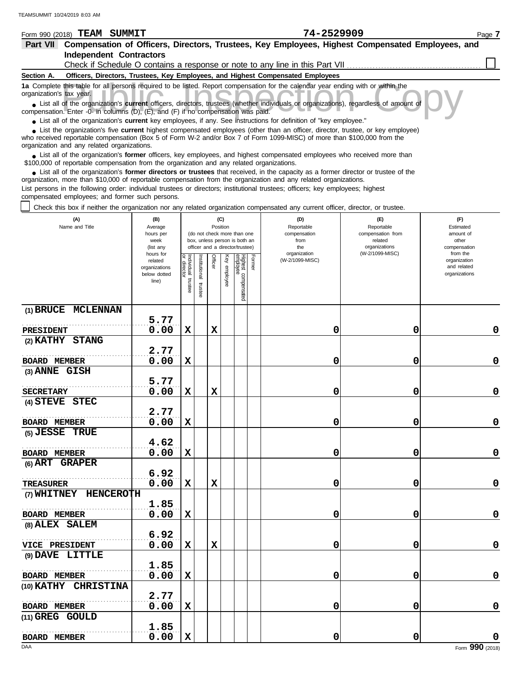| Form 990 (2018)          | TEAM<br>SUMMIT                              |                                                                                                                                                                                                                                                             | 74-2529909 |                                                                                                  | Page 7 |
|--------------------------|---------------------------------------------|-------------------------------------------------------------------------------------------------------------------------------------------------------------------------------------------------------------------------------------------------------------|------------|--------------------------------------------------------------------------------------------------|--------|
| <b>Part VII</b>          |                                             |                                                                                                                                                                                                                                                             |            | Compensation of Officers, Directors, Trustees, Key Employees, Highest Compensated Employees, and |        |
|                          | <b>Independent Contractors</b>              |                                                                                                                                                                                                                                                             |            |                                                                                                  |        |
|                          |                                             | Check if Schedule O contains a response or note to any line in this Part VII                                                                                                                                                                                |            |                                                                                                  |        |
| Section A.               |                                             | Officers, Directors, Trustees, Key Employees, and Highest Compensated Employees                                                                                                                                                                             |            |                                                                                                  |        |
| organization's tax year. |                                             | 1a Complete this table for all persons required to be listed. Report compensation for the calendar year ending with or within the                                                                                                                           |            |                                                                                                  |        |
|                          |                                             | • List all of the organization's current officers, directors, trustees (whether individuals or organizations), regardless of amount of<br>compensation. Enter -0- in columns (D), (E), and (F) if no compensation was paid.                                 |            |                                                                                                  |        |
|                          |                                             | • List all of the organization's current key employees, if any. See instructions for definition of "key employee."                                                                                                                                          |            |                                                                                                  |        |
|                          | organization and any related organizations. | • List the organization's five current highest compensated employees (other than an officer, director, trustee, or key employee)<br>who received reportable compensation (Box 5 of Form W-2 and/or Box 7 of Form 1099-MISC) of more than \$100,000 from the |            |                                                                                                  |        |
|                          |                                             |                                                                                                                                                                                                                                                             |            |                                                                                                  |        |

■ List all of the organization's **former** officers, key employees, and highest compensated employees who received more than<br> **•** 00,000 of reportable compensation from the ergonization and any related ergonizations \$100,000 of reportable compensation from the organization and any related organizations.

List all of the organization's **former directors or trustees** that received, in the capacity as a former director or trustee of the ● List all of the organization's former directors or trustees that received, in the capacity as a former director organization, more than \$10,000 of reportable compensation from the organization and any related organizati List persons in the following order: individual trustees or directors; institutional trustees; officers; key employees; highest

compensated employees; and former such persons.

Check this box if neither the organization nor any related organization compensated any current officer, director, or trustee.

| (A)<br>Name and Title                 | (B)<br>Average<br>hours per<br>week<br>(list any               |                                   |                          | (C)<br>Position |              | (do not check more than one<br>box, unless person is both an<br>officer and a director/trustee) |        | (D)<br>Reportable<br>compensation<br>from<br>the | (E)<br>Reportable<br>compensation from<br>related<br>organizations | (F)<br>Estimated<br>amount of<br>other<br>compensation   |
|---------------------------------------|----------------------------------------------------------------|-----------------------------------|--------------------------|-----------------|--------------|-------------------------------------------------------------------------------------------------|--------|--------------------------------------------------|--------------------------------------------------------------------|----------------------------------------------------------|
|                                       | hours for<br>related<br>organizations<br>below dotted<br>line) | Individual trustee<br>or director | Institutional<br>trustee | Officer         | Key employee | Highest compensated<br>employee                                                                 | Former | organization<br>(W-2/1099-MISC)                  | (W-2/1099-MISC)                                                    | from the<br>organization<br>and related<br>organizations |
| (1) BRUCE MCLENNAN                    |                                                                |                                   |                          |                 |              |                                                                                                 |        |                                                  |                                                                    |                                                          |
| PRESIDENT                             | 5.77<br>0.00                                                   | X                                 |                          | $\mathbf x$     |              |                                                                                                 |        | 0                                                | 0                                                                  | 0                                                        |
| (2) KATHY STANG                       |                                                                |                                   |                          |                 |              |                                                                                                 |        |                                                  |                                                                    |                                                          |
|                                       | 2.77                                                           |                                   |                          |                 |              |                                                                                                 |        |                                                  |                                                                    |                                                          |
| <b>BOARD MEMBER</b>                   | 0.00                                                           | $\mathbf x$                       |                          |                 |              |                                                                                                 |        | 0                                                | 0                                                                  | 0                                                        |
| (3) ANNE GISH                         |                                                                |                                   |                          |                 |              |                                                                                                 |        |                                                  |                                                                    |                                                          |
|                                       | 5.77                                                           |                                   |                          |                 |              |                                                                                                 |        |                                                  |                                                                    |                                                          |
| <b>SECRETARY</b>                      | 0.00                                                           | $\mathbf x$                       |                          | $\mathbf x$     |              |                                                                                                 |        | 0                                                | 0                                                                  | $\mathbf 0$                                              |
| (4) STEVE STEC                        | 2.77                                                           |                                   |                          |                 |              |                                                                                                 |        |                                                  |                                                                    |                                                          |
| <b>BOARD MEMBER</b>                   | 0.00                                                           | $\mathbf x$                       |                          |                 |              |                                                                                                 |        | 0                                                | 0                                                                  | $\mathbf 0$                                              |
| (5) JESSE TRUE                        |                                                                |                                   |                          |                 |              |                                                                                                 |        |                                                  |                                                                    |                                                          |
|                                       | 4.62                                                           |                                   |                          |                 |              |                                                                                                 |        |                                                  |                                                                    |                                                          |
| <b>BOARD MEMBER</b>                   | 0.00                                                           | $\mathbf x$                       |                          |                 |              |                                                                                                 |        | 0                                                | 0                                                                  | 0                                                        |
| (6) ART GRAPER                        |                                                                |                                   |                          |                 |              |                                                                                                 |        |                                                  |                                                                    |                                                          |
|                                       | 6.92                                                           |                                   |                          |                 |              |                                                                                                 |        |                                                  |                                                                    |                                                          |
| TREASURER                             | 0.00                                                           | X                                 |                          | $\mathbf x$     |              |                                                                                                 |        | 0                                                | 0                                                                  | $\pmb{0}$                                                |
| (7) WHITNEY HENCEROTH                 |                                                                |                                   |                          |                 |              |                                                                                                 |        |                                                  |                                                                    |                                                          |
|                                       | 1.85                                                           |                                   |                          |                 |              |                                                                                                 |        |                                                  |                                                                    |                                                          |
| <b>BOARD MEMBER</b><br>(8) ALEX SALEM | 0.00                                                           | $\mathbf x$                       |                          |                 |              |                                                                                                 |        | 0                                                | 0                                                                  | 0                                                        |
|                                       | 6.92                                                           |                                   |                          |                 |              |                                                                                                 |        |                                                  |                                                                    |                                                          |
| VICE PRESIDENT                        | 0.00                                                           | $\mathbf x$                       |                          | $\mathbf x$     |              |                                                                                                 |        | 0                                                | 0                                                                  | $\mathbf 0$                                              |
| (9) DAVE LITTLE                       |                                                                |                                   |                          |                 |              |                                                                                                 |        |                                                  |                                                                    |                                                          |
|                                       | 1.85                                                           |                                   |                          |                 |              |                                                                                                 |        |                                                  |                                                                    |                                                          |
| <b>BOARD MEMBER</b>                   | 0.00                                                           | X                                 |                          |                 |              |                                                                                                 |        | 0                                                | 0                                                                  | $\pmb{0}$                                                |
| (10) KATHY CHRISTINA                  |                                                                |                                   |                          |                 |              |                                                                                                 |        |                                                  |                                                                    |                                                          |
|                                       | 2.77                                                           |                                   |                          |                 |              |                                                                                                 |        |                                                  |                                                                    |                                                          |
| BOARD MEMBER                          | 0.00                                                           | $\mathbf x$                       |                          |                 |              |                                                                                                 |        | 0                                                | 0                                                                  | $\mathbf 0$                                              |
| (11) GREG GOULD                       |                                                                |                                   |                          |                 |              |                                                                                                 |        |                                                  |                                                                    |                                                          |
| <b>BOARD MEMBER</b>                   | 1.85<br>0.00                                                   | $\mathbf x$                       |                          |                 |              |                                                                                                 |        | 0                                                | 0                                                                  | $\mathbf 0$                                              |
|                                       |                                                                |                                   |                          |                 |              |                                                                                                 |        |                                                  |                                                                    |                                                          |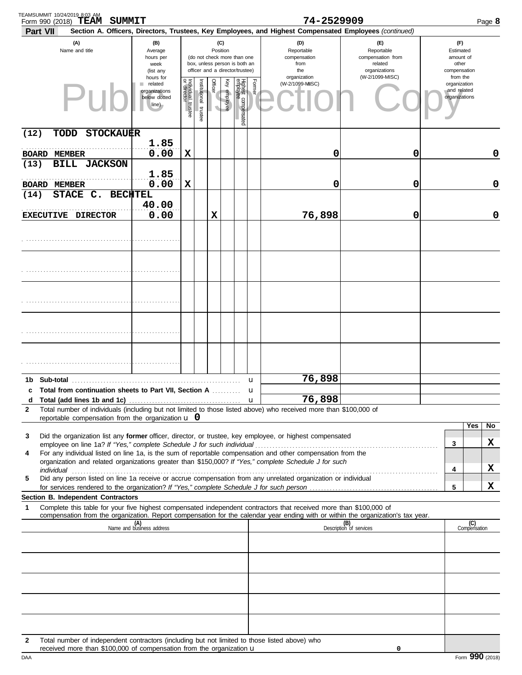| TEAMSUMMIT 10/24/2019 8:03 AM<br>Form 990 (2018) TEAM SUMMIT                                                                                                                                                                                                                                                                                         |                                                                     |                                                                                                             |                       |         |              |                                 |        | 74-2529909                                                                                             |                                                                    |   | Page 8                                                   |
|------------------------------------------------------------------------------------------------------------------------------------------------------------------------------------------------------------------------------------------------------------------------------------------------------------------------------------------------------|---------------------------------------------------------------------|-------------------------------------------------------------------------------------------------------------|-----------------------|---------|--------------|---------------------------------|--------|--------------------------------------------------------------------------------------------------------|--------------------------------------------------------------------|---|----------------------------------------------------------|
| Part VII                                                                                                                                                                                                                                                                                                                                             |                                                                     |                                                                                                             |                       |         |              |                                 |        | Section A. Officers, Directors, Trustees, Key Employees, and Highest Compensated Employees (continued) |                                                                    |   |                                                          |
| (A)<br>Name and title                                                                                                                                                                                                                                                                                                                                | (B)<br>Average<br>hours per<br>week<br>(list any                    | Position<br>(do not check more than one<br>box, unless person is both an<br>officer and a director/trustee) |                       |         |              |                                 |        | (D)<br>Reportable<br>compensation<br>from<br>the                                                       | (E)<br>Reportable<br>compensation from<br>related<br>organizations |   | (F)<br>Estimated<br>amount of<br>other<br>compensation   |
|                                                                                                                                                                                                                                                                                                                                                      | hours for<br>related<br>٠<br>organizations<br>below dotted<br>line) | Individual trustee<br>or director                                                                           | Institutional trustee | Officer | Key employee | Highest compensated<br>employee | Former | organization<br>(W-2/1099-MISC)                                                                        | (W-2/1099-MISC)                                                    |   | from the<br>organization<br>and related<br>organizations |
| <b>STOCKAUER</b><br>(12)<br>TODD                                                                                                                                                                                                                                                                                                                     |                                                                     |                                                                                                             |                       |         |              |                                 |        |                                                                                                        |                                                                    |   |                                                          |
| <b>BOARD</b><br><b>MEMBER</b>                                                                                                                                                                                                                                                                                                                        | 1.85<br>0.00                                                        | X                                                                                                           |                       |         |              |                                 |        | 0                                                                                                      | 0                                                                  |   | $\mathbf 0$                                              |
| <b>BILL JACKSON</b><br>(13)<br><b>BOARD MEMBER</b>                                                                                                                                                                                                                                                                                                   | 1.85<br>0.00                                                        | X                                                                                                           |                       |         |              |                                 |        | 0                                                                                                      | 0                                                                  |   | $\mathbf 0$                                              |
| STACE C.<br><b>BECHTEL</b><br>(14)                                                                                                                                                                                                                                                                                                                   | 40.00                                                               |                                                                                                             |                       |         |              |                                 |        |                                                                                                        |                                                                    |   |                                                          |
| EXECUTIVE DIRECTOR                                                                                                                                                                                                                                                                                                                                   | 0.00                                                                |                                                                                                             |                       | X       |              |                                 |        | 76,898                                                                                                 | 0                                                                  |   | $\mathbf 0$                                              |
|                                                                                                                                                                                                                                                                                                                                                      |                                                                     |                                                                                                             |                       |         |              |                                 |        |                                                                                                        |                                                                    |   |                                                          |
|                                                                                                                                                                                                                                                                                                                                                      |                                                                     |                                                                                                             |                       |         |              |                                 |        |                                                                                                        |                                                                    |   |                                                          |
|                                                                                                                                                                                                                                                                                                                                                      |                                                                     |                                                                                                             |                       |         |              |                                 |        |                                                                                                        |                                                                    |   |                                                          |
|                                                                                                                                                                                                                                                                                                                                                      |                                                                     |                                                                                                             |                       |         |              |                                 |        |                                                                                                        |                                                                    |   |                                                          |
|                                                                                                                                                                                                                                                                                                                                                      |                                                                     |                                                                                                             |                       |         |              |                                 |        |                                                                                                        |                                                                    |   |                                                          |
|                                                                                                                                                                                                                                                                                                                                                      |                                                                     |                                                                                                             |                       |         |              |                                 | u      | 76,898                                                                                                 |                                                                    |   |                                                          |
| c Total from continuation sheets to Part VII, Section A                                                                                                                                                                                                                                                                                              |                                                                     |                                                                                                             |                       |         |              |                                 | u      | 76,898                                                                                                 |                                                                    |   |                                                          |
| d<br>Total number of individuals (including but not limited to those listed above) who received more than \$100,000 of<br>2                                                                                                                                                                                                                          |                                                                     |                                                                                                             |                       |         |              |                                 | u      |                                                                                                        |                                                                    |   |                                                          |
| reportable compensation from the organization $\bf{u}$ 0                                                                                                                                                                                                                                                                                             |                                                                     |                                                                                                             |                       |         |              |                                 |        |                                                                                                        |                                                                    |   | Yes<br>No.                                               |
| Did the organization list any former officer, director, or trustee, key employee, or highest compensated<br>3                                                                                                                                                                                                                                        |                                                                     |                                                                                                             |                       |         |              |                                 |        |                                                                                                        |                                                                    |   | X                                                        |
| For any individual listed on line 1a, is the sum of reportable compensation and other compensation from the<br>4<br>organization and related organizations greater than \$150,000? If "Yes," complete Schedule J for such                                                                                                                            |                                                                     |                                                                                                             |                       |         |              |                                 |        |                                                                                                        |                                                                    | 3 |                                                          |
| individual communications and contact the contract of the contract of the contract of the contract of the contract of the contract of the contract of the contract of the contract of the contract of the contract of the cont<br>Did any person listed on line 1a receive or accrue compensation from any unrelated organization or individual<br>5 |                                                                     |                                                                                                             |                       |         |              |                                 |        |                                                                                                        |                                                                    | 4 | X                                                        |
| Section B. Independent Contractors                                                                                                                                                                                                                                                                                                                   |                                                                     |                                                                                                             |                       |         |              |                                 |        |                                                                                                        |                                                                    | 5 | X                                                        |
| Complete this table for your five highest compensated independent contractors that received more than \$100,000 of<br>1<br>compensation from the organization. Report compensation for the calendar year ending with or within the organization's tax year.                                                                                          |                                                                     |                                                                                                             |                       |         |              |                                 |        |                                                                                                        |                                                                    |   |                                                          |
|                                                                                                                                                                                                                                                                                                                                                      | (A)<br>Name and business address                                    |                                                                                                             |                       |         |              |                                 |        |                                                                                                        | (B)<br>Description of services                                     |   | (C)<br>Compensation                                      |
|                                                                                                                                                                                                                                                                                                                                                      |                                                                     |                                                                                                             |                       |         |              |                                 |        |                                                                                                        |                                                                    |   |                                                          |
|                                                                                                                                                                                                                                                                                                                                                      |                                                                     |                                                                                                             |                       |         |              |                                 |        |                                                                                                        |                                                                    |   |                                                          |
|                                                                                                                                                                                                                                                                                                                                                      |                                                                     |                                                                                                             |                       |         |              |                                 |        |                                                                                                        |                                                                    |   |                                                          |
|                                                                                                                                                                                                                                                                                                                                                      |                                                                     |                                                                                                             |                       |         |              |                                 |        |                                                                                                        |                                                                    |   |                                                          |
| Total number of independent contractors (including but not limited to those listed above) who<br>$\mathbf{2}$<br>received more than \$100,000 of compensation from the organization $\mathbf u$                                                                                                                                                      |                                                                     |                                                                                                             |                       |         |              |                                 |        |                                                                                                        | 0                                                                  |   |                                                          |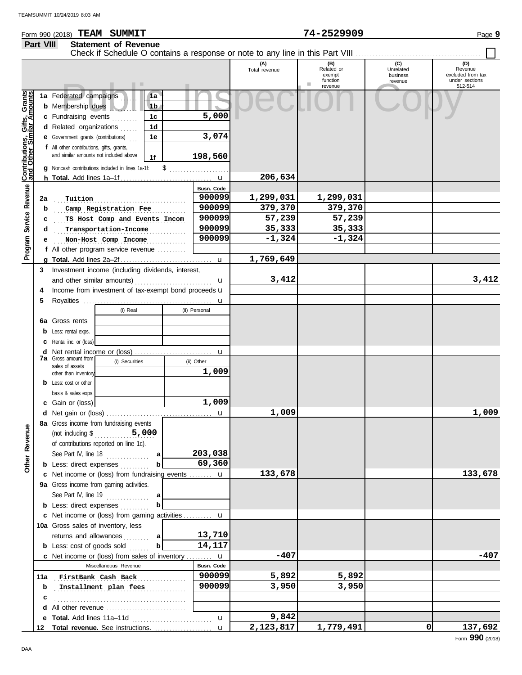## Form 990 (2018) Page **9 TEAM SUMMIT 74-2529909 Part VIII Statement of Revenue**

|                                                           |     | . .                                                                                                                                                                                                                                             |                                        |                           | (A)<br>Total revenue | (B)<br>Related or<br>exempt<br>function<br>ш<br>revenue | (C)<br>Unrelated<br>business<br>revenue | (D)<br>Revenue<br>excluded from tax<br>under sections<br>512-514 |
|-----------------------------------------------------------|-----|-------------------------------------------------------------------------------------------------------------------------------------------------------------------------------------------------------------------------------------------------|----------------------------------------|---------------------------|----------------------|---------------------------------------------------------|-----------------------------------------|------------------------------------------------------------------|
| Contributions, Gifts, Grants<br>and Other Similar Amounts |     | 1a Federated campaigns<br><b>b</b> Membership dues<br>c Fundraising events<br>d Related organizations<br>.<br><b>e</b> Government grants (contributions)<br>f All other contributions, gifts, grants,<br>and similar amounts not included above | 1a<br>1 <sub>b</sub><br>1c<br>1d<br>1e | 5,000<br>3,074            |                      |                                                         |                                         |                                                                  |
|                                                           |     | g Noncash contributions included in lines 1a-1f:                                                                                                                                                                                                | 1f                                     | 198,560                   |                      |                                                         |                                         |                                                                  |
|                                                           |     |                                                                                                                                                                                                                                                 |                                        |                           | 206,634              |                                                         |                                         |                                                                  |
| Service Revenue                                           |     |                                                                                                                                                                                                                                                 |                                        | Busn. Code                |                      |                                                         |                                         |                                                                  |
|                                                           | 2a  | Tuition                                                                                                                                                                                                                                         |                                        | 900099                    | 1,299,031            | 1,299,031                                               |                                         |                                                                  |
|                                                           | b   | Camp Registration Fee                                                                                                                                                                                                                           |                                        | 900099                    | 379,370              | 379,370                                                 |                                         |                                                                  |
|                                                           | c   | TS Host Comp and Events Incom                                                                                                                                                                                                                   |                                        | 900099<br>900099          | 57,239<br>35,333     | 57,239<br>35,333                                        |                                         |                                                                  |
|                                                           | d   | Transportation-Income                                                                                                                                                                                                                           |                                        | 900099                    | $-1,324$             | $-1,324$                                                |                                         |                                                                  |
| Program                                                   | е   | Non-Host Comp Income<br>f All other program service revenue                                                                                                                                                                                     |                                        |                           |                      |                                                         |                                         |                                                                  |
|                                                           |     |                                                                                                                                                                                                                                                 |                                        | $\mathbf u$               | 1,769,649            |                                                         |                                         |                                                                  |
|                                                           | 3   | Investment income (including dividends, interest,                                                                                                                                                                                               |                                        |                           |                      |                                                         |                                         |                                                                  |
|                                                           |     |                                                                                                                                                                                                                                                 |                                        | u                         | 3,412                |                                                         |                                         | 3,412                                                            |
|                                                           | 4   | Income from investment of tax-exempt bond proceeds u                                                                                                                                                                                            |                                        |                           |                      |                                                         |                                         |                                                                  |
|                                                           | 5   |                                                                                                                                                                                                                                                 |                                        | u                         |                      |                                                         |                                         |                                                                  |
|                                                           |     | (i) Real                                                                                                                                                                                                                                        |                                        | (ii) Personal             |                      |                                                         |                                         |                                                                  |
|                                                           |     | <b>6a</b> Gross rents                                                                                                                                                                                                                           |                                        |                           |                      |                                                         |                                         |                                                                  |
|                                                           |     | <b>b</b> Less: rental exps.                                                                                                                                                                                                                     |                                        |                           |                      |                                                         |                                         |                                                                  |
|                                                           |     | <b>c</b> Rental inc. or (loss)                                                                                                                                                                                                                  |                                        |                           |                      |                                                         |                                         |                                                                  |
|                                                           |     | <b>7a</b> Gross amount from<br>(i) Securities                                                                                                                                                                                                   |                                        | $\mathbf u$<br>(ii) Other |                      |                                                         |                                         |                                                                  |
|                                                           |     | sales of assets<br>other than inventory                                                                                                                                                                                                         |                                        | 1,009                     |                      |                                                         |                                         |                                                                  |
|                                                           |     | <b>b</b> Less: cost or other                                                                                                                                                                                                                    |                                        |                           |                      |                                                         |                                         |                                                                  |
|                                                           |     | basis & sales exps.                                                                                                                                                                                                                             |                                        |                           |                      |                                                         |                                         |                                                                  |
|                                                           |     | c Gain or (loss)                                                                                                                                                                                                                                |                                        | 1,009                     |                      |                                                         |                                         |                                                                  |
|                                                           |     |                                                                                                                                                                                                                                                 |                                        | u                         | 1,009                |                                                         |                                         | 1,009                                                            |
| g<br>Other Reven                                          |     | 8a Gross income from fundraising events<br>of contributions reported on line 1c).<br>See Part IV, line 18<br><b>b</b> Less: direct expenses                                                                                                     | b                                      | 203,038<br>69,360         |                      |                                                         |                                         |                                                                  |
|                                                           |     | c Net income or (loss) from fundraising events  u                                                                                                                                                                                               |                                        |                           | 133,678              |                                                         |                                         | 133,678                                                          |
|                                                           |     | 9a Gross income from gaming activities.                                                                                                                                                                                                         |                                        |                           |                      |                                                         |                                         |                                                                  |
|                                                           |     | See Part IV, line 19                                                                                                                                                                                                                            | a                                      |                           |                      |                                                         |                                         |                                                                  |
|                                                           |     | <b>b</b> Less: direct expenses                                                                                                                                                                                                                  | b                                      |                           |                      |                                                         |                                         |                                                                  |
|                                                           |     | c Net income or (loss) from gaming activities  u                                                                                                                                                                                                |                                        |                           |                      |                                                         |                                         |                                                                  |
|                                                           |     | 10a Gross sales of inventory, less                                                                                                                                                                                                              |                                        |                           |                      |                                                         |                                         |                                                                  |
|                                                           |     | returns and allowances<br>1.1.1.1.1                                                                                                                                                                                                             | a<br>b                                 | 13,710<br>14,117          |                      |                                                         |                                         |                                                                  |
|                                                           |     | <b>b</b> Less: cost of goods sold<br><b>c</b> Net income or (loss) from sales of inventory $\mathbf{u}$                                                                                                                                         |                                        |                           | $-407$               |                                                         |                                         | -407                                                             |
|                                                           |     | Miscellaneous Revenue                                                                                                                                                                                                                           |                                        | Busn. Code                |                      |                                                         |                                         |                                                                  |
|                                                           | 11a | FirstBank Cash Back                                                                                                                                                                                                                             |                                        | 900099                    | 5,892                | 5,892                                                   |                                         |                                                                  |
|                                                           | b   | Installment plan fees                                                                                                                                                                                                                           |                                        | 900099                    | 3,950                | 3,950                                                   |                                         |                                                                  |
|                                                           | с   |                                                                                                                                                                                                                                                 |                                        |                           |                      |                                                         |                                         |                                                                  |
|                                                           |     | d All other revenue                                                                                                                                                                                                                             |                                        |                           |                      |                                                         |                                         |                                                                  |
|                                                           |     |                                                                                                                                                                                                                                                 |                                        | $\mathbf{u}$              | 9,842                |                                                         |                                         |                                                                  |
|                                                           |     | 12 Total revenue. See instructions.                                                                                                                                                                                                             |                                        | $\mathbf{u}$              | 2,123,817            | 1,779,491                                               | οI                                      | 137,692                                                          |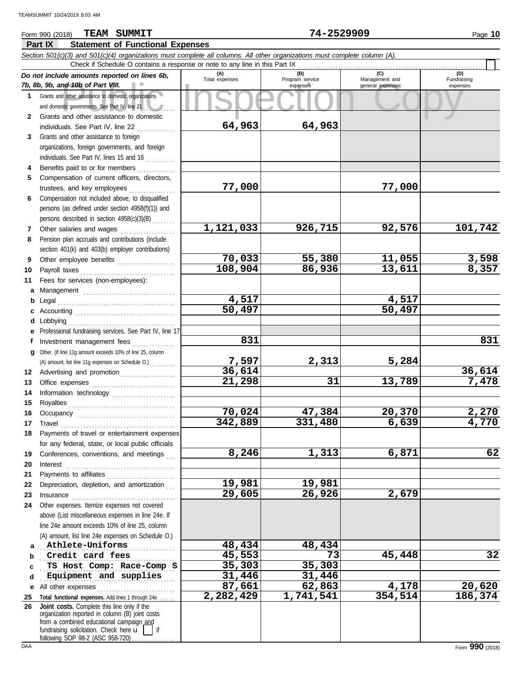# **Part IX Statement of Functional Expenses** Form 990 (2018) Page **10 TEAM SUMMIT 74-2529909**

|             | Section 501(c)(3) and 501(c)(4) organizations must complete all columns. All other organizations must complete column (A).                                                                                                                                                                                                                                                                                                                          |                               |                        |                              |                         |  |  |  |  |  |  |  |  |
|-------------|-----------------------------------------------------------------------------------------------------------------------------------------------------------------------------------------------------------------------------------------------------------------------------------------------------------------------------------------------------------------------------------------------------------------------------------------------------|-------------------------------|------------------------|------------------------------|-------------------------|--|--|--|--|--|--|--|--|
|             | Check if Schedule O contains a response or note to any line in this Part IX<br>(C)<br>(D)                                                                                                                                                                                                                                                                                                                                                           |                               |                        |                              |                         |  |  |  |  |  |  |  |  |
|             | Do not include amounts reported on lines 6b,<br>7b, 8b, 9b, and 10b of Part VIII.                                                                                                                                                                                                                                                                                                                                                                   | (A)<br>Total expenses         | (B)<br>Program service | Management and               | Fundraising<br>expenses |  |  |  |  |  |  |  |  |
| $\mathbf 1$ | Grants and other assistance to domestic organizations                                                                                                                                                                                                                                                                                                                                                                                               |                               | expenses               | general expenses             |                         |  |  |  |  |  |  |  |  |
|             | and domestic governments. See Part IV, line 21                                                                                                                                                                                                                                                                                                                                                                                                      |                               |                        |                              |                         |  |  |  |  |  |  |  |  |
| 2           | Grants and other assistance to domestic                                                                                                                                                                                                                                                                                                                                                                                                             |                               |                        |                              |                         |  |  |  |  |  |  |  |  |
|             | individuals. See Part IV, line 22                                                                                                                                                                                                                                                                                                                                                                                                                   | 64,963                        | 64,963                 |                              |                         |  |  |  |  |  |  |  |  |
| 3           | Grants and other assistance to foreign                                                                                                                                                                                                                                                                                                                                                                                                              |                               |                        |                              |                         |  |  |  |  |  |  |  |  |
|             | organizations, foreign governments, and foreign                                                                                                                                                                                                                                                                                                                                                                                                     |                               |                        |                              |                         |  |  |  |  |  |  |  |  |
|             | individuals. See Part IV, lines 15 and 16                                                                                                                                                                                                                                                                                                                                                                                                           |                               |                        |                              |                         |  |  |  |  |  |  |  |  |
| 4           | Benefits paid to or for members                                                                                                                                                                                                                                                                                                                                                                                                                     |                               |                        |                              |                         |  |  |  |  |  |  |  |  |
| 5.          | Compensation of current officers, directors,                                                                                                                                                                                                                                                                                                                                                                                                        |                               |                        |                              |                         |  |  |  |  |  |  |  |  |
|             | trustees, and key employees                                                                                                                                                                                                                                                                                                                                                                                                                         | 77,000                        |                        | 77,000                       |                         |  |  |  |  |  |  |  |  |
| 6           | Compensation not included above, to disqualified                                                                                                                                                                                                                                                                                                                                                                                                    |                               |                        |                              |                         |  |  |  |  |  |  |  |  |
|             | persons (as defined under section 4958(f)(1)) and                                                                                                                                                                                                                                                                                                                                                                                                   |                               |                        |                              |                         |  |  |  |  |  |  |  |  |
|             | persons described in section 4958(c)(3)(B)                                                                                                                                                                                                                                                                                                                                                                                                          |                               |                        |                              |                         |  |  |  |  |  |  |  |  |
| 7           | Other salaries and wages                                                                                                                                                                                                                                                                                                                                                                                                                            | 1,121,033                     | 926,715                | 92,576                       | 101,742                 |  |  |  |  |  |  |  |  |
| 8           | Pension plan accruals and contributions (include                                                                                                                                                                                                                                                                                                                                                                                                    |                               |                        |                              |                         |  |  |  |  |  |  |  |  |
|             | section 401(k) and 403(b) employer contributions)                                                                                                                                                                                                                                                                                                                                                                                                   |                               |                        |                              |                         |  |  |  |  |  |  |  |  |
| 9           | Other employee benefits                                                                                                                                                                                                                                                                                                                                                                                                                             | 70,033                        | 55,380                 | 11,055                       | 3,598                   |  |  |  |  |  |  |  |  |
| 10          | Payroll taxes                                                                                                                                                                                                                                                                                                                                                                                                                                       | 108,904                       | 86,936                 | 13,611                       | 8,357                   |  |  |  |  |  |  |  |  |
| 11          | Fees for services (non-employees):                                                                                                                                                                                                                                                                                                                                                                                                                  |                               |                        |                              |                         |  |  |  |  |  |  |  |  |
| а           |                                                                                                                                                                                                                                                                                                                                                                                                                                                     |                               |                        |                              |                         |  |  |  |  |  |  |  |  |
| b           | Legal                                                                                                                                                                                                                                                                                                                                                                                                                                               | 4,517<br>$\overline{50, 497}$ |                        | 4,517<br>$\overline{50,}497$ |                         |  |  |  |  |  |  |  |  |
|             |                                                                                                                                                                                                                                                                                                                                                                                                                                                     |                               |                        |                              |                         |  |  |  |  |  |  |  |  |
| d           | Lobbying                                                                                                                                                                                                                                                                                                                                                                                                                                            |                               |                        |                              |                         |  |  |  |  |  |  |  |  |
|             | Professional fundraising services. See Part IV, line 17                                                                                                                                                                                                                                                                                                                                                                                             | 831                           |                        |                              | 831                     |  |  |  |  |  |  |  |  |
|             | Investment management fees<br>Other. (If line 11g amount exceeds 10% of line 25, column                                                                                                                                                                                                                                                                                                                                                             |                               |                        |                              |                         |  |  |  |  |  |  |  |  |
| g           | (A) amount, list line 11g expenses on Schedule O.)                                                                                                                                                                                                                                                                                                                                                                                                  | 7,597                         | 2,313                  | 5,284                        |                         |  |  |  |  |  |  |  |  |
| 12          | Advertising and promotion                                                                                                                                                                                                                                                                                                                                                                                                                           | 36,614                        |                        |                              | 36,614                  |  |  |  |  |  |  |  |  |
| 13          |                                                                                                                                                                                                                                                                                                                                                                                                                                                     | 21,298                        | 31                     | 13,789                       | 7,478                   |  |  |  |  |  |  |  |  |
| 14          | Information technology                                                                                                                                                                                                                                                                                                                                                                                                                              |                               |                        |                              |                         |  |  |  |  |  |  |  |  |
| 15          |                                                                                                                                                                                                                                                                                                                                                                                                                                                     |                               |                        |                              |                         |  |  |  |  |  |  |  |  |
| 16          |                                                                                                                                                                                                                                                                                                                                                                                                                                                     | 70,024                        | 47,384                 | 20,370                       | 2,270                   |  |  |  |  |  |  |  |  |
| 17          | Travel                                                                                                                                                                                                                                                                                                                                                                                                                                              | 342,889                       | 331,480                | 6,639                        | 4,770                   |  |  |  |  |  |  |  |  |
| 18          | Payments of travel or entertainment expenses                                                                                                                                                                                                                                                                                                                                                                                                        |                               |                        |                              |                         |  |  |  |  |  |  |  |  |
|             | for any federal, state, or local public officials                                                                                                                                                                                                                                                                                                                                                                                                   |                               |                        |                              |                         |  |  |  |  |  |  |  |  |
| 19          | Conferences, conventions, and meetings                                                                                                                                                                                                                                                                                                                                                                                                              | 8,246                         | 1,313                  | 6,871                        | 62                      |  |  |  |  |  |  |  |  |
| 20          | Interest                                                                                                                                                                                                                                                                                                                                                                                                                                            |                               |                        |                              |                         |  |  |  |  |  |  |  |  |
| 21          | Payments to affiliates                                                                                                                                                                                                                                                                                                                                                                                                                              |                               |                        |                              |                         |  |  |  |  |  |  |  |  |
| 22          | Depreciation, depletion, and amortization                                                                                                                                                                                                                                                                                                                                                                                                           | 19,981                        | 19,981                 |                              |                         |  |  |  |  |  |  |  |  |
| 23          | $In \textbf{surance} \begin{tabular}{@{}l@{}} \hline \textbf{m} & \textbf{m} & \textbf{m} & \textbf{m} \\ \hline \textbf{m} & \textbf{m} & \textbf{m} & \textbf{m} \\ \hline \textbf{m} & \textbf{m} & \textbf{m} & \textbf{m} \\ \hline \textbf{m} & \textbf{m} & \textbf{m} & \textbf{m} \\ \hline \textbf{m} & \textbf{m} & \textbf{m} & \textbf{m} \\ \hline \textbf{m} & \textbf{m} & \textbf{m} & \textbf{m} \\ \hline \textbf{m} & \textbf{$ | 29,605                        | 26,926                 | 2,679                        |                         |  |  |  |  |  |  |  |  |
| 24          | Other expenses. Itemize expenses not covered                                                                                                                                                                                                                                                                                                                                                                                                        |                               |                        |                              |                         |  |  |  |  |  |  |  |  |
|             | above (List miscellaneous expenses in line 24e. If                                                                                                                                                                                                                                                                                                                                                                                                  |                               |                        |                              |                         |  |  |  |  |  |  |  |  |
|             | line 24e amount exceeds 10% of line 25, column                                                                                                                                                                                                                                                                                                                                                                                                      |                               |                        |                              |                         |  |  |  |  |  |  |  |  |
|             | (A) amount, list line 24e expenses on Schedule O.)                                                                                                                                                                                                                                                                                                                                                                                                  |                               |                        |                              |                         |  |  |  |  |  |  |  |  |
|             | Athlete-Uniforms                                                                                                                                                                                                                                                                                                                                                                                                                                    | 48,434                        | 48,434                 |                              |                         |  |  |  |  |  |  |  |  |
| b           | Credit card fees<br>TS Host Comp: Race-Comp S                                                                                                                                                                                                                                                                                                                                                                                                       | 45,553<br>35,303              | 73<br>35,303           | 45,448                       | 32                      |  |  |  |  |  |  |  |  |
| C<br>d      | Equipment and supplies                                                                                                                                                                                                                                                                                                                                                                                                                              | 31,446                        | 31,446                 |                              |                         |  |  |  |  |  |  |  |  |
|             | All other expenses                                                                                                                                                                                                                                                                                                                                                                                                                                  | 87,661                        | 62,863                 | 4,178                        | 20,620                  |  |  |  |  |  |  |  |  |
| е<br>25     | Total functional expenses. Add lines 1 through 24e .                                                                                                                                                                                                                                                                                                                                                                                                | 2,282,429                     | 1,741,541              | 354,514                      | 186,374                 |  |  |  |  |  |  |  |  |
| 26          | Joint costs. Complete this line only if the                                                                                                                                                                                                                                                                                                                                                                                                         |                               |                        |                              |                         |  |  |  |  |  |  |  |  |
|             | organization reported in column (B) joint costs                                                                                                                                                                                                                                                                                                                                                                                                     |                               |                        |                              |                         |  |  |  |  |  |  |  |  |
|             | from a combined educational campaign and<br>fundraising solicitation. Check here $\mathbf{u}$<br>l if                                                                                                                                                                                                                                                                                                                                               |                               |                        |                              |                         |  |  |  |  |  |  |  |  |
|             | following SOP 98-2 (ASC 958-720)                                                                                                                                                                                                                                                                                                                                                                                                                    |                               |                        |                              |                         |  |  |  |  |  |  |  |  |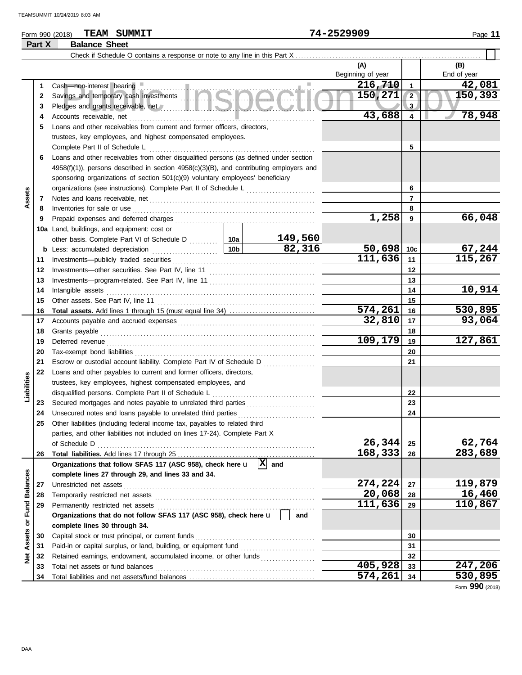## Form 990 (2018) Page **11 TEAM SUMMIT 74-2529909 Part X Balance Sheet**

|                                |    |                                                                                                                                                                                                                                |                 |                | (A)               |                 | (B)                      |
|--------------------------------|----|--------------------------------------------------------------------------------------------------------------------------------------------------------------------------------------------------------------------------------|-----------------|----------------|-------------------|-----------------|--------------------------|
|                                |    |                                                                                                                                                                                                                                |                 |                | Beginning of year |                 | End of year              |
|                                | 1. |                                                                                                                                                                                                                                |                 |                | 216,710           | 1               | 42,081                   |
|                                | 2  | Cash—non-interest bearing<br>Savings and temporary cash investments                                                                                                                                                            | 150, 271        | $\overline{2}$ | 150,393           |                 |                          |
|                                | 3  |                                                                                                                                                                                                                                |                 |                |                   | 3               |                          |
|                                | 4  | Accounts receivable, net                                                                                                                                                                                                       |                 |                | 43,688            | 4               | 78,948                   |
|                                | 5  | Loans and other receivables from current and former officers, directors,                                                                                                                                                       |                 |                |                   |                 |                          |
|                                |    | trustees, key employees, and highest compensated employees.                                                                                                                                                                    |                 |                |                   |                 |                          |
|                                |    | Complete Part II of Schedule L                                                                                                                                                                                                 |                 |                |                   | 5               |                          |
|                                | 6  | Loans and other receivables from other disqualified persons (as defined under section                                                                                                                                          |                 |                |                   |                 |                          |
|                                |    | $4958(f)(1)$ , persons described in section $4958(c)(3)(B)$ , and contributing employers and                                                                                                                                   |                 |                |                   |                 |                          |
|                                |    | sponsoring organizations of section 501(c)(9) voluntary employees' beneficiary                                                                                                                                                 |                 |                |                   |                 |                          |
|                                |    | organizations (see instructions). Complete Part II of Schedule L                                                                                                                                                               |                 |                |                   | 6               |                          |
| Assets                         | 7  |                                                                                                                                                                                                                                |                 |                |                   | 7               |                          |
|                                | 8  | Inventories for sale or use                                                                                                                                                                                                    |                 |                |                   | 8               |                          |
|                                | 9  |                                                                                                                                                                                                                                |                 |                | 1,258             | 9               | 66,048                   |
|                                |    | 10a Land, buildings, and equipment: cost or                                                                                                                                                                                    |                 |                |                   |                 |                          |
|                                |    |                                                                                                                                                                                                                                |                 | <u>149,560</u> |                   |                 |                          |
|                                |    | <b>b</b> Less: accumulated depreciation                                                                                                                                                                                        | 10 <sub>b</sub> | 82,316         | 50,698            | 10 <sub>c</sub> |                          |
|                                | 11 | Investments-publicly traded securities                                                                                                                                                                                         |                 |                | 111,636           | 11              | $\frac{67,244}{115,267}$ |
|                                | 12 |                                                                                                                                                                                                                                |                 |                |                   | 12              |                          |
|                                | 13 |                                                                                                                                                                                                                                |                 | 13             |                   |                 |                          |
|                                | 14 | Intangible assets                                                                                                                                                                                                              |                 | 14             | 10,914            |                 |                          |
|                                | 15 | Other assets. See Part IV, line 11                                                                                                                                                                                             |                 | 15             |                   |                 |                          |
|                                | 16 |                                                                                                                                                                                                                                | 574,261         | 16             | 530,895           |                 |                          |
|                                | 17 |                                                                                                                                                                                                                                |                 | 32,810         | 17                | 93,064          |                          |
|                                | 18 | Grants payable                                                                                                                                                                                                                 |                 |                |                   | 18              |                          |
|                                | 19 | Deferred revenue contains and all the container and all the container and all the container and all the container and all the container and all the container and all the container and all the container and all the containe |                 |                | 109,179           | 19              | 127,861                  |
|                                | 20 |                                                                                                                                                                                                                                |                 |                | 20                |                 |                          |
|                                | 21 | Escrow or custodial account liability. Complete Part IV of Schedule D                                                                                                                                                          |                 |                | 21                |                 |                          |
|                                | 22 | Loans and other payables to current and former officers, directors,                                                                                                                                                            |                 |                |                   |                 |                          |
| Liabilities                    |    | trustees, key employees, highest compensated employees, and                                                                                                                                                                    |                 |                |                   |                 |                          |
|                                |    | disqualified persons. Complete Part II of Schedule L                                                                                                                                                                           |                 |                |                   | 22              |                          |
|                                | 23 | Secured mortgages and notes payable to unrelated third parties [[[[[[[[[[[[[[[[[[[[[[[[[[[[[]]]]]]]]                                                                                                                           |                 |                |                   | 23              |                          |
|                                | 24 | Unsecured notes and loans payable to unrelated third parties                                                                                                                                                                   |                 |                |                   | 24              |                          |
|                                | 25 | Other liabilities (including federal income tax, payables to related third                                                                                                                                                     |                 |                |                   |                 |                          |
|                                |    | parties, and other liabilities not included on lines 17-24). Complete Part X                                                                                                                                                   |                 |                |                   |                 |                          |
|                                |    | of Schedule D                                                                                                                                                                                                                  |                 |                | 26,344<br>168,333 | 25<br>26        | 62,764<br>283,689        |
|                                | 26 | Organizations that follow SFAS 117 (ASC 958), check here u                                                                                                                                                                     |                 | 図<br>and       |                   |                 |                          |
|                                |    | complete lines 27 through 29, and lines 33 and 34.                                                                                                                                                                             |                 |                |                   |                 |                          |
|                                | 27 | Unrestricted net assets                                                                                                                                                                                                        |                 |                | 274,224           | 27              | 119,879                  |
|                                | 28 | Temporarily restricted net assets                                                                                                                                                                                              |                 | 20,068         | 28                | 16,460          |                          |
|                                | 29 | Permanently restricted net assets                                                                                                                                                                                              |                 | 111,636        | 29                | 110,867         |                          |
|                                |    | Organizations that do not follow SFAS 117 (ASC 958), check here u                                                                                                                                                              |                 | and            |                   |                 |                          |
|                                |    | complete lines 30 through 34.                                                                                                                                                                                                  |                 |                |                   |                 |                          |
| <b>Assets or Fund Balances</b> | 30 | Capital stock or trust principal, or current funds                                                                                                                                                                             |                 |                |                   | 30              |                          |
|                                | 31 | Paid-in or capital surplus, or land, building, or equipment fund                                                                                                                                                               |                 |                |                   | 31              |                          |
| ğ                              | 32 | Retained earnings, endowment, accumulated income, or other funds                                                                                                                                                               |                 |                |                   | 32              |                          |
|                                | 33 | Total net assets or fund balances                                                                                                                                                                                              |                 |                | 405,928           | 33              | 247,206                  |
|                                | 34 |                                                                                                                                                                                                                                | 574,261         | 34             | 530,895           |                 |                          |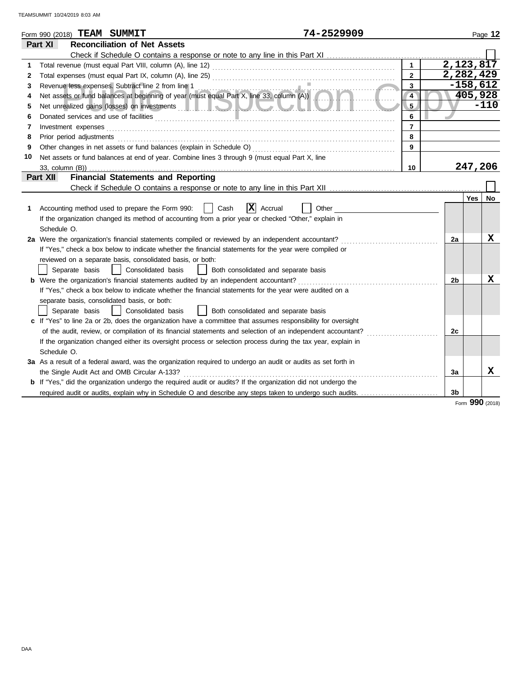|    |                          |                | 74-2529909<br>Form 990 (2018) TEAM SUMMIT                                                                                                                                                                                            |                |            |            | Page 12         |
|----|--------------------------|----------------|--------------------------------------------------------------------------------------------------------------------------------------------------------------------------------------------------------------------------------------|----------------|------------|------------|-----------------|
|    | Part XI                  |                | <b>Reconciliation of Net Assets</b>                                                                                                                                                                                                  |                |            |            |                 |
|    |                          |                |                                                                                                                                                                                                                                      |                |            |            |                 |
| 1  |                          |                |                                                                                                                                                                                                                                      | $\mathbf{1}$   | 2,123,817  |            |                 |
| 2  |                          |                |                                                                                                                                                                                                                                      | $\overline{2}$ | 2,282,429  |            |                 |
| 3  |                          |                | Revenue less expenses. Subtract line 2 from line 1                                                                                                                                                                                   | 3              | $-158,612$ |            |                 |
| 4  |                          |                | Revenue less expenses. Subtract line 2 from line 1<br>Net assets or fund balances at beginning of year (must equal Part X, line 33, column (A))                                                                                      | $\overline{4}$ |            |            | 405,928         |
| 5  |                          |                | Net unrealized gains (losses) on investments <b>and the contract of the contract of the contract of the contract of the contract of the contract of the contract of the contract of the contract of the contract of the contract</b> | 5              |            |            | $-110$          |
| 6  |                          |                | Donated services and use of facilities                                                                                                                                                                                               | 6              |            |            |                 |
| 7  | Investment expenses      |                |                                                                                                                                                                                                                                      | $\overline{7}$ |            |            |                 |
| 8  | Prior period adjustments |                |                                                                                                                                                                                                                                      | 8              |            |            |                 |
| 9  |                          |                | Other changes in net assets or fund balances (explain in Schedule O)                                                                                                                                                                 | 9              |            |            |                 |
| 10 |                          |                | Net assets or fund balances at end of year. Combine lines 3 through 9 (must equal Part X, line                                                                                                                                       |                |            |            |                 |
|    |                          |                |                                                                                                                                                                                                                                      | 10             |            |            | 247,206         |
|    | Part XII                 |                | <b>Financial Statements and Reporting</b>                                                                                                                                                                                            |                |            |            |                 |
|    |                          |                |                                                                                                                                                                                                                                      |                |            |            |                 |
|    |                          |                |                                                                                                                                                                                                                                      |                |            | <b>Yes</b> | No              |
| 1. |                          |                | ΙX<br>Accounting method used to prepare the Form 990:<br>Cash<br>Accrual<br>Other                                                                                                                                                    |                |            |            |                 |
|    |                          |                | If the organization changed its method of accounting from a prior year or checked "Other," explain in                                                                                                                                |                |            |            |                 |
|    | Schedule O.              |                |                                                                                                                                                                                                                                      |                |            |            |                 |
|    |                          |                | 2a Were the organization's financial statements compiled or reviewed by an independent accountant?                                                                                                                                   |                | 2a         |            | X               |
|    |                          |                | If "Yes," check a box below to indicate whether the financial statements for the year were compiled or                                                                                                                               |                |            |            |                 |
|    |                          |                | reviewed on a separate basis, consolidated basis, or both:                                                                                                                                                                           |                |            |            |                 |
|    |                          | Separate basis | Consolidated basis<br>Both consolidated and separate basis                                                                                                                                                                           |                |            |            |                 |
|    |                          |                | <b>b</b> Were the organization's financial statements audited by an independent accountant?                                                                                                                                          |                | 2b         |            | X               |
|    |                          |                | If "Yes," check a box below to indicate whether the financial statements for the year were audited on a                                                                                                                              |                |            |            |                 |
|    |                          |                | separate basis, consolidated basis, or both:                                                                                                                                                                                         |                |            |            |                 |
|    |                          | Separate basis | Both consolidated and separate basis<br>Consolidated basis                                                                                                                                                                           |                |            |            |                 |
|    |                          |                | c If "Yes" to line 2a or 2b, does the organization have a committee that assumes responsibility for oversight                                                                                                                        |                |            |            |                 |
|    |                          |                | of the audit, review, or compilation of its financial statements and selection of an independent accountant?                                                                                                                         |                | 2c         |            |                 |
|    |                          |                | If the organization changed either its oversight process or selection process during the tax year, explain in                                                                                                                        |                |            |            |                 |
|    | Schedule O.              |                |                                                                                                                                                                                                                                      |                |            |            |                 |
|    |                          |                | 3a As a result of a federal award, was the organization required to undergo an audit or audits as set forth in                                                                                                                       |                |            |            |                 |
|    |                          |                | the Single Audit Act and OMB Circular A-133?                                                                                                                                                                                         |                | За         |            | x               |
|    |                          |                | <b>b</b> If "Yes," did the organization undergo the required audit or audits? If the organization did not undergo the                                                                                                                |                |            |            |                 |
|    |                          |                | required audit or audits, explain why in Schedule O and describe any steps taken to undergo such audits.                                                                                                                             |                | 3b         |            |                 |
|    |                          |                |                                                                                                                                                                                                                                      |                |            |            | Form 990 (2018) |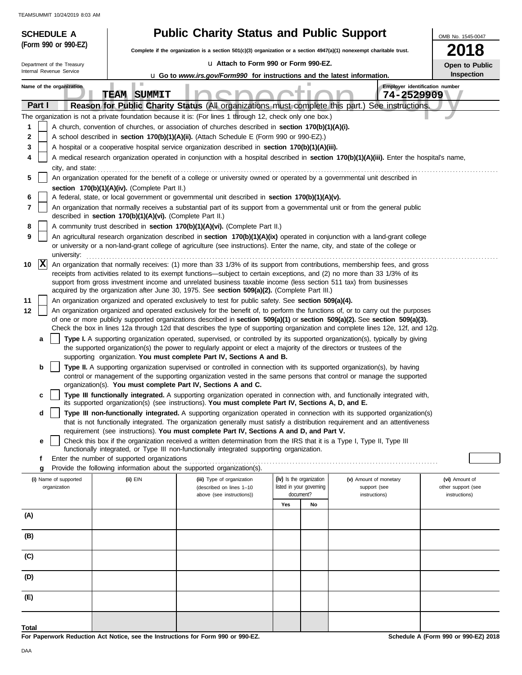| <b>SCHEDULE A</b>                     |                                                            | <b>Public Charity Status and Public Support</b>                                                                                                                                                                                                                |                                                      |                                        | OMB No. 1545-0047                    |  |  |
|---------------------------------------|------------------------------------------------------------|----------------------------------------------------------------------------------------------------------------------------------------------------------------------------------------------------------------------------------------------------------------|------------------------------------------------------|----------------------------------------|--------------------------------------|--|--|
| (Form 990 or 990-EZ)                  |                                                            | 2018<br>Complete if the organization is a section 501(c)(3) organization or a section 4947(a)(1) nonexempt charitable trust.                                                                                                                                   |                                                      |                                        |                                      |  |  |
| Department of the Treasury            |                                                            |                                                                                                                                                                                                                                                                | La Attach to Form 990 or Form 990-EZ.                |                                        |                                      |  |  |
| Internal Revenue Service              |                                                            | <b>u</b> Go to www.irs.gov/Form990 for instructions and the latest information.                                                                                                                                                                                |                                                      |                                        | Open to Public<br>Inspection         |  |  |
| Name of the organization              | n a                                                        |                                                                                                                                                                                                                                                                |                                                      |                                        | Employer identification number       |  |  |
|                                       | <b>TEAM SUMMIT</b>                                         |                                                                                                                                                                                                                                                                |                                                      | 74-2529909                             |                                      |  |  |
| Part I                                |                                                            | Reason for Public Charity Status (All organizations must complete this part.) See instructions.                                                                                                                                                                |                                                      |                                        |                                      |  |  |
| 1                                     |                                                            | The organization is not a private foundation because it is: (For lines 1 through 12, check only one box.)<br>A church, convention of churches, or association of churches described in section 170(b)(1)(A)(i).                                                |                                                      |                                        |                                      |  |  |
| 2                                     |                                                            | A school described in section 170(b)(1)(A)(ii). (Attach Schedule E (Form 990 or 990-EZ).)                                                                                                                                                                      |                                                      |                                        |                                      |  |  |
| 3                                     |                                                            | A hospital or a cooperative hospital service organization described in section 170(b)(1)(A)(iii).                                                                                                                                                              |                                                      |                                        |                                      |  |  |
| 4                                     |                                                            | A medical research organization operated in conjunction with a hospital described in section 170(b)(1)(A)(iii). Enter the hospital's name,                                                                                                                     |                                                      |                                        |                                      |  |  |
| city, and state:                      |                                                            |                                                                                                                                                                                                                                                                |                                                      |                                        |                                      |  |  |
| 5                                     |                                                            | An organization operated for the benefit of a college or university owned or operated by a governmental unit described in                                                                                                                                      |                                                      |                                        |                                      |  |  |
| 6                                     | section 170(b)(1)(A)(iv). (Complete Part II.)              | A federal, state, or local government or governmental unit described in section 170(b)(1)(A)(v).                                                                                                                                                               |                                                      |                                        |                                      |  |  |
| 7                                     |                                                            | An organization that normally receives a substantial part of its support from a governmental unit or from the general public                                                                                                                                   |                                                      |                                        |                                      |  |  |
|                                       | described in section 170(b)(1)(A)(vi). (Complete Part II.) |                                                                                                                                                                                                                                                                |                                                      |                                        |                                      |  |  |
| 8<br>9                                |                                                            | A community trust described in section 170(b)(1)(A)(vi). (Complete Part II.)<br>An agricultural research organization described in section 170(b)(1)(A)(ix) operated in conjunction with a land-grant college                                                  |                                                      |                                        |                                      |  |  |
| university:                           |                                                            | or university or a non-land-grant college of agriculture (see instructions). Enter the name, city, and state of the college or                                                                                                                                 |                                                      |                                        |                                      |  |  |
| $ {\bf x} $<br>10                     |                                                            | An organization that normally receives: (1) more than 33 1/3% of its support from contributions, membership fees, and gross                                                                                                                                    |                                                      |                                        |                                      |  |  |
|                                       |                                                            | receipts from activities related to its exempt functions—subject to certain exceptions, and (2) no more than 33 1/3% of its                                                                                                                                    |                                                      |                                        |                                      |  |  |
|                                       |                                                            | support from gross investment income and unrelated business taxable income (less section 511 tax) from businesses<br>acquired by the organization after June 30, 1975. See section 509(a)(2). (Complete Part III.)                                             |                                                      |                                        |                                      |  |  |
| 11                                    |                                                            | An organization organized and operated exclusively to test for public safety. See section 509(a)(4).                                                                                                                                                           |                                                      |                                        |                                      |  |  |
| 12                                    |                                                            | An organization organized and operated exclusively for the benefit of, to perform the functions of, or to carry out the purposes                                                                                                                               |                                                      |                                        |                                      |  |  |
|                                       |                                                            | of one or more publicly supported organizations described in section 509(a)(1) or section 509(a)(2). See section 509(a)(3).                                                                                                                                    |                                                      |                                        |                                      |  |  |
|                                       |                                                            | Check the box in lines 12a through 12d that describes the type of supporting organization and complete lines 12e, 12f, and 12g.<br>Type I. A supporting organization operated, supervised, or controlled by its supported organization(s), typically by giving |                                                      |                                        |                                      |  |  |
| a                                     |                                                            | the supported organization(s) the power to regularly appoint or elect a majority of the directors or trustees of the                                                                                                                                           |                                                      |                                        |                                      |  |  |
| b                                     |                                                            | supporting organization. You must complete Part IV, Sections A and B.<br>Type II. A supporting organization supervised or controlled in connection with its supported organization(s), by having                                                               |                                                      |                                        |                                      |  |  |
|                                       |                                                            | control or management of the supporting organization vested in the same persons that control or manage the supported                                                                                                                                           |                                                      |                                        |                                      |  |  |
|                                       |                                                            | organization(s). You must complete Part IV, Sections A and C.                                                                                                                                                                                                  |                                                      |                                        |                                      |  |  |
| c                                     |                                                            | Type III functionally integrated. A supporting organization operated in connection with, and functionally integrated with,<br>its supported organization(s) (see instructions). You must complete Part IV, Sections A, D, and E.                               |                                                      |                                        |                                      |  |  |
| d                                     |                                                            | Type III non-functionally integrated. A supporting organization operated in connection with its supported organization(s)                                                                                                                                      |                                                      |                                        |                                      |  |  |
|                                       |                                                            | that is not functionally integrated. The organization generally must satisfy a distribution requirement and an attentiveness                                                                                                                                   |                                                      |                                        |                                      |  |  |
| е                                     |                                                            | requirement (see instructions). You must complete Part IV, Sections A and D, and Part V.<br>Check this box if the organization received a written determination from the IRS that it is a Type I, Type II, Type III                                            |                                                      |                                        |                                      |  |  |
|                                       |                                                            | functionally integrated, or Type III non-functionally integrated supporting organization.                                                                                                                                                                      |                                                      |                                        |                                      |  |  |
| f                                     | Enter the number of supported organizations                |                                                                                                                                                                                                                                                                |                                                      |                                        |                                      |  |  |
| g                                     |                                                            | Provide the following information about the supported organization(s).                                                                                                                                                                                         |                                                      |                                        |                                      |  |  |
| (i) Name of supported<br>organization | $(ii)$ EIN                                                 | (iii) Type of organization<br>(described on lines 1-10                                                                                                                                                                                                         | (iv) Is the organization<br>listed in your governing | (v) Amount of monetary<br>support (see | (vi) Amount of<br>other support (see |  |  |
|                                       |                                                            | above (see instructions))                                                                                                                                                                                                                                      | document?                                            | instructions)                          | instructions)                        |  |  |
|                                       |                                                            |                                                                                                                                                                                                                                                                | Yes<br>No                                            |                                        |                                      |  |  |
| (A)                                   |                                                            |                                                                                                                                                                                                                                                                |                                                      |                                        |                                      |  |  |
| (B)                                   |                                                            |                                                                                                                                                                                                                                                                |                                                      |                                        |                                      |  |  |
| (C)                                   |                                                            |                                                                                                                                                                                                                                                                |                                                      |                                        |                                      |  |  |
| (D)                                   |                                                            |                                                                                                                                                                                                                                                                |                                                      |                                        |                                      |  |  |
| (E)                                   |                                                            |                                                                                                                                                                                                                                                                |                                                      |                                        |                                      |  |  |
|                                       |                                                            |                                                                                                                                                                                                                                                                |                                                      |                                        |                                      |  |  |
| Total                                 |                                                            |                                                                                                                                                                                                                                                                |                                                      |                                        |                                      |  |  |
|                                       |                                                            |                                                                                                                                                                                                                                                                |                                                      |                                        |                                      |  |  |

**For Paperwork Reduction Act Notice, see the Instructions for Form 990 or 990-EZ.**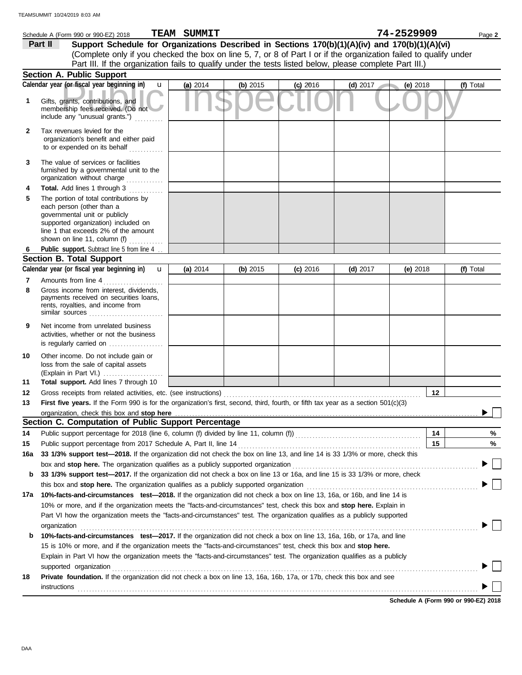|              | Schedule A (Form 990 or 990-EZ) 2018                                                                                                                                                                                           | <b>TEAM SUMMIT</b> |            |            |            | 74-2529909      | Page 2    |
|--------------|--------------------------------------------------------------------------------------------------------------------------------------------------------------------------------------------------------------------------------|--------------------|------------|------------|------------|-----------------|-----------|
|              | Support Schedule for Organizations Described in Sections 170(b)(1)(A)(iv) and 170(b)(1)(A)(vi)<br>Part II                                                                                                                      |                    |            |            |            |                 |           |
|              | (Complete only if you checked the box on line 5, 7, or 8 of Part I or if the organization failed to qualify under                                                                                                              |                    |            |            |            |                 |           |
|              | Part III. If the organization fails to qualify under the tests listed below, please complete Part III.)                                                                                                                        |                    |            |            |            |                 |           |
|              | <b>Section A. Public Support</b>                                                                                                                                                                                               |                    |            |            |            |                 |           |
|              | Calendar year (or fiscal year beginning in)<br>$\mathbf{u}$                                                                                                                                                                    | (a) 2014           | (b) $2015$ | $(c)$ 2016 | $(d)$ 2017 | (e) 2018        | (f) Total |
| 1            | Gifts, grants, contributions, and<br>membership fees received. (Do not<br>include any "unusual grants.")                                                                                                                       |                    |            |            |            |                 |           |
| $\mathbf{2}$ | Tax revenues levied for the<br>organization's benefit and either paid<br>to or expended on its behalf $\ldots$                                                                                                                 |                    |            |            |            |                 |           |
| 3            | The value of services or facilities<br>furnished by a governmental unit to the<br>organization without charge                                                                                                                  |                    |            |            |            |                 |           |
| 4            | Total. Add lines 1 through 3                                                                                                                                                                                                   |                    |            |            |            |                 |           |
| 5            | The portion of total contributions by<br>each person (other than a<br>governmental unit or publicly<br>supported organization) included on<br>line 1 that exceeds 2% of the amount<br>shown on line 11, column (f) $\ldots$    |                    |            |            |            |                 |           |
| 6            | Public support. Subtract line 5 from line 4                                                                                                                                                                                    |                    |            |            |            |                 |           |
|              | <b>Section B. Total Support</b>                                                                                                                                                                                                |                    |            |            |            |                 |           |
|              | Calendar year (or fiscal year beginning in)<br>$\mathbf{u}$                                                                                                                                                                    | (a) 2014           | (b) $2015$ | $(c)$ 2016 | (d) $2017$ | (e) $2018$      | (f) Total |
| 7<br>8       | Amounts from line 4<br>Gross income from interest, dividends,<br>payments received on securities loans,<br>rents, royalties, and income from                                                                                   |                    |            |            |            |                 |           |
| 9            | Net income from unrelated business<br>activities, whether or not the business<br>is regularly carried on                                                                                                                       |                    |            |            |            |                 |           |
| 10<br>11     | Other income. Do not include gain or<br>loss from the sale of capital assets<br>(Explain in Part VI.)<br>Total support. Add lines 7 through 10                                                                                 |                    |            |            |            |                 |           |
| 12           | Gross receipts from related activities, etc. (see instructions)                                                                                                                                                                |                    |            |            |            | 12 <sub>2</sub> |           |
| 13           | First five years. If the Form 990 is for the organization's first, second, third, fourth, or fifth tax year as a section 501(c)(3)                                                                                             |                    |            |            |            |                 |           |
|              | organization, check this box and stop here                                                                                                                                                                                     |                    |            |            |            |                 |           |
|              | Section C. Computation of Public Support Percentage                                                                                                                                                                            |                    |            |            |            |                 |           |
| 14           |                                                                                                                                                                                                                                |                    |            |            |            | 14              | %         |
| 15           | Public support percentage from 2017 Schedule A, Part II, line 14                                                                                                                                                               |                    |            |            |            | 15              | %         |
| 16a          | 33 1/3% support test-2018. If the organization did not check the box on line 13, and line 14 is 33 1/3% or more, check this                                                                                                    |                    |            |            |            |                 |           |
|              | box and stop here. The organization qualifies as a publicly supported organization [11] content content content or the organization [11] content of step here. The organization content of step and step here are step and ste |                    |            |            |            |                 |           |
| b            | 33 1/3% support test-2017. If the organization did not check a box on line 13 or 16a, and line 15 is 33 1/3% or more, check                                                                                                    |                    |            |            |            |                 |           |
|              |                                                                                                                                                                                                                                |                    |            |            |            |                 |           |
| 17a          | 10%-facts-and-circumstances test-2018. If the organization did not check a box on line 13, 16a, or 16b, and line 14 is                                                                                                         |                    |            |            |            |                 |           |
|              | 10% or more, and if the organization meets the "facts-and-circumstances" test, check this box and stop here. Explain in                                                                                                        |                    |            |            |            |                 |           |
|              | Part VI how the organization meets the "facts-and-circumstances" test. The organization qualifies as a publicly supported                                                                                                      |                    |            |            |            |                 |           |
|              | organization                                                                                                                                                                                                                   |                    |            |            |            |                 |           |
| b            | 10%-facts-and-circumstances test-2017. If the organization did not check a box on line 13, 16a, 16b, or 17a, and line                                                                                                          |                    |            |            |            |                 |           |
|              | 15 is 10% or more, and if the organization meets the "facts-and-circumstances" test, check this box and stop here.                                                                                                             |                    |            |            |            |                 |           |
|              | Explain in Part VI how the organization meets the "facts-and-circumstances" test. The organization qualifies as a publicly<br>supported organization                                                                           |                    |            |            |            |                 |           |
| 18           | Private foundation. If the organization did not check a box on line 13, 16a, 16b, 17a, or 17b, check this box and see                                                                                                          |                    |            |            |            |                 |           |
|              | <b>instructions</b>                                                                                                                                                                                                            |                    |            |            |            |                 |           |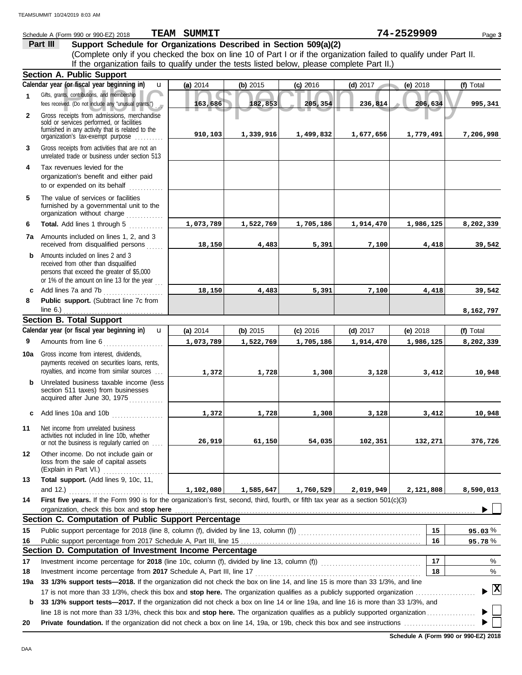|              | Schedule A (Form 990 or 990-EZ) 2018                                                                                                                                                                                                                     | TEAM SUMMIT |           |            |            | 74-2529909 | Page 3       |
|--------------|----------------------------------------------------------------------------------------------------------------------------------------------------------------------------------------------------------------------------------------------------------|-------------|-----------|------------|------------|------------|--------------|
|              | Part III<br>Support Schedule for Organizations Described in Section 509(a)(2)                                                                                                                                                                            |             |           |            |            |            |              |
|              | (Complete only if you checked the box on line 10 of Part I or if the organization failed to qualify under Part II.                                                                                                                                       |             |           |            |            |            |              |
|              | If the organization fails to qualify under the tests listed below, please complete Part II.)                                                                                                                                                             |             |           |            |            |            |              |
|              | <b>Section A. Public Support</b>                                                                                                                                                                                                                         |             |           |            |            |            |              |
|              | Calendar year (or fiscal year beginning in)<br>u                                                                                                                                                                                                         | (a) 2014    | (b) 2015  | $(c)$ 2016 | (d) $2017$ | (e) 2018   | (f) Total    |
| 1            | Gifts, grants, contributions, and membership<br>fees received. (Do not include any "unusual grants.")                                                                                                                                                    | 163,686     | 182,853   | 205,354    | 236,814    | 206,634    | 995,341      |
| $\mathbf{2}$ | Gross receipts from admissions, merchandise<br>sold or services performed, or facilities<br>furnished in any activity that is related to the                                                                                                             |             |           |            |            |            |              |
|              | organization's tax-exempt purpose                                                                                                                                                                                                                        | 910,103     | 1,339,916 | 1,499,832  | 1,677,656  | 1,779,491  | 7,206,998    |
| 3            | Gross receipts from activities that are not an<br>unrelated trade or business under section 513                                                                                                                                                          |             |           |            |            |            |              |
| 4            | Tax revenues levied for the<br>organization's benefit and either paid<br>to or expended on its behalf                                                                                                                                                    |             |           |            |            |            |              |
| 5            | The value of services or facilities<br>furnished by a governmental unit to the<br>organization without charge                                                                                                                                            |             |           |            |            |            |              |
| 6            | Total. Add lines 1 through 5                                                                                                                                                                                                                             | 1,073,789   | 1,522,769 | 1,705,186  | 1,914,470  | 1,986,125  | 8,202,339    |
|              | 7a Amounts included on lines 1, 2, and 3<br>received from disqualified persons                                                                                                                                                                           | 18,150      | 4,483     | 5,391      | 7,100      | 4,418      | 39,542       |
| b            | Amounts included on lines 2 and 3<br>received from other than disqualified<br>persons that exceed the greater of \$5,000<br>or 1% of the amount on line 13 for the year                                                                                  |             |           |            |            |            |              |
| c            | Add lines 7a and 7b                                                                                                                                                                                                                                      | 18,150      | 4,483     | 5,391      | 7,100      | 4,418      | 39,542       |
| 8            | Public support. (Subtract line 7c from<br>line $6.$ )                                                                                                                                                                                                    |             |           |            |            |            | 8,162,797    |
|              | <b>Section B. Total Support</b>                                                                                                                                                                                                                          |             |           |            |            |            |              |
|              | Calendar year (or fiscal year beginning in)<br>$\mathbf{u}$                                                                                                                                                                                              | (a) 2014    | (b) 2015  | $(c)$ 2016 | $(d)$ 2017 | (e) $2018$ | (f) Total    |
| 9            | Amounts from line 6<br>and a complete the complete state of the complete state of the complete state of the complete state of the comp<br>See the complete state of the complete state of the complete state of the complete state of the complete state | 1,073,789   | 1,522,769 | 1,705,186  | 1,914,470  | 1,986,125  | 8,202,339    |
| 10a          | Gross income from interest, dividends,<br>payments received on securities loans, rents,                                                                                                                                                                  |             |           |            |            |            |              |
|              | royalties, and income from similar sources                                                                                                                                                                                                               | 1,372       | 1,728     | 1,308      | 3,128      | 3,412      | 10,948       |
| b            | Unrelated business taxable income (less<br>section 511 taxes) from businesses<br>acquired after June 30, 1975                                                                                                                                            |             |           |            |            |            |              |
| c            | Add lines 10a and 10b                                                                                                                                                                                                                                    | 1,372       | 1,728     | 1,308      | 3,128      | 3,412      | 10,948       |
| 11           | Net income from unrelated business<br>activities not included in line 10b, whether<br>or not the business is regularly carried on                                                                                                                        | 26,919      | 61,150    | 54,035     | 102,351    | 132,271    | 376,726      |
| 12           | Other income. Do not include gain or<br>loss from the sale of capital assets<br>(Explain in Part VI.)                                                                                                                                                    |             |           |            |            |            |              |
| 13           | Total support. (Add lines 9, 10c, 11,                                                                                                                                                                                                                    |             |           |            |            |            |              |
|              | and 12.) $\qquad \qquad$                                                                                                                                                                                                                                 | 1,102,080   | 1,585,647 | 1,760,529  | 2,019,949  | 2,121,808  | 8,590,013    |
| 14           | First five years. If the Form 990 is for the organization's first, second, third, fourth, or fifth tax year as a section 501(c)(3)<br>organization, check this box and stop here                                                                         |             |           |            |            |            |              |
|              | Section C. Computation of Public Support Percentage                                                                                                                                                                                                      |             |           |            |            |            |              |
| 15           |                                                                                                                                                                                                                                                          |             |           |            |            | 15         | $95.03\%$    |
| 16           |                                                                                                                                                                                                                                                          |             |           |            |            | 16         | 95.78%       |
|              | Section D. Computation of Investment Income Percentage                                                                                                                                                                                                   |             |           |            |            |            |              |
| 17           | Investment income percentage for 2018 (line 10c, column (f), divided by line 13, column (f)) [[[[[[[[[[[[[[[[                                                                                                                                            |             |           |            |            | 17         | %            |
| 18           |                                                                                                                                                                                                                                                          |             |           |            |            | 18         | %            |
| 19a          | 33 1/3% support tests-2018. If the organization did not check the box on line 14, and line 15 is more than 33 1/3%, and line                                                                                                                             |             |           |            |            |            |              |
|              |                                                                                                                                                                                                                                                          |             |           |            |            |            | $\mathbf{E}$ |
| b            | 33 1/3% support tests-2017. If the organization did not check a box on line 14 or line 19a, and line 16 is more than 33 1/3%, and                                                                                                                        |             |           |            |            |            |              |
|              |                                                                                                                                                                                                                                                          |             |           |            |            |            |              |
| 20           |                                                                                                                                                                                                                                                          |             |           |            |            |            |              |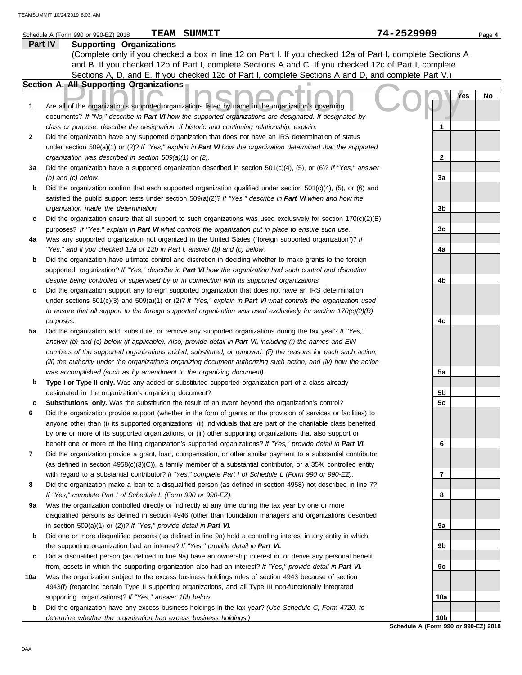|         | <b>TEAM SUMMIT</b><br>Schedule A (Form 990 or 990-EZ) 2018                                                                                                                                                                        | 74-2529909                                              | Page 4    |
|---------|-----------------------------------------------------------------------------------------------------------------------------------------------------------------------------------------------------------------------------------|---------------------------------------------------------|-----------|
| Part IV | <b>Supporting Organizations</b>                                                                                                                                                                                                   |                                                         |           |
|         | (Complete only if you checked a box in line 12 on Part I. If you checked 12a of Part I, complete Sections A                                                                                                                       |                                                         |           |
|         | and B. If you checked 12b of Part I, complete Sections A and C. If you checked 12c of Part I, complete                                                                                                                            |                                                         |           |
|         | Sections A, D, and E. If you checked 12d of Part I, complete Sections A and D, and complete Part V.)                                                                                                                              |                                                         |           |
|         | Section A. All Supporting Organizations                                                                                                                                                                                           |                                                         |           |
|         |                                                                                                                                                                                                                                   |                                                         | Yes<br>No |
| 1       | Are all of the organization's supported organizations listed by name in the organization's governing                                                                                                                              |                                                         |           |
|         | documents? If "No," describe in Part VI how the supported organizations are designated. If designated by                                                                                                                          |                                                         |           |
|         | class or purpose, describe the designation. If historic and continuing relationship, explain.                                                                                                                                     | 1                                                       |           |
| 2       | Did the organization have any supported organization that does not have an IRS determination of status                                                                                                                            |                                                         |           |
|         | under section 509(a)(1) or (2)? If "Yes," explain in Part VI how the organization determined that the supported                                                                                                                   |                                                         |           |
|         | organization was described in section 509(a)(1) or (2).                                                                                                                                                                           | $\mathbf{2}$                                            |           |
| За      | Did the organization have a supported organization described in section $501(c)(4)$ , (5), or (6)? If "Yes," answer                                                                                                               |                                                         |           |
|         | $(b)$ and $(c)$ below.                                                                                                                                                                                                            | 3a                                                      |           |
| b       | Did the organization confirm that each supported organization qualified under section $501(c)(4)$ , $(5)$ , or $(6)$ and                                                                                                          |                                                         |           |
|         | satisfied the public support tests under section 509(a)(2)? If "Yes," describe in Part VI when and how the                                                                                                                        |                                                         |           |
|         | organization made the determination.                                                                                                                                                                                              | 3b                                                      |           |
| c       | Did the organization ensure that all support to such organizations was used exclusively for section $170(c)(2)(B)$                                                                                                                |                                                         |           |
|         | purposes? If "Yes," explain in Part VI what controls the organization put in place to ensure such use.                                                                                                                            | 3 <sub>c</sub>                                          |           |
| 4a      | Was any supported organization not organized in the United States ("foreign supported organization")? If                                                                                                                          |                                                         |           |
|         | "Yes," and if you checked 12a or 12b in Part I, answer (b) and (c) below.                                                                                                                                                         | 4a                                                      |           |
| b       | Did the organization have ultimate control and discretion in deciding whether to make grants to the foreign                                                                                                                       |                                                         |           |
|         | supported organization? If "Yes," describe in Part VI how the organization had such control and discretion                                                                                                                        |                                                         |           |
|         | despite being controlled or supervised by or in connection with its supported organizations.                                                                                                                                      | 4b                                                      |           |
| c       | Did the organization support any foreign supported organization that does not have an IRS determination                                                                                                                           |                                                         |           |
|         | under sections $501(c)(3)$ and $509(a)(1)$ or (2)? If "Yes," explain in Part VI what controls the organization used                                                                                                               |                                                         |           |
|         | to ensure that all support to the foreign supported organization was used exclusively for section $170(c)(2)(B)$                                                                                                                  |                                                         |           |
|         | purposes.                                                                                                                                                                                                                         | 4c                                                      |           |
| 5a      | Did the organization add, substitute, or remove any supported organizations during the tax year? If "Yes,"                                                                                                                        |                                                         |           |
|         | answer (b) and (c) below (if applicable). Also, provide detail in Part VI, including (i) the names and EIN                                                                                                                        |                                                         |           |
|         | numbers of the supported organizations added, substituted, or removed; (ii) the reasons for each such action;                                                                                                                     |                                                         |           |
|         | (iii) the authority under the organization's organizing document authorizing such action; and (iv) how the action                                                                                                                 |                                                         |           |
|         | was accomplished (such as by amendment to the organizing document).                                                                                                                                                               | 5a                                                      |           |
| b       | Type I or Type II only. Was any added or substituted supported organization part of a class already                                                                                                                               |                                                         |           |
|         | designated in the organization's organizing document?                                                                                                                                                                             | 5b                                                      |           |
|         | Substitutions only. Was the substitution the result of an event beyond the organization's control?                                                                                                                                | 5c                                                      |           |
| 6       | Did the organization provide support (whether in the form of grants or the provision of services or facilities) to                                                                                                                |                                                         |           |
|         | anyone other than (i) its supported organizations, (ii) individuals that are part of the charitable class benefited                                                                                                               |                                                         |           |
|         | by one or more of its supported organizations, or (iii) other supporting organizations that also support or                                                                                                                       |                                                         |           |
| 7       | benefit one or more of the filing organization's supported organizations? If "Yes," provide detail in Part VI.<br>Did the organization provide a grant, loan, compensation, or other similar payment to a substantial contributor | 6                                                       |           |
|         | (as defined in section $4958(c)(3)(C)$ ), a family member of a substantial contributor, or a 35% controlled entity                                                                                                                |                                                         |           |
|         | with regard to a substantial contributor? If "Yes," complete Part I of Schedule L (Form 990 or 990-EZ).                                                                                                                           | $\overline{7}$                                          |           |
| 8       | Did the organization make a loan to a disqualified person (as defined in section 4958) not described in line 7?                                                                                                                   |                                                         |           |
|         | If "Yes," complete Part I of Schedule L (Form 990 or 990-EZ).                                                                                                                                                                     | 8                                                       |           |
| 9a      | Was the organization controlled directly or indirectly at any time during the tax year by one or more                                                                                                                             |                                                         |           |
|         | disqualified persons as defined in section 4946 (other than foundation managers and organizations described                                                                                                                       |                                                         |           |
|         | in section $509(a)(1)$ or $(2)$ ? If "Yes," provide detail in Part VI.                                                                                                                                                            | 9a                                                      |           |
| b       | Did one or more disqualified persons (as defined in line 9a) hold a controlling interest in any entity in which                                                                                                                   |                                                         |           |
|         | the supporting organization had an interest? If "Yes," provide detail in Part VI.                                                                                                                                                 | 9b                                                      |           |
| с       | Did a disqualified person (as defined in line 9a) have an ownership interest in, or derive any personal benefit                                                                                                                   |                                                         |           |
|         | from, assets in which the supporting organization also had an interest? If "Yes," provide detail in Part VI.                                                                                                                      | 9с                                                      |           |
| 10a     | Was the organization subject to the excess business holdings rules of section 4943 because of section                                                                                                                             |                                                         |           |
|         | 4943(f) (regarding certain Type II supporting organizations, and all Type III non-functionally integrated                                                                                                                         |                                                         |           |
|         | supporting organizations)? If "Yes," answer 10b below.                                                                                                                                                                            | 10a                                                     |           |
| b       | Did the organization have any excess business holdings in the tax year? (Use Schedule C, Form 4720, to                                                                                                                            |                                                         |           |
|         | determine whether the organization had excess business holdings.)                                                                                                                                                                 | 10 <sub>b</sub><br>Schodulo A (Form 000 or 000-F7) 2018 |           |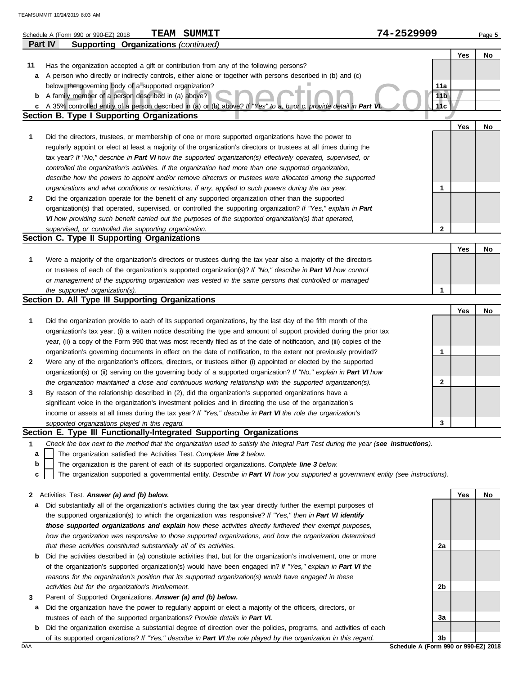|    | <b>TEAM SUMMIT</b><br>Schedule A (Form 990 or 990-EZ) 2018                                                                                                               | 74-2529909      |     | Page 5 |
|----|--------------------------------------------------------------------------------------------------------------------------------------------------------------------------|-----------------|-----|--------|
|    | <b>Supporting Organizations (continued)</b><br>Part IV                                                                                                                   |                 |     |        |
|    |                                                                                                                                                                          |                 | Yes | No     |
| 11 | Has the organization accepted a gift or contribution from any of the following persons?                                                                                  |                 |     |        |
| а  | A person who directly or indirectly controls, either alone or together with persons described in (b) and (c)                                                             |                 |     |        |
|    | below, the governing body of a supported organization?                                                                                                                   | 11a             |     |        |
| b  | A family member of a person described in (a) above?                                                                                                                      | 11 <sub>b</sub> |     |        |
| c  | A 35% controlled entity of a person described in (a) or (b) above? If "Yes" to a, b, or c, provide detail in Part V<br><b>Section B. Type I Supporting Organizations</b> | 11c             |     |        |
|    |                                                                                                                                                                          |                 |     |        |
|    |                                                                                                                                                                          |                 | Yes | No     |
| 1  | Did the directors, trustees, or membership of one or more supported organizations have the power to                                                                      |                 |     |        |
|    | regularly appoint or elect at least a majority of the organization's directors or trustees at all times during the                                                       |                 |     |        |
|    | tax year? If "No," describe in Part VI how the supported organization(s) effectively operated, supervised, or                                                            |                 |     |        |
|    | controlled the organization's activities. If the organization had more than one supported organization,                                                                  |                 |     |        |
|    | describe how the powers to appoint and/or remove directors or trustees were allocated among the supported                                                                |                 |     |        |
|    | organizations and what conditions or restrictions, if any, applied to such powers during the tax year.                                                                   | 1               |     |        |
| 2  | Did the organization operate for the benefit of any supported organization other than the supported                                                                      |                 |     |        |
|    | organization(s) that operated, supervised, or controlled the supporting organization? If "Yes," explain in Part                                                          |                 |     |        |
|    | VI how providing such benefit carried out the purposes of the supported organization(s) that operated,                                                                   |                 |     |        |
|    | supervised, or controlled the supporting organization.<br>Section C. Type II Supporting Organizations                                                                    | 2               |     |        |
|    |                                                                                                                                                                          |                 | Yes | No     |
| 1  | Were a majority of the organization's directors or trustees during the tax year also a majority of the directors                                                         |                 |     |        |
|    | or trustees of each of the organization's supported organization(s)? If "No," describe in Part VI how control                                                            |                 |     |        |
|    | or management of the supporting organization was vested in the same persons that controlled or managed                                                                   |                 |     |        |
|    | the supported organization(s).                                                                                                                                           | 1               |     |        |
|    | Section D. All Type III Supporting Organizations                                                                                                                         |                 |     |        |
|    |                                                                                                                                                                          |                 | Yes | No     |
| 1  | Did the organization provide to each of its supported organizations, by the last day of the fifth month of the                                                           |                 |     |        |
|    | organization's tax year, (i) a written notice describing the type and amount of support provided during the prior tax                                                    |                 |     |        |
|    | year, (ii) a copy of the Form 990 that was most recently filed as of the date of notification, and (iii) copies of the                                                   |                 |     |        |
|    | organization's governing documents in effect on the date of notification, to the extent not previously provided?                                                         | 1               |     |        |
| 2  | Were any of the organization's officers, directors, or trustees either (i) appointed or elected by the supported                                                         |                 |     |        |
|    | organization(s) or (ii) serving on the governing body of a supported organization? If "No," explain in Part VI how                                                       |                 |     |        |
|    | the organization maintained a close and continuous working relationship with the supported organization(s).                                                              | 2               |     |        |
| 3  | By reason of the relationship described in (2), did the organization's supported organizations have a                                                                    |                 |     |        |
|    | significant voice in the organization's investment policies and in directing the use of the organization's                                                               |                 |     |        |
|    | income or assets at all times during the tax year? If "Yes," describe in Part VI the role the organization's                                                             |                 |     |        |
|    | supported organizations played in this regard.                                                                                                                           | 3               |     |        |
|    | Section E. Type III Functionally-Integrated Supporting Organizations                                                                                                     |                 |     |        |
| 1  | Check the box next to the method that the organization used to satisfy the Integral Part Test during the year (see instructions).                                        |                 |     |        |
| a  | The organization satisfied the Activities Test. Complete line 2 below.                                                                                                   |                 |     |        |
| b  | The organization is the parent of each of its supported organizations. Complete line 3 below.                                                                            |                 |     |        |
| c  | The organization supported a governmental entity. Describe in Part VI how you supported a government entity (see instructions).                                          |                 |     |        |
|    |                                                                                                                                                                          |                 |     |        |
| 2  | Activities Test. Answer (a) and (b) below.                                                                                                                               |                 | Yes | No     |
| а  | Did substantially all of the organization's activities during the tax year directly further the exempt purposes of                                                       |                 |     |        |
|    | the supported organization(s) to which the organization was responsive? If "Yes," then in Part VI identify                                                               |                 |     |        |
|    | those supported organizations and explain how these activities directly furthered their exempt purposes,                                                                 |                 |     |        |
|    | how the organization was responsive to those supported organizations, and how the organization determined                                                                |                 |     |        |
|    | that these activities constituted substantially all of its activities.                                                                                                   | 2a              |     |        |
| b  | Did the activities described in (a) constitute activities that, but for the organization's involvement, one or more                                                      |                 |     |        |
|    | of the organization's supported organization(s) would have been engaged in? If "Yes," explain in Part VI the                                                             |                 |     |        |
|    | reasons for the organization's position that its supported organization(s) would have engaged in these                                                                   |                 |     |        |

- **3** *activities but for the organization's involvement.* Parent of Supported Organizations. *Answer (a) and (b) below.*
	- **a** Did the organization have the power to regularly appoint or elect a majority of the officers, directors, or trustees of each of the supported organizations? *Provide details in Part VI.*
	- **b** Did the organization exercise a substantial degree of direction over the policies, programs, and activities of each of its supported organizations? *If "Yes," describe in Part VI the role played by the organization in this regard.*

DAA **Schedule A (Form 990 or 990-EZ) 2018 3b**

**2b**

**3a**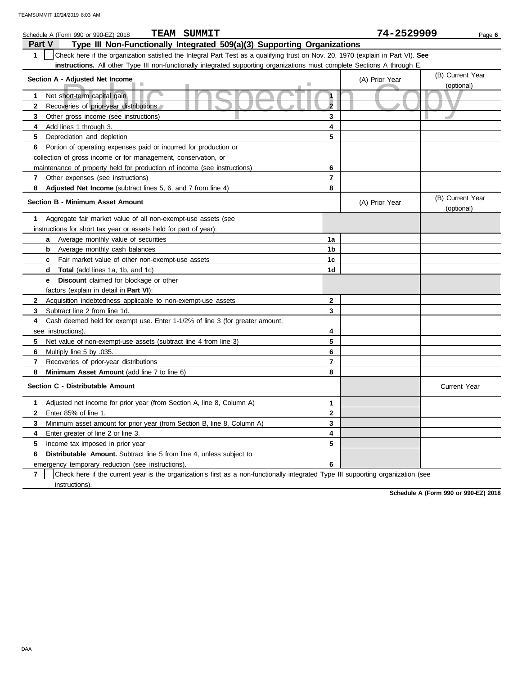| <b>TEAM SUMMIT</b><br>Schedule A (Form 990 or 990-EZ) 2018                                                                                       |                | 74-2529909     | Page 6                         |
|--------------------------------------------------------------------------------------------------------------------------------------------------|----------------|----------------|--------------------------------|
| Type III Non-Functionally Integrated 509(a)(3) Supporting Organizations<br>Part V                                                                |                |                |                                |
| $\mathbf{1}$<br>Check here if the organization satisfied the Integral Part Test as a qualifying trust on Nov. 20, 1970 (explain in Part VI). See |                |                |                                |
| instructions. All other Type III non-functionally integrated supporting organizations must complete Sections A through E.                        |                |                |                                |
| Section A - Adjusted Net Income                                                                                                                  |                | (A) Prior Year | (B) Current Year               |
|                                                                                                                                                  |                |                | (optional)                     |
| Net short-term capital gain<br>1                                                                                                                 | $\mathbf{1}$   |                |                                |
| Recoveries of prior-year distributions<br>$\mathbf{2}$                                                                                           | $\overline{2}$ |                |                                |
| 3<br>Other gross income (see instructions)                                                                                                       | 3              |                |                                |
| 4<br>Add lines 1 through 3.                                                                                                                      | 4              |                |                                |
| 5<br>Depreciation and depletion                                                                                                                  | 5              |                |                                |
| 6<br>Portion of operating expenses paid or incurred for production or                                                                            |                |                |                                |
| collection of gross income or for management, conservation, or                                                                                   |                |                |                                |
| maintenance of property held for production of income (see instructions)                                                                         | 6              |                |                                |
| 7<br>Other expenses (see instructions)                                                                                                           | $\overline{7}$ |                |                                |
| 8<br>Adjusted Net Income (subtract lines 5, 6, and 7 from line 4)                                                                                | 8              |                |                                |
| Section B - Minimum Asset Amount                                                                                                                 |                | (A) Prior Year | (B) Current Year<br>(optional) |
| 1<br>Aggregate fair market value of all non-exempt-use assets (see                                                                               |                |                |                                |
| instructions for short tax year or assets held for part of year):                                                                                |                |                |                                |
| Average monthly value of securities<br>a                                                                                                         | 1a             |                |                                |
| Average monthly cash balances<br>b                                                                                                               | 1 <sub>b</sub> |                |                                |
| Fair market value of other non-exempt-use assets<br>C                                                                                            | 1 <sub>c</sub> |                |                                |
| Total (add lines 1a, 1b, and 1c)<br>d                                                                                                            | 1d             |                |                                |
| <b>Discount</b> claimed for blockage or other<br>е                                                                                               |                |                |                                |
| factors (explain in detail in <b>Part VI)</b> :                                                                                                  |                |                |                                |
| Acquisition indebtedness applicable to non-exempt-use assets<br>$\mathbf{2}$                                                                     | 2              |                |                                |
| Subtract line 2 from line 1d.<br>3                                                                                                               | 3              |                |                                |
| Cash deemed held for exempt use. Enter 1-1/2% of line 3 (for greater amount,<br>4                                                                |                |                |                                |
| see instructions)                                                                                                                                | 4              |                |                                |
| Net value of non-exempt-use assets (subtract line 4 from line 3)<br>5                                                                            | 5              |                |                                |
| 6<br>.035. Multiply line 5 by                                                                                                                    | 6              |                |                                |
| 7<br>Recoveries of prior-year distributions                                                                                                      | $\overline{7}$ |                |                                |
| Minimum Asset Amount (add line 7 to line 6)<br>8                                                                                                 | 8              |                |                                |
| Section C - Distributable Amount                                                                                                                 |                |                | <b>Current Year</b>            |
| 1<br>Adjusted net income for prior year (from Section A, line 8, Column A)                                                                       | $\mathbf{1}$   |                |                                |
| $\mathbf{2}$<br>Enter 85% of line 1.                                                                                                             | $\mathbf{2}$   |                |                                |
| 3<br>Minimum asset amount for prior year (from Section B, line 8, Column A)                                                                      | 3              |                |                                |
| Enter greater of line 2 or line 3.<br>4                                                                                                          | 4              |                |                                |
| Income tax imposed in prior year<br>5                                                                                                            | 5              |                |                                |
| Distributable Amount. Subtract line 5 from line 4, unless subject to<br>6                                                                        |                |                |                                |
| emergency temporary reduction (see instructions).                                                                                                | 6              |                |                                |

**7** instructions). Check here if the current year is the organization's first as a non-functionally integrated Type III supporting organization (see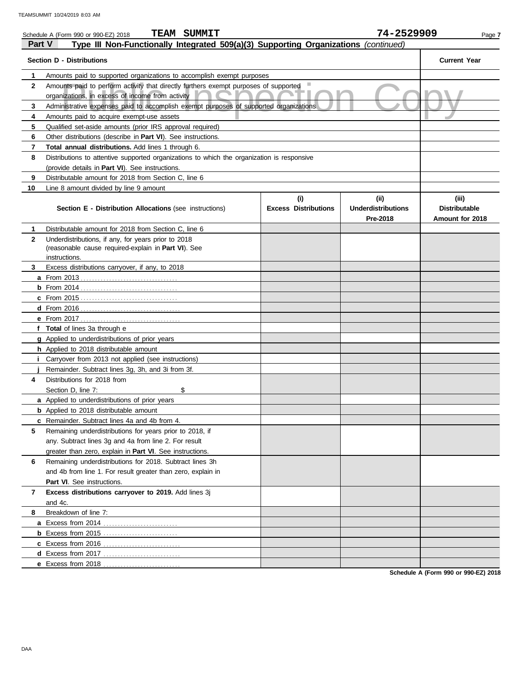|               | <b>TEAM SUMMIT</b><br>Schedule A (Form 990 or 990-EZ) 2018                                 |                             | 74-2529909                            | Page 7                                  |
|---------------|--------------------------------------------------------------------------------------------|-----------------------------|---------------------------------------|-----------------------------------------|
| <b>Part V</b> | Type III Non-Functionally Integrated 509(a)(3) Supporting Organizations (continued)        |                             |                                       |                                         |
|               | <b>Section D - Distributions</b>                                                           |                             |                                       | <b>Current Year</b>                     |
| 1             | Amounts paid to supported organizations to accomplish exempt purposes                      |                             |                                       |                                         |
| $\mathbf{2}$  | Amounts paid to perform activity that directly furthers exempt purposes of supported       |                             |                                       |                                         |
|               | organizations, in excess of income from activity                                           |                             |                                       |                                         |
| 3             | Administrative expenses paid to accomplish exempt purposes of supported organizations      |                             |                                       |                                         |
| 4             | Amounts paid to acquire exempt-use assets                                                  |                             |                                       |                                         |
| 5             | Qualified set-aside amounts (prior IRS approval required)                                  |                             |                                       |                                         |
| 6             | Other distributions (describe in Part VI). See instructions.                               |                             |                                       |                                         |
| 7             | Total annual distributions. Add lines 1 through 6.                                         |                             |                                       |                                         |
| 8             | Distributions to attentive supported organizations to which the organization is responsive |                             |                                       |                                         |
|               | (provide details in Part VI). See instructions.                                            |                             |                                       |                                         |
| 9             | Distributable amount for 2018 from Section C, line 6                                       |                             |                                       |                                         |
| 10            | Line 8 amount divided by line 9 amount                                                     |                             |                                       |                                         |
|               |                                                                                            | (i)                         | (ii)                                  | (iii)                                   |
|               | Section E - Distribution Allocations (see instructions)                                    | <b>Excess Distributions</b> | <b>Underdistributions</b><br>Pre-2018 | <b>Distributable</b><br>Amount for 2018 |
| 1             | Distributable amount for 2018 from Section C, line 6                                       |                             |                                       |                                         |
| $\mathbf{2}$  | Underdistributions, if any, for years prior to 2018                                        |                             |                                       |                                         |
|               | (reasonable cause required-explain in Part VI). See                                        |                             |                                       |                                         |
|               | instructions.                                                                              |                             |                                       |                                         |
| 3             | Excess distributions carryover, if any, to 2018                                            |                             |                                       |                                         |
|               |                                                                                            |                             |                                       |                                         |
|               |                                                                                            |                             |                                       |                                         |
|               |                                                                                            |                             |                                       |                                         |
|               |                                                                                            |                             |                                       |                                         |
|               |                                                                                            |                             |                                       |                                         |
|               | f Total of lines 3a through e                                                              |                             |                                       |                                         |
|               | g Applied to underdistributions of prior years                                             |                             |                                       |                                         |
|               | h Applied to 2018 distributable amount                                                     |                             |                                       |                                         |
|               | Carryover from 2013 not applied (see instructions)                                         |                             |                                       |                                         |
|               | Remainder. Subtract lines 3g, 3h, and 3i from 3f.                                          |                             |                                       |                                         |
| 4             | Distributions for 2018 from                                                                |                             |                                       |                                         |
|               | Section D, line 7:<br>\$                                                                   |                             |                                       |                                         |
|               | a Applied to underdistributions of prior years                                             |                             |                                       |                                         |
|               | <b>b</b> Applied to 2018 distributable amount                                              |                             |                                       |                                         |
|               | c Remainder. Subtract lines 4a and 4b from 4.                                              |                             |                                       |                                         |
| 5             | Remaining underdistributions for years prior to 2018, if                                   |                             |                                       |                                         |
|               | any. Subtract lines 3g and 4a from line 2. For result                                      |                             |                                       |                                         |
|               | greater than zero, explain in Part VI. See instructions.                                   |                             |                                       |                                         |
| 6             | Remaining underdistributions for 2018. Subtract lines 3h                                   |                             |                                       |                                         |
|               | and 4b from line 1. For result greater than zero, explain in                               |                             |                                       |                                         |
|               | Part VI. See instructions.                                                                 |                             |                                       |                                         |
| 7             | Excess distributions carryover to 2019. Add lines 3j                                       |                             |                                       |                                         |
|               | and 4c.                                                                                    |                             |                                       |                                         |
| 8             | Breakdown of line 7:                                                                       |                             |                                       |                                         |
|               | a Excess from 2014                                                                         |                             |                                       |                                         |
|               |                                                                                            |                             |                                       |                                         |
|               |                                                                                            |                             |                                       |                                         |
|               |                                                                                            |                             |                                       |                                         |
|               | e Excess from 2018                                                                         |                             |                                       |                                         |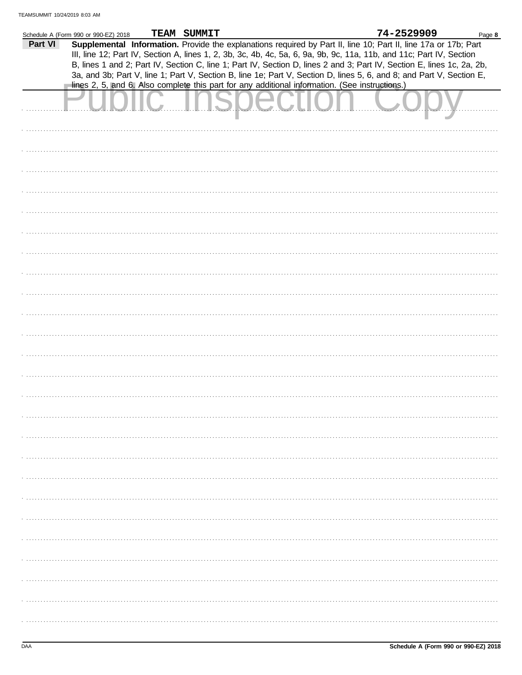|         | Schedule A (Form 990 or 990-EZ) 2018 | TEAM SUMMIT |                                                                                                | 74-2529909                                                                                                             | Page 8 |
|---------|--------------------------------------|-------------|------------------------------------------------------------------------------------------------|------------------------------------------------------------------------------------------------------------------------|--------|
| Part VI |                                      |             |                                                                                                | Supplemental Information. Provide the explanations required by Part II, line 10; Part II, line 17a or 17b; Part        |        |
|         |                                      |             |                                                                                                |                                                                                                                        |        |
|         |                                      |             |                                                                                                | III, line 12; Part IV, Section A, lines 1, 2, 3b, 3c, 4b, 4c, 5a, 6, 9a, 9b, 9c, 11a, 11b, and 11c; Part IV, Section   |        |
|         |                                      |             |                                                                                                | B, lines 1 and 2; Part IV, Section C, line 1; Part IV, Section D, lines 2 and 3; Part IV, Section E, lines 1c, 2a, 2b, |        |
|         |                                      |             |                                                                                                | 3a, and 3b; Part V, line 1; Part V, Section B, line 1e; Part V, Section D, lines 5, 6, and 8; and Part V, Section E,   |        |
|         |                                      |             | lines 2, 5, and 6. Also complete this part for any additional information. (See instructions.) |                                                                                                                        |        |
|         |                                      |             |                                                                                                |                                                                                                                        |        |
|         |                                      |             |                                                                                                |                                                                                                                        |        |
|         |                                      |             |                                                                                                |                                                                                                                        |        |
|         |                                      |             |                                                                                                |                                                                                                                        |        |
|         |                                      |             |                                                                                                |                                                                                                                        |        |
|         |                                      |             |                                                                                                |                                                                                                                        |        |
|         |                                      |             |                                                                                                |                                                                                                                        |        |
|         |                                      |             |                                                                                                |                                                                                                                        |        |
|         |                                      |             |                                                                                                |                                                                                                                        |        |
|         |                                      |             |                                                                                                |                                                                                                                        |        |
|         |                                      |             |                                                                                                |                                                                                                                        |        |
|         |                                      |             |                                                                                                |                                                                                                                        |        |
|         |                                      |             |                                                                                                |                                                                                                                        |        |
|         |                                      |             |                                                                                                |                                                                                                                        |        |
|         |                                      |             |                                                                                                |                                                                                                                        |        |
|         |                                      |             |                                                                                                |                                                                                                                        |        |
|         |                                      |             |                                                                                                |                                                                                                                        |        |
|         |                                      |             |                                                                                                |                                                                                                                        |        |
|         |                                      |             |                                                                                                |                                                                                                                        |        |
|         |                                      |             |                                                                                                |                                                                                                                        |        |
|         |                                      |             |                                                                                                |                                                                                                                        |        |
|         |                                      |             |                                                                                                |                                                                                                                        |        |
|         |                                      |             |                                                                                                |                                                                                                                        |        |
|         |                                      |             |                                                                                                |                                                                                                                        |        |
|         |                                      |             |                                                                                                |                                                                                                                        |        |
|         |                                      |             |                                                                                                |                                                                                                                        |        |
|         |                                      |             |                                                                                                |                                                                                                                        |        |
|         |                                      |             |                                                                                                |                                                                                                                        |        |
|         |                                      |             |                                                                                                |                                                                                                                        |        |
|         |                                      |             |                                                                                                |                                                                                                                        |        |
|         |                                      |             |                                                                                                |                                                                                                                        |        |
|         |                                      |             |                                                                                                |                                                                                                                        |        |
|         |                                      |             |                                                                                                |                                                                                                                        |        |
|         |                                      |             |                                                                                                |                                                                                                                        |        |
|         |                                      |             |                                                                                                |                                                                                                                        |        |
|         |                                      |             |                                                                                                |                                                                                                                        |        |
|         |                                      |             |                                                                                                |                                                                                                                        |        |
|         |                                      |             |                                                                                                |                                                                                                                        |        |
|         |                                      |             |                                                                                                |                                                                                                                        |        |
|         |                                      |             |                                                                                                |                                                                                                                        |        |
|         |                                      |             |                                                                                                |                                                                                                                        |        |
|         |                                      |             |                                                                                                |                                                                                                                        |        |
|         |                                      |             |                                                                                                |                                                                                                                        |        |
|         |                                      |             |                                                                                                |                                                                                                                        |        |
|         |                                      |             |                                                                                                |                                                                                                                        |        |
|         |                                      |             |                                                                                                |                                                                                                                        |        |
|         |                                      |             |                                                                                                |                                                                                                                        |        |
|         |                                      |             |                                                                                                |                                                                                                                        |        |
|         |                                      |             |                                                                                                |                                                                                                                        |        |
|         |                                      |             |                                                                                                |                                                                                                                        |        |
|         |                                      |             |                                                                                                |                                                                                                                        |        |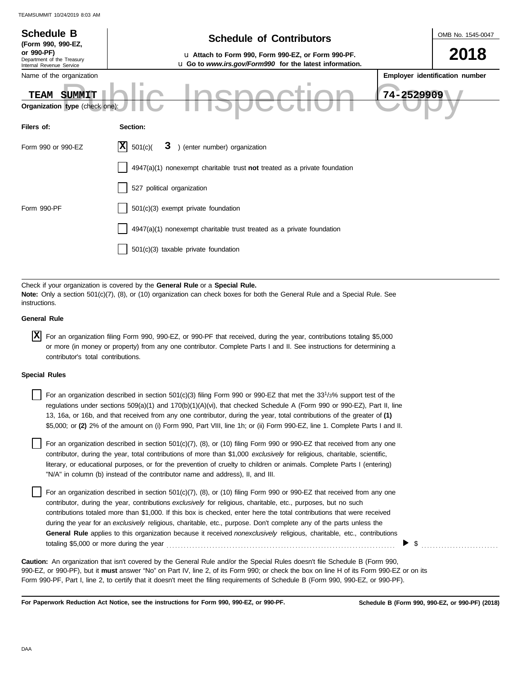| <b>Schedule B</b><br>(Form 990, 990-EZ,                              | <b>Schedule of Contributors</b>                                                                                                                                                                             | OMB No. 1545-0047              |
|----------------------------------------------------------------------|-------------------------------------------------------------------------------------------------------------------------------------------------------------------------------------------------------------|--------------------------------|
| or 990-PF)<br>Department of the Treasury<br>Internal Revenue Service | u Attach to Form 990, Form 990-EZ, or Form 990-PF.<br>u Go to www.irs.gov/Form990 for the latest information.                                                                                               | 2018                           |
| Name of the organization                                             |                                                                                                                                                                                                             | Employer identification number |
| SUMMIT<br><b>TEAM</b><br>Organization type (check one):              |                                                                                                                                                                                                             | 74-2529909                     |
| Filers of:                                                           | Section:                                                                                                                                                                                                    |                                |
| Form 990 or 990-EZ                                                   | X<br>3 ) (enter number) organization<br>501(c)                                                                                                                                                              |                                |
|                                                                      | $4947(a)(1)$ nonexempt charitable trust not treated as a private foundation                                                                                                                                 |                                |
|                                                                      | 527 political organization                                                                                                                                                                                  |                                |
| Form 990-PF                                                          | 501(c)(3) exempt private foundation                                                                                                                                                                         |                                |
|                                                                      | 4947(a)(1) nonexempt charitable trust treated as a private foundation                                                                                                                                       |                                |
|                                                                      | 501(c)(3) taxable private foundation                                                                                                                                                                        |                                |
|                                                                      |                                                                                                                                                                                                             |                                |
| instructions.                                                        | Check if your organization is covered by the General Rule or a Special Rule.<br>Note: Only a section 501(c)(7), (8), or (10) organization can check boxes for both the General Rule and a Special Rule. See |                                |
| <b>General Rule</b>                                                  |                                                                                                                                                                                                             |                                |
|                                                                      |                                                                                                                                                                                                             |                                |

| X For an organization filing Form 990, 990-EZ, or 990-PF that received, during the year, contributions totaling \$5,000 |
|-------------------------------------------------------------------------------------------------------------------------|
| or more (in money or property) from any one contributor. Complete Parts I and II. See instructions for determining a    |
| contributor's total contributions.                                                                                      |

### **Special Rules**

| For an organization described in section 501(c)(3) filing Form 990 or 990-EZ that met the $33^{1/3\%}$ support test of the  |
|-----------------------------------------------------------------------------------------------------------------------------|
| regulations under sections 509(a)(1) and 170(b)(1)(A)(vi), that checked Schedule A (Form 990 or 990-EZ), Part II, line      |
| 13, 16a, or 16b, and that received from any one contributor, during the year, total contributions of the greater of (1)     |
| \$5,000; or (2) 2% of the amount on (i) Form 990, Part VIII, line 1h; or (ii) Form 990-EZ, line 1. Complete Parts I and II. |

literary, or educational purposes, or for the prevention of cruelty to children or animals. Complete Parts I (entering) For an organization described in section 501(c)(7), (8), or (10) filing Form 990 or 990-EZ that received from any one contributor, during the year, total contributions of more than \$1,000 *exclusively* for religious, charitable, scientific, "N/A" in column (b) instead of the contributor name and address), II, and III.

For an organization described in section 501(c)(7), (8), or (10) filing Form 990 or 990-EZ that received from any one contributor, during the year, contributions *exclusively* for religious, charitable, etc., purposes, but no such contributions totaled more than \$1,000. If this box is checked, enter here the total contributions that were received during the year for an *exclusively* religious, charitable, etc., purpose. Don't complete any of the parts unless the **General Rule** applies to this organization because it received *nonexclusively* religious, charitable, etc., contributions totaling \$5,000 or more during the year . . . . . . . . . . . . . . . . . . . . . . . . . . . . . . . . . . . . . . . . . . . . . . . . . . . . . . . . . . . . . . . . . . . . . . . . . . . . . . . .

990-EZ, or 990-PF), but it **must** answer "No" on Part IV, line 2, of its Form 990; or check the box on line H of its Form 990-EZ or on its Form 990-PF, Part I, line 2, to certify that it doesn't meet the filing requirements of Schedule B (Form 990, 990-EZ, or 990-PF). **Caution:** An organization that isn't covered by the General Rule and/or the Special Rules doesn't file Schedule B (Form 990,

**For Paperwork Reduction Act Notice, see the instructions for Form 990, 990-EZ, or 990-PF.**

 $\triangleright$  \$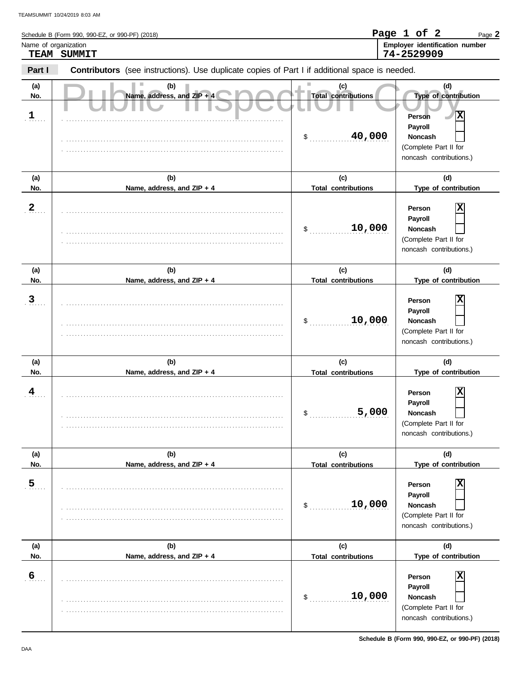| Name of organization | TEAM SUMMIT                                                                                    |                                            | Employer identification number<br>74-2529909                                                                       |
|----------------------|------------------------------------------------------------------------------------------------|--------------------------------------------|--------------------------------------------------------------------------------------------------------------------|
| Part I               | Contributors (see instructions). Use duplicate copies of Part I if additional space is needed. |                                            |                                                                                                                    |
| (a)<br>No.           | (b)<br>Name, address, and ZIP + 4                                                              | (c)<br><b>Total contributions</b>          | (d)<br>Type of contribution                                                                                        |
| $\frac{1}{2}$        |                                                                                                | 40,000<br>\$                               | $\overline{\mathbf{x}}$<br>Person<br>Payroll<br>Noncash<br>(Complete Part II for<br>noncash contributions.)        |
| (a)<br>No.           | (b)<br>Name, address, and ZIP + 4                                                              | (c)<br><b>Total contributions</b>          | (d)<br>Type of contribution                                                                                        |
| $\overline{2}$       |                                                                                                | 10,000<br>\$                               | х<br>Person<br>Payroll<br>Noncash<br>(Complete Part II for<br>noncash contributions.)                              |
| (a)<br>No.           | (b)<br>Name, address, and ZIP + 4                                                              | (c)<br><b>Total contributions</b>          | (d)<br>Type of contribution                                                                                        |
| $\overline{3}$       |                                                                                                | 10,000<br>\$                               | х<br>Person<br>Payroll<br>Noncash<br>(Complete Part II for<br>noncash contributions.)                              |
| (a)<br>No.           | (b)<br>Name, address, and ZIP + 4                                                              | (c)<br><b>Total contributions</b>          | (d)<br>Type of contribution                                                                                        |
| 4                    |                                                                                                | 5,000<br>\$                                | $\overline{\mathbf{x}}$<br>Person<br>Payroll<br><b>Noncash</b><br>(Complete Part II for<br>noncash contributions.) |
| (a)<br>No.           | (b)<br>Name, address, and ZIP + 4                                                              | (c)<br><b>Total contributions</b>          | (d)<br>Type of contribution                                                                                        |
| $\overline{5}$       |                                                                                                | 10,000<br>\$                               | X<br>Person<br>Payroll<br><b>Noncash</b><br>(Complete Part II for<br>noncash contributions.)                       |
| (a)<br>No.           | (b)<br>Name, address, and ZIP + 4                                                              | (c)                                        | (d)<br>Type of contribution                                                                                        |
| $6 \overline{6}$     |                                                                                                | <b>Total contributions</b><br>10,000<br>\$ | X<br>Person<br>Payroll<br>Noncash<br>(Complete Part II for                                                         |

. . . . . . . . . . . . . . . . . . . . . . . . . . . . . . . . . . . . . . . . . . . . . . . . . . . . . . . . . . . . . . . . . . . . . . . . . . . . .

**Schedule B (Form 990, 990-EZ, or 990-PF) (2018)**

noncash contributions.)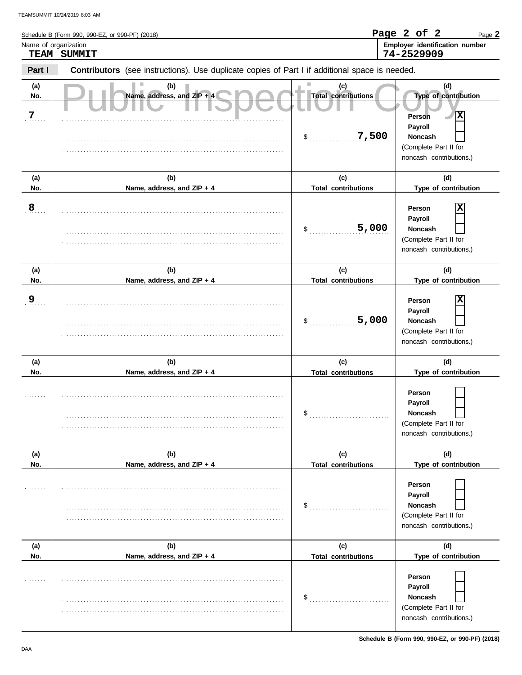| Name of organization | Schedule B (Form 990, 990-EZ, or 990-PF) (2018)                                                |                                        | Page 2 of 2<br>Page 2<br>Employer identification number                                 |
|----------------------|------------------------------------------------------------------------------------------------|----------------------------------------|-----------------------------------------------------------------------------------------|
|                      | TEAM SUMMIT                                                                                    |                                        | 74-2529909                                                                              |
| Part I               | Contributors (see instructions). Use duplicate copies of Part I if additional space is needed. |                                        |                                                                                         |
| (a)<br>No.<br>7      | (b)<br>Name, address, and ZIP + 4                                                              | (c)<br>ш<br><b>Total contributions</b> | (d)<br>Type of contribution<br>Ιx<br><b>Person</b>                                      |
|                      |                                                                                                | 7,500<br>$\frac{1}{2}$                 | Payroll<br>Noncash<br>(Complete Part II for<br>noncash contributions.)                  |
| (a)                  | (b)                                                                                            | (c)                                    | (d)                                                                                     |
| No.                  | Name, address, and ZIP + 4                                                                     | <b>Total contributions</b>             | Type of contribution                                                                    |
| 8                    |                                                                                                | 5,000<br>\$                            | ΙX<br>Person<br>Payroll<br>Noncash<br>(Complete Part II for<br>noncash contributions.)  |
| (a)                  | (b)                                                                                            | (c)                                    | (d)                                                                                     |
| No.                  | Name, address, and ZIP + 4                                                                     | <b>Total contributions</b>             | Type of contribution                                                                    |
| <u>9</u>             |                                                                                                | 5,000<br>\$                            | X<br>Person<br>Payroll<br>Noncash<br>(Complete Part II for<br>noncash contributions.)   |
| (a)                  | (b)                                                                                            | (c)                                    | (d)                                                                                     |
| No.                  | Name, address, and ZIP + 4                                                                     | <b>Total contributions</b>             | Type of contribution                                                                    |
|                      |                                                                                                | \$                                     | Person<br>Payroll<br><b>Noncash</b><br>(Complete Part II for<br>noncash contributions.) |
| (a)                  | (b)                                                                                            | (c)                                    | (d)                                                                                     |
| No.                  | Name, address, and ZIP + 4                                                                     | <b>Total contributions</b>             | Type of contribution                                                                    |
|                      |                                                                                                | $\mathsf{\$}$                          | Person<br>Payroll<br>Noncash<br>(Complete Part II for<br>noncash contributions.)        |
| (a)                  | (b)                                                                                            | (c)                                    | (d)                                                                                     |
| No.                  | Name, address, and ZIP + 4                                                                     | <b>Total contributions</b>             | Type of contribution                                                                    |
|                      |                                                                                                | \$                                     | Person<br>Payroll<br>Noncash                                                            |
|                      |                                                                                                |                                        | (Complete Part II for                                                                   |

**Schedule B (Form 990, 990-EZ, or 990-PF) (2018)**

noncash contributions.)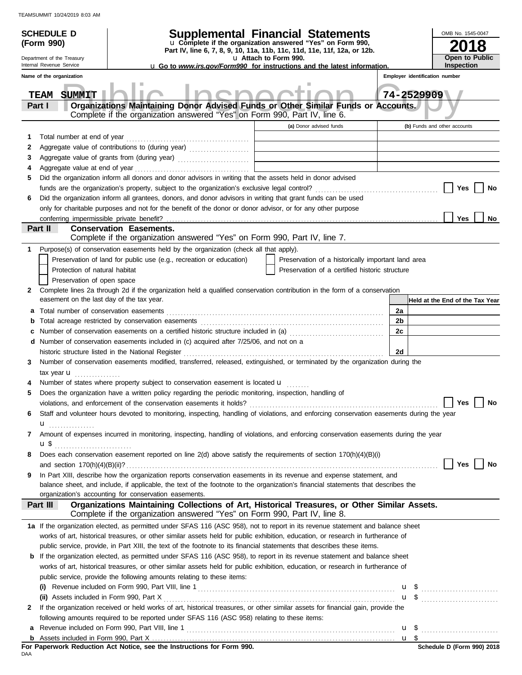|   | <b>SCHEDULE D</b>                         |                                                                                                                                                                           | <b>Supplemental Financial Statements</b>                                                                                               |                                |                                 |  |  |
|---|-------------------------------------------|---------------------------------------------------------------------------------------------------------------------------------------------------------------------------|----------------------------------------------------------------------------------------------------------------------------------------|--------------------------------|---------------------------------|--|--|
|   | (Form 990)                                |                                                                                                                                                                           | u Complete if the organization answered "Yes" on Form 990,<br>Part IV, line 6, 7, 8, 9, 10, 11a, 11b, 11c, 11d, 11e, 11f, 12a, or 12b. | 8                              |                                 |  |  |
|   | Department of the Treasury                |                                                                                                                                                                           | u Attach to Form 990.                                                                                                                  |                                | <b>Open to Public</b>           |  |  |
|   | Internal Revenue Service                  |                                                                                                                                                                           | <b>u</b> Go to www.irs.gov/Form990 for instructions and the latest information.                                                        |                                | <b>Inspection</b>               |  |  |
|   | Name of the organization                  |                                                                                                                                                                           |                                                                                                                                        | Employer identification number |                                 |  |  |
|   | <b>SUMMIT</b><br>TEAM                     |                                                                                                                                                                           |                                                                                                                                        | 74-2529909                     |                                 |  |  |
|   | Part I                                    | Organizations Maintaining Donor Advised Funds or Other Similar Funds or Accounts.                                                                                         |                                                                                                                                        |                                |                                 |  |  |
|   |                                           | Complete if the organization answered "Yes" on Form 990, Part IV, line 6.                                                                                                 |                                                                                                                                        |                                |                                 |  |  |
|   |                                           |                                                                                                                                                                           | (a) Donor advised funds                                                                                                                |                                | (b) Funds and other accounts    |  |  |
| 1 | Total number at end of year               |                                                                                                                                                                           |                                                                                                                                        |                                |                                 |  |  |
| 2 |                                           | Aggregate value of contributions to (during year) [11] Aggregate value of contributions to (during year)                                                                  | <u> 1989 - Johann Barbara, martxa alemani</u> ar alemania                                                                              |                                |                                 |  |  |
| 3 |                                           | Aggregate value of grants from (during year)                                                                                                                              |                                                                                                                                        |                                |                                 |  |  |
| 4 |                                           |                                                                                                                                                                           |                                                                                                                                        |                                |                                 |  |  |
| 5 |                                           | Did the organization inform all donors and donor advisors in writing that the assets held in donor advised                                                                |                                                                                                                                        |                                |                                 |  |  |
|   |                                           |                                                                                                                                                                           |                                                                                                                                        |                                | Yes<br>No                       |  |  |
| 6 |                                           | Did the organization inform all grantees, donors, and donor advisors in writing that grant funds can be used                                                              |                                                                                                                                        |                                |                                 |  |  |
|   |                                           | only for charitable purposes and not for the benefit of the donor or donor advisor, or for any other purpose                                                              |                                                                                                                                        |                                |                                 |  |  |
|   |                                           | <b>Conservation Easements.</b>                                                                                                                                            |                                                                                                                                        |                                | <b>Yes</b><br>No                |  |  |
|   | Part II                                   | Complete if the organization answered "Yes" on Form 990, Part IV, line 7.                                                                                                 |                                                                                                                                        |                                |                                 |  |  |
| 1 |                                           | Purpose(s) of conservation easements held by the organization (check all that apply).                                                                                     |                                                                                                                                        |                                |                                 |  |  |
|   |                                           | Preservation of land for public use (e.g., recreation or education)                                                                                                       | Preservation of a historically important land area                                                                                     |                                |                                 |  |  |
|   | Protection of natural habitat             |                                                                                                                                                                           | Preservation of a certified historic structure                                                                                         |                                |                                 |  |  |
|   | Preservation of open space                |                                                                                                                                                                           |                                                                                                                                        |                                |                                 |  |  |
| 2 |                                           | Complete lines 2a through 2d if the organization held a qualified conservation contribution in the form of a conservation                                                 |                                                                                                                                        |                                |                                 |  |  |
|   | easement on the last day of the tax year. |                                                                                                                                                                           |                                                                                                                                        |                                | Held at the End of the Tax Year |  |  |
| а |                                           |                                                                                                                                                                           |                                                                                                                                        | 2a                             |                                 |  |  |
| b |                                           |                                                                                                                                                                           |                                                                                                                                        | 2b                             |                                 |  |  |
|   |                                           |                                                                                                                                                                           |                                                                                                                                        | 2c                             |                                 |  |  |
|   |                                           | <b>d</b> Number of conservation easements included in (c) acquired after $7/25/06$ , and not on a                                                                         |                                                                                                                                        |                                |                                 |  |  |
|   |                                           | historic structure listed in the National Register                                                                                                                        |                                                                                                                                        | 2d                             |                                 |  |  |
| 3 |                                           | Number of conservation easements modified, transferred, released, extinguished, or terminated by the organization during the                                              |                                                                                                                                        |                                |                                 |  |  |
|   | tax year $\mathbf{u}$                     |                                                                                                                                                                           |                                                                                                                                        |                                |                                 |  |  |
|   |                                           | Number of states where property subject to conservation easement is located u                                                                                             |                                                                                                                                        |                                |                                 |  |  |
| 5 |                                           | Does the organization have a written policy regarding the periodic monitoring, inspection, handling of                                                                    |                                                                                                                                        |                                |                                 |  |  |
|   |                                           | violations, and enforcement of the conservation easements it holds?                                                                                                       |                                                                                                                                        |                                | <b>Yes</b><br>No                |  |  |
| 6 |                                           | Staff and volunteer hours devoted to monitoring, inspecting, handling of violations, and enforcing conservation easements during the year                                 |                                                                                                                                        |                                |                                 |  |  |
|   | $\mathbf{u}_{\text{}}$                    |                                                                                                                                                                           |                                                                                                                                        |                                |                                 |  |  |
| 7 |                                           | Amount of expenses incurred in monitoring, inspecting, handling of violations, and enforcing conservation easements during the year                                       |                                                                                                                                        |                                |                                 |  |  |
|   | <b>u</b> \$                               | Does each conservation easement reported on line 2(d) above satisfy the requirements of section 170(h)(4)(B)(i)                                                           |                                                                                                                                        |                                |                                 |  |  |
| 8 |                                           |                                                                                                                                                                           |                                                                                                                                        |                                | Yes<br>No                       |  |  |
| 9 |                                           | In Part XIII, describe how the organization reports conservation easements in its revenue and expense statement, and                                                      |                                                                                                                                        |                                |                                 |  |  |
|   |                                           | balance sheet, and include, if applicable, the text of the footnote to the organization's financial statements that describes the                                         |                                                                                                                                        |                                |                                 |  |  |
|   |                                           | organization's accounting for conservation easements.                                                                                                                     |                                                                                                                                        |                                |                                 |  |  |
|   | Part III                                  | Organizations Maintaining Collections of Art, Historical Treasures, or Other Similar Assets.<br>Complete if the organization answered "Yes" on Form 990, Part IV, line 8. |                                                                                                                                        |                                |                                 |  |  |
|   |                                           | 1a If the organization elected, as permitted under SFAS 116 (ASC 958), not to report in its revenue statement and balance sheet                                           |                                                                                                                                        |                                |                                 |  |  |
|   |                                           | works of art, historical treasures, or other similar assets held for public exhibition, education, or research in furtherance of                                          |                                                                                                                                        |                                |                                 |  |  |
|   |                                           | public service, provide, in Part XIII, the text of the footnote to its financial statements that describes these items.                                                   |                                                                                                                                        |                                |                                 |  |  |
|   |                                           | <b>b</b> If the organization elected, as permitted under SFAS 116 (ASC 958), to report in its revenue statement and balance sheet                                         |                                                                                                                                        |                                |                                 |  |  |
|   |                                           | works of art, historical treasures, or other similar assets held for public exhibition, education, or research in furtherance of                                          |                                                                                                                                        |                                |                                 |  |  |
|   |                                           | public service, provide the following amounts relating to these items:                                                                                                    |                                                                                                                                        |                                |                                 |  |  |
|   |                                           |                                                                                                                                                                           |                                                                                                                                        |                                |                                 |  |  |
|   |                                           |                                                                                                                                                                           |                                                                                                                                        |                                | $\mathbf{u}$ \$                 |  |  |
| 2 |                                           | If the organization received or held works of art, historical treasures, or other similar assets for financial gain, provide the                                          |                                                                                                                                        |                                |                                 |  |  |
|   |                                           | following amounts required to be reported under SFAS 116 (ASC 958) relating to these items:                                                                               |                                                                                                                                        |                                |                                 |  |  |
| a |                                           |                                                                                                                                                                           |                                                                                                                                        |                                |                                 |  |  |
|   |                                           |                                                                                                                                                                           |                                                                                                                                        |                                |                                 |  |  |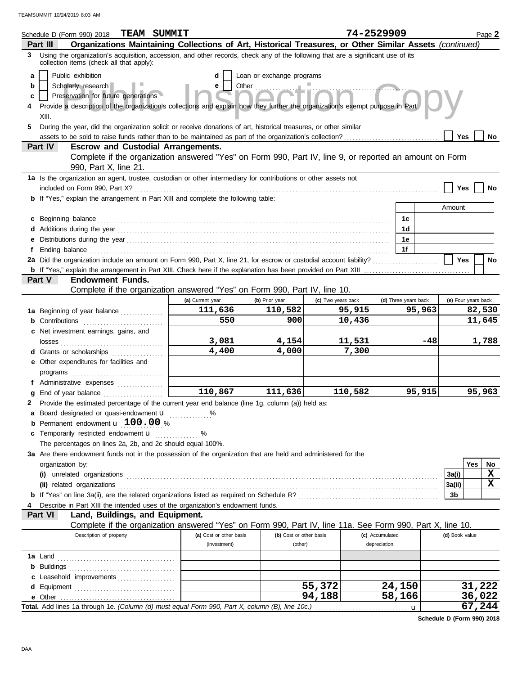|                  | <b>TEAM SUMMIT</b><br>Schedule D (Form 990) 2018                                                                                                                                                                                                                                                                                               |                         |                           |                    | 74-2529909           |        |                | Page 2              |  |
|------------------|------------------------------------------------------------------------------------------------------------------------------------------------------------------------------------------------------------------------------------------------------------------------------------------------------------------------------------------------|-------------------------|---------------------------|--------------------|----------------------|--------|----------------|---------------------|--|
|                  | Organizations Maintaining Collections of Art, Historical Treasures, or Other Similar Assets (continued)<br>Part III                                                                                                                                                                                                                            |                         |                           |                    |                      |        |                |                     |  |
|                  | 3 Using the organization's acquisition, accession, and other records, check any of the following that are a significant use of its<br>collection items (check all that apply):                                                                                                                                                                 |                         |                           |                    |                      |        |                |                     |  |
| a<br>b<br>c<br>5 | Public exhibition<br>Scholarly research<br>Preservation for future generations<br>Provide a description of the organization's collections and explain how they further the organization's exempt purpose in Part<br>XIII.<br>During the year, did the organization solicit or receive donations of art, historical treasures, or other similar | d<br>e                  | Loan or exchange programs |                    |                      |        |                |                     |  |
|                  |                                                                                                                                                                                                                                                                                                                                                |                         |                           |                    |                      |        | Yes            | No                  |  |
|                  | <b>Escrow and Custodial Arrangements.</b><br>Part IV                                                                                                                                                                                                                                                                                           |                         |                           |                    |                      |        |                |                     |  |
|                  | Complete if the organization answered "Yes" on Form 990, Part IV, line 9, or reported an amount on Form<br>990, Part X, line 21.                                                                                                                                                                                                               |                         |                           |                    |                      |        |                |                     |  |
|                  | 1a Is the organization an agent, trustee, custodian or other intermediary for contributions or other assets not                                                                                                                                                                                                                                |                         |                           |                    |                      |        | Yes            | No                  |  |
|                  | <b>b</b> If "Yes," explain the arrangement in Part XIII and complete the following table:                                                                                                                                                                                                                                                      |                         |                           |                    |                      |        |                |                     |  |
|                  |                                                                                                                                                                                                                                                                                                                                                |                         |                           |                    |                      |        | Amount         |                     |  |
| c                |                                                                                                                                                                                                                                                                                                                                                |                         |                           |                    | 1c                   |        |                |                     |  |
|                  |                                                                                                                                                                                                                                                                                                                                                |                         |                           |                    | 1d                   |        |                |                     |  |
|                  |                                                                                                                                                                                                                                                                                                                                                |                         |                           |                    | 1е                   |        |                |                     |  |
| f                |                                                                                                                                                                                                                                                                                                                                                |                         |                           |                    | 1f                   |        |                |                     |  |
|                  | 2a Did the organization include an amount on Form 990, Part X, line 21, for escrow or custodial account liability?                                                                                                                                                                                                                             |                         |                           |                    |                      |        | Yes            | No                  |  |
|                  |                                                                                                                                                                                                                                                                                                                                                |                         |                           |                    |                      |        |                |                     |  |
|                  | <b>Endowment Funds.</b><br>Part V                                                                                                                                                                                                                                                                                                              |                         |                           |                    |                      |        |                |                     |  |
|                  | Complete if the organization answered "Yes" on Form 990, Part IV, line 10.                                                                                                                                                                                                                                                                     |                         |                           |                    |                      |        |                |                     |  |
|                  |                                                                                                                                                                                                                                                                                                                                                | (a) Current year        | (b) Prior year            | (c) Two years back | (d) Three years back |        |                | (e) Four years back |  |
|                  | 1a Beginning of year balance                                                                                                                                                                                                                                                                                                                   | 111,636                 | 110,582                   | 95,915             |                      | 95,963 |                | 82,530              |  |
|                  | <b>b</b> Contributions <b>contributions</b>                                                                                                                                                                                                                                                                                                    | 550                     | 900                       | 10,436             |                      |        |                | 11,645              |  |
|                  | c Net investment earnings, gains, and                                                                                                                                                                                                                                                                                                          |                         |                           |                    |                      |        |                |                     |  |
|                  |                                                                                                                                                                                                                                                                                                                                                | 3,081                   | 4,154                     | 11,531             |                      | -48    |                | 1,788               |  |
|                  | d Grants or scholarships                                                                                                                                                                                                                                                                                                                       | 4,400                   | 4,000                     | 7,300              |                      |        |                |                     |  |
|                  | e Other expenditures for facilities and                                                                                                                                                                                                                                                                                                        |                         |                           |                    |                      |        |                |                     |  |
|                  | programs                                                                                                                                                                                                                                                                                                                                       |                         |                           |                    |                      |        |                |                     |  |
|                  | f Administrative expenses                                                                                                                                                                                                                                                                                                                      |                         |                           |                    |                      |        |                |                     |  |
| a                |                                                                                                                                                                                                                                                                                                                                                | 110,867                 | 111,636                   | 110,582            |                      | 95,915 |                | 95,963              |  |
| 2                | Provide the estimated percentage of the current year end balance (line 1g, column (a)) held as:                                                                                                                                                                                                                                                |                         |                           |                    |                      |        |                |                     |  |
|                  | a Board designated or quasi-endowment <b>u</b> %                                                                                                                                                                                                                                                                                               |                         |                           |                    |                      |        |                |                     |  |
| b                | Permanent endowment <b>u</b> 100.00 %                                                                                                                                                                                                                                                                                                          |                         |                           |                    |                      |        |                |                     |  |
| С                | Temporarily restricted endowment u                                                                                                                                                                                                                                                                                                             | %                       |                           |                    |                      |        |                |                     |  |
|                  | The percentages on lines 2a, 2b, and 2c should equal 100%.                                                                                                                                                                                                                                                                                     |                         |                           |                    |                      |        |                |                     |  |
|                  | 3a Are there endowment funds not in the possession of the organization that are held and administered for the                                                                                                                                                                                                                                  |                         |                           |                    |                      |        |                |                     |  |
|                  | organization by:                                                                                                                                                                                                                                                                                                                               |                         |                           |                    |                      |        |                | Yes<br>No           |  |
|                  |                                                                                                                                                                                                                                                                                                                                                |                         |                           |                    |                      |        | 3a(i)          | X                   |  |
|                  |                                                                                                                                                                                                                                                                                                                                                |                         |                           |                    |                      |        | 3a(ii)         | x                   |  |
|                  |                                                                                                                                                                                                                                                                                                                                                |                         |                           |                    |                      |        | 3b             |                     |  |
|                  | Describe in Part XIII the intended uses of the organization's endowment funds.                                                                                                                                                                                                                                                                 |                         |                           |                    |                      |        |                |                     |  |
|                  | Land, Buildings, and Equipment.<br>Part VI                                                                                                                                                                                                                                                                                                     |                         |                           |                    |                      |        |                |                     |  |
|                  | Complete if the organization answered "Yes" on Form 990, Part IV, line 11a. See Form 990, Part X, line 10.                                                                                                                                                                                                                                     |                         |                           |                    |                      |        |                |                     |  |
|                  | Description of property                                                                                                                                                                                                                                                                                                                        | (a) Cost or other basis | (b) Cost or other basis   |                    | (c) Accumulated      |        | (d) Book value |                     |  |
|                  |                                                                                                                                                                                                                                                                                                                                                | (investment)            | (other)                   |                    | depreciation         |        |                |                     |  |
|                  |                                                                                                                                                                                                                                                                                                                                                |                         |                           |                    |                      |        |                |                     |  |
|                  |                                                                                                                                                                                                                                                                                                                                                |                         |                           |                    |                      |        |                |                     |  |
|                  | c Leasehold improvements                                                                                                                                                                                                                                                                                                                       |                         |                           |                    |                      |        |                |                     |  |
|                  |                                                                                                                                                                                                                                                                                                                                                |                         |                           | 55,372             | 24,150               |        |                | 31,222              |  |
|                  |                                                                                                                                                                                                                                                                                                                                                |                         |                           | 94,188             | 58,166               |        |                | 36,022              |  |
|                  | Total. Add lines 1a through 1e. (Column (d) must equal Form 990, Part X, column (B), line 10c.)                                                                                                                                                                                                                                                |                         |                           |                    | $\mathbf u$          |        |                | 67,244              |  |

**Schedule D (Form 990) 2018**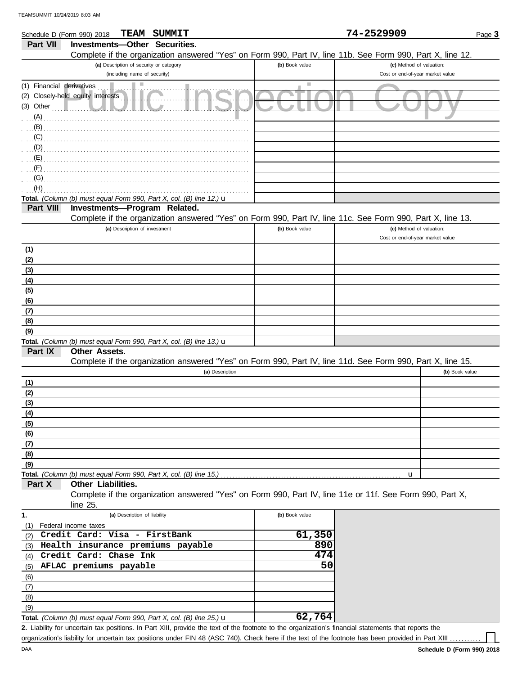DAA

 $(9)$ (8) (7) (6)

**Total.** *(Column (b) must equal Form 990, Part X, col. (B) line 25.)* u

| Schedule D (Form 990) 2018 | SUMMIT<br>TEAM                                                                                             |                 | 74-2529909                       | Page 3         |
|----------------------------|------------------------------------------------------------------------------------------------------------|-----------------|----------------------------------|----------------|
| Part VII                   | Investments-Other Securities.                                                                              |                 |                                  |                |
|                            | Complete if the organization answered "Yes" on Form 990, Part IV, line 11b. See Form 990, Part X, line 12. |                 |                                  |                |
|                            | (a) Description of security or category                                                                    | (b) Book value  | (c) Method of valuation:         |                |
|                            | (including name of security)                                                                               |                 | Cost or end-of-year market value |                |
| (1) Financial derivatives  | ш                                                                                                          | Ш               |                                  |                |
|                            | (2) Closely-held equity interests                                                                          |                 |                                  |                |
| $(3)$ Other                |                                                                                                            |                 |                                  |                |
| (A)                        |                                                                                                            |                 |                                  |                |
| (B)                        |                                                                                                            |                 |                                  |                |
| (C)                        |                                                                                                            |                 |                                  |                |
| (D)                        |                                                                                                            |                 |                                  |                |
| (E)                        |                                                                                                            |                 |                                  |                |
| (F)                        |                                                                                                            |                 |                                  |                |
| (G)                        |                                                                                                            |                 |                                  |                |
| (H)                        |                                                                                                            |                 |                                  |                |
|                            | Total. (Column (b) must equal Form 990, Part X, col. (B) line 12.) $\mathbf u$                             |                 |                                  |                |
| <b>Part VIII</b>           | Investments-Program Related.                                                                               |                 |                                  |                |
|                            | Complete if the organization answered "Yes" on Form 990, Part IV, line 11c. See Form 990, Part X, line 13. |                 |                                  |                |
|                            | (a) Description of investment                                                                              | (b) Book value  | (c) Method of valuation:         |                |
|                            |                                                                                                            |                 | Cost or end-of-year market value |                |
| (1)                        |                                                                                                            |                 |                                  |                |
| (2)                        |                                                                                                            |                 |                                  |                |
| (3)                        |                                                                                                            |                 |                                  |                |
| (4)                        |                                                                                                            |                 |                                  |                |
| (5)                        |                                                                                                            |                 |                                  |                |
| (6)                        |                                                                                                            |                 |                                  |                |
| (7)                        |                                                                                                            |                 |                                  |                |
| (8)                        |                                                                                                            |                 |                                  |                |
| (9)                        |                                                                                                            |                 |                                  |                |
|                            | Total. (Column (b) must equal Form 990, Part X, col. (B) line 13.) $\mathbf u$                             |                 |                                  |                |
| Part IX                    | <b>Other Assets.</b>                                                                                       |                 |                                  |                |
|                            | Complete if the organization answered "Yes" on Form 990, Part IV, line 11d. See Form 990, Part X, line 15. |                 |                                  |                |
|                            | (a) Description                                                                                            |                 |                                  | (b) Book value |
| (1)                        |                                                                                                            |                 |                                  |                |
| (2)                        |                                                                                                            |                 |                                  |                |
| (3)                        |                                                                                                            |                 |                                  |                |
| (4)                        |                                                                                                            |                 |                                  |                |
| (5)                        |                                                                                                            |                 |                                  |                |
| (6)                        |                                                                                                            |                 |                                  |                |
| (7)                        |                                                                                                            |                 |                                  |                |
| (8)                        |                                                                                                            |                 |                                  |                |
| (9)                        | Total. (Column (b) must equal Form 990, Part X, col. (B) line 15.)                                         |                 |                                  |                |
| Part X                     | Other Liabilities.                                                                                         |                 | u                                |                |
|                            | Complete if the organization answered "Yes" on Form 990, Part IV, line 11e or 11f. See Form 990, Part X,   |                 |                                  |                |
|                            | line $25$ .                                                                                                |                 |                                  |                |
|                            | (a) Description of liability                                                                               | (b) Book value  |                                  |                |
| 1.<br>(1)                  | Federal income taxes                                                                                       |                 |                                  |                |
|                            | Credit Card: Visa - FirstBank                                                                              | 61,350          |                                  |                |
| (2)<br>(3)                 | Health insurance premiums payable                                                                          | 890             |                                  |                |
| (4)                        | Credit Card: Chase Ink                                                                                     | 474             |                                  |                |
| (5)                        | AFLAC premiums payable                                                                                     | $\overline{50}$ |                                  |                |
|                            |                                                                                                            |                 |                                  |                |

**62,764**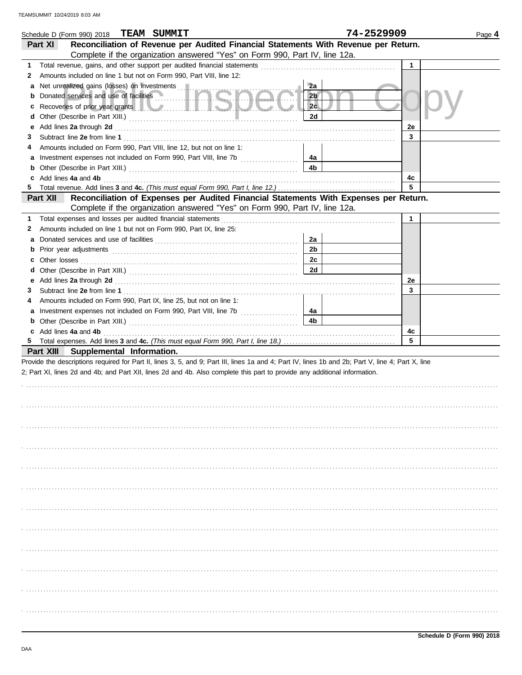|   | Schedule D (Form 990) 2018 TEAM SUMMIT                                                                                                                                                                                                    |                | 74-2529909   | Page 4 |
|---|-------------------------------------------------------------------------------------------------------------------------------------------------------------------------------------------------------------------------------------------|----------------|--------------|--------|
|   | Reconciliation of Revenue per Audited Financial Statements With Revenue per Return.<br>Part XI                                                                                                                                            |                |              |        |
|   | Complete if the organization answered "Yes" on Form 990, Part IV, line 12a.                                                                                                                                                               |                |              |        |
| 1 |                                                                                                                                                                                                                                           |                | $\mathbf{1}$ |        |
| 2 | Amounts included on line 1 but not on Form 990, Part VIII, line 12:                                                                                                                                                                       |                |              |        |
| а | Net unrealized gains (losses) on investments                                                                                                                                                                                              | 2a             |              |        |
|   | <b>b</b> Donated services and use of facilities <b>Denotes Act of Act of Act of Act of Act of Act of Act of Act of Act of Act of Act of Act of Act of Act of Act of Act of Act of Act of Act of Act of Act of Act of Act of Act of Ac</b> | 2 <sub>b</sub> |              |        |
| c | Recoveries of prior year grants <b>All Constitution Constitution Constitution Constitution</b>                                                                                                                                            | 2c             |              |        |
| d |                                                                                                                                                                                                                                           | 2d             |              |        |
| е |                                                                                                                                                                                                                                           |                | 2e           |        |
| З |                                                                                                                                                                                                                                           |                | 3            |        |
| 4 | Amounts included on Form 990, Part VIII, line 12, but not on line 1:                                                                                                                                                                      |                |              |        |
|   |                                                                                                                                                                                                                                           | 4a             |              |        |
|   |                                                                                                                                                                                                                                           | 4b             |              |        |
|   | c Add lines 4a and 4b (a) and the contract of the state of the state of the state of the state of the state of the state of the state of the state of the state of the state of the state of the state of the state of the sta            |                | 4c           |        |
|   |                                                                                                                                                                                                                                           |                | 5            |        |
|   | Reconciliation of Expenses per Audited Financial Statements With Expenses per Return.<br>Part XII                                                                                                                                         |                |              |        |
|   | Complete if the organization answered "Yes" on Form 990, Part IV, line 12a.                                                                                                                                                               |                |              |        |
| 1 |                                                                                                                                                                                                                                           |                | $\mathbf{1}$ |        |
| 2 | Amounts included on line 1 but not on Form 990, Part IX, line 25:                                                                                                                                                                         |                |              |        |
| a |                                                                                                                                                                                                                                           | 2a             |              |        |
|   |                                                                                                                                                                                                                                           | 2b             |              |        |
|   |                                                                                                                                                                                                                                           | 2c             |              |        |
|   |                                                                                                                                                                                                                                           | 2d             |              |        |
|   |                                                                                                                                                                                                                                           |                | 2e           |        |
| 3 |                                                                                                                                                                                                                                           |                | 3            |        |
| 4 | Amounts included on Form 990, Part IX, line 25, but not on line 1:                                                                                                                                                                        |                |              |        |
|   | a Investment expenses not included on Form 990, Part VIII, line 7b [100] [100]                                                                                                                                                            | 4a             |              |        |
|   |                                                                                                                                                                                                                                           | 4b             |              |        |
|   | c Add lines 4a and 4b <b>contract and 4b</b> and 4b and 4b and 4b and 4b and 4b and 4b and 4b and 4b and 4b and 4b and 4b and 4b and 4b and 4b and 4b and 4b and 4b and 4b and 4b and 4b and 4b and 4b and 4b and 4b and 4b and 4b        |                | 4c           |        |
|   |                                                                                                                                                                                                                                           |                | 5            |        |
|   | Part XIII Supplemental Information.                                                                                                                                                                                                       |                |              |        |
|   | Provide the descriptions required for Part II, lines 3, 5, and 9; Part III, lines 1a and 4; Part IV, lines 1b and 2b; Part V, line 4; Part X, line                                                                                        |                |              |        |
|   | 2; Part XI, lines 2d and 4b; and Part XII, lines 2d and 4b. Also complete this part to provide any additional information.                                                                                                                |                |              |        |
|   |                                                                                                                                                                                                                                           |                |              |        |
|   |                                                                                                                                                                                                                                           |                |              |        |
|   |                                                                                                                                                                                                                                           |                |              |        |
|   |                                                                                                                                                                                                                                           |                |              |        |
|   |                                                                                                                                                                                                                                           |                |              |        |
|   |                                                                                                                                                                                                                                           |                |              |        |
|   |                                                                                                                                                                                                                                           |                |              |        |
|   |                                                                                                                                                                                                                                           |                |              |        |
|   |                                                                                                                                                                                                                                           |                |              |        |
|   |                                                                                                                                                                                                                                           |                |              |        |
|   |                                                                                                                                                                                                                                           |                |              |        |
|   |                                                                                                                                                                                                                                           |                |              |        |
|   |                                                                                                                                                                                                                                           |                |              |        |
|   |                                                                                                                                                                                                                                           |                |              |        |
|   |                                                                                                                                                                                                                                           |                |              |        |
|   |                                                                                                                                                                                                                                           |                |              |        |
|   |                                                                                                                                                                                                                                           |                |              |        |
|   |                                                                                                                                                                                                                                           |                |              |        |
|   |                                                                                                                                                                                                                                           |                |              |        |
|   |                                                                                                                                                                                                                                           |                |              |        |
|   |                                                                                                                                                                                                                                           |                |              |        |
|   |                                                                                                                                                                                                                                           |                |              |        |
|   |                                                                                                                                                                                                                                           |                |              |        |
|   |                                                                                                                                                                                                                                           |                |              |        |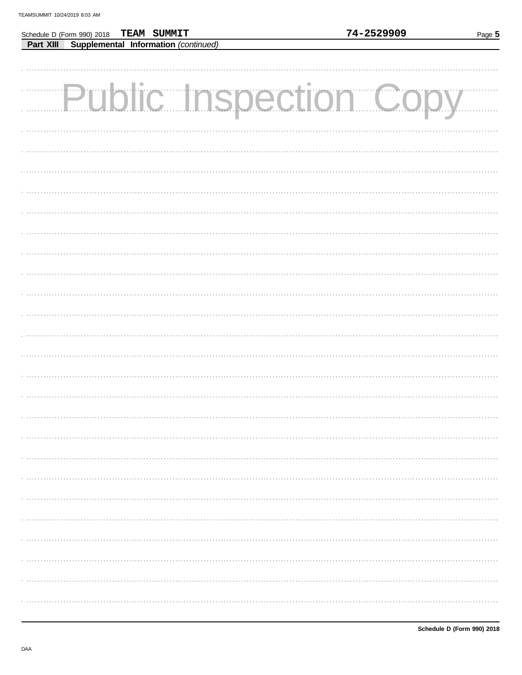Schedule D (Form 990) 2018

TEAM SUMMIT

| <b>Part XIII Supplemental Information (continued)</b> |  |  |  |  |
|-------------------------------------------------------|--|--|--|--|
|                                                       |  |  |  |  |
|                                                       |  |  |  |  |
| Public Inspection Copy                                |  |  |  |  |
|                                                       |  |  |  |  |
|                                                       |  |  |  |  |
|                                                       |  |  |  |  |
|                                                       |  |  |  |  |
|                                                       |  |  |  |  |
|                                                       |  |  |  |  |
|                                                       |  |  |  |  |
|                                                       |  |  |  |  |
|                                                       |  |  |  |  |
|                                                       |  |  |  |  |
|                                                       |  |  |  |  |
|                                                       |  |  |  |  |
|                                                       |  |  |  |  |
|                                                       |  |  |  |  |
|                                                       |  |  |  |  |
|                                                       |  |  |  |  |
|                                                       |  |  |  |  |
|                                                       |  |  |  |  |
|                                                       |  |  |  |  |
|                                                       |  |  |  |  |
|                                                       |  |  |  |  |
|                                                       |  |  |  |  |
|                                                       |  |  |  |  |
|                                                       |  |  |  |  |
|                                                       |  |  |  |  |
|                                                       |  |  |  |  |
|                                                       |  |  |  |  |
|                                                       |  |  |  |  |
|                                                       |  |  |  |  |
|                                                       |  |  |  |  |
|                                                       |  |  |  |  |
|                                                       |  |  |  |  |
|                                                       |  |  |  |  |
|                                                       |  |  |  |  |
|                                                       |  |  |  |  |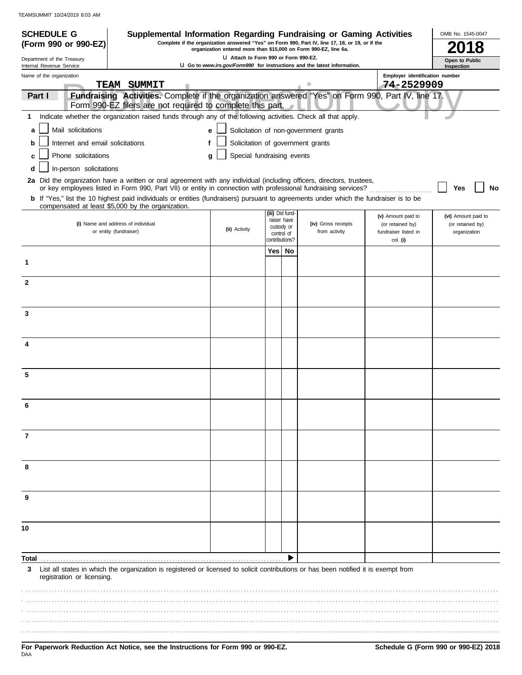| <b>SCHEDULE G</b>                                      |                                  | Supplemental Information Regarding Fundraising or Gaming Activities                                                                                                                                                                      |                                                                                                                           |                                                                                                                                                                     |             |                                       |                                  | OMB No. 1545-0047                   |  |  |
|--------------------------------------------------------|----------------------------------|------------------------------------------------------------------------------------------------------------------------------------------------------------------------------------------------------------------------------------------|---------------------------------------------------------------------------------------------------------------------------|---------------------------------------------------------------------------------------------------------------------------------------------------------------------|-------------|---------------------------------------|----------------------------------|-------------------------------------|--|--|
|                                                        | (Form 990 or 990-EZ)             |                                                                                                                                                                                                                                          |                                                                                                                           | Complete if the organization answered "Yes" on Form 990, Part IV, line 17, 18, or 19, or if the<br>organization entered more than \$15,000 on Form 990-EZ, line 6a. |             |                                       |                                  |                                     |  |  |
| Department of the Treasury<br>Internal Revenue Service |                                  |                                                                                                                                                                                                                                          | LI Attach to Form 990 or Form 990-EZ.<br><b>U.</b> Go to www.irs.gov/Form990 for instructions and the latest information. |                                                                                                                                                                     |             |                                       |                                  | <b>Open to Public</b><br>Inspection |  |  |
| Name of the organization                               |                                  |                                                                                                                                                                                                                                          |                                                                                                                           |                                                                                                                                                                     |             |                                       | Employer identification number   |                                     |  |  |
|                                                        |                                  | TEAM SUMMIT                                                                                                                                                                                                                              |                                                                                                                           |                                                                                                                                                                     |             | H.                                    | 74-2529909                       |                                     |  |  |
| Part I                                                 |                                  | Fundraising Activities. Complete if the organization answered "Yes" on Form 990, Part IV, line 17.<br>Form 990-EZ filers are not required to complete this part.                                                                         |                                                                                                                           |                                                                                                                                                                     |             |                                       |                                  |                                     |  |  |
| 1                                                      |                                  | Indicate whether the organization raised funds through any of the following activities. Check all that apply.                                                                                                                            |                                                                                                                           |                                                                                                                                                                     |             |                                       |                                  |                                     |  |  |
| a                                                      | Mail solicitations               |                                                                                                                                                                                                                                          | e                                                                                                                         |                                                                                                                                                                     |             | Solicitation of non-government grants |                                  |                                     |  |  |
| b                                                      | Internet and email solicitations |                                                                                                                                                                                                                                          | f                                                                                                                         |                                                                                                                                                                     |             | Solicitation of government grants     |                                  |                                     |  |  |
| C                                                      | Phone solicitations              |                                                                                                                                                                                                                                          | Special fundraising events<br>g                                                                                           |                                                                                                                                                                     |             |                                       |                                  |                                     |  |  |
| d                                                      | In-person solicitations          |                                                                                                                                                                                                                                          |                                                                                                                           |                                                                                                                                                                     |             |                                       |                                  |                                     |  |  |
|                                                        |                                  | 2a Did the organization have a written or oral agreement with any individual (including officers, directors, trustees,<br>or key employees listed in Form 990, Part VII) or entity in connection with professional fundraising services? |                                                                                                                           |                                                                                                                                                                     |             |                                       |                                  | <b>No</b><br>Yes                    |  |  |
|                                                        |                                  | b If "Yes," list the 10 highest paid individuals or entities (fundraisers) pursuant to agreements under which the fundraiser is to be                                                                                                    |                                                                                                                           |                                                                                                                                                                     |             |                                       |                                  |                                     |  |  |
|                                                        |                                  | compensated at least \$5,000 by the organization.                                                                                                                                                                                        |                                                                                                                           | (iii) Did fund-                                                                                                                                                     |             |                                       | (v) Amount paid to               | (vi) Amount paid to                 |  |  |
|                                                        |                                  | (i) Name and address of individual                                                                                                                                                                                                       |                                                                                                                           | custody or                                                                                                                                                          | raiser have | (iv) Gross receipts                   | (or retained by)                 | (or retained by)                    |  |  |
|                                                        |                                  | or entity (fundraiser)                                                                                                                                                                                                                   | (ii) Activity                                                                                                             | contributions?                                                                                                                                                      | control of  | from activity                         | fundraiser listed in<br>col. (i) | organization                        |  |  |
|                                                        |                                  |                                                                                                                                                                                                                                          |                                                                                                                           | Yes   No                                                                                                                                                            |             |                                       |                                  |                                     |  |  |
| 1                                                      |                                  |                                                                                                                                                                                                                                          |                                                                                                                           |                                                                                                                                                                     |             |                                       |                                  |                                     |  |  |
| 2                                                      |                                  |                                                                                                                                                                                                                                          |                                                                                                                           |                                                                                                                                                                     |             |                                       |                                  |                                     |  |  |
|                                                        |                                  |                                                                                                                                                                                                                                          |                                                                                                                           |                                                                                                                                                                     |             |                                       |                                  |                                     |  |  |
|                                                        |                                  |                                                                                                                                                                                                                                          |                                                                                                                           |                                                                                                                                                                     |             |                                       |                                  |                                     |  |  |
| 3                                                      |                                  |                                                                                                                                                                                                                                          |                                                                                                                           |                                                                                                                                                                     |             |                                       |                                  |                                     |  |  |
|                                                        |                                  |                                                                                                                                                                                                                                          |                                                                                                                           |                                                                                                                                                                     |             |                                       |                                  |                                     |  |  |
| 4                                                      |                                  |                                                                                                                                                                                                                                          |                                                                                                                           |                                                                                                                                                                     |             |                                       |                                  |                                     |  |  |
|                                                        |                                  |                                                                                                                                                                                                                                          |                                                                                                                           |                                                                                                                                                                     |             |                                       |                                  |                                     |  |  |
| 5                                                      |                                  |                                                                                                                                                                                                                                          |                                                                                                                           |                                                                                                                                                                     |             |                                       |                                  |                                     |  |  |
|                                                        |                                  |                                                                                                                                                                                                                                          |                                                                                                                           |                                                                                                                                                                     |             |                                       |                                  |                                     |  |  |
|                                                        |                                  |                                                                                                                                                                                                                                          |                                                                                                                           |                                                                                                                                                                     |             |                                       |                                  |                                     |  |  |
|                                                        |                                  |                                                                                                                                                                                                                                          |                                                                                                                           |                                                                                                                                                                     |             |                                       |                                  |                                     |  |  |
|                                                        |                                  |                                                                                                                                                                                                                                          |                                                                                                                           |                                                                                                                                                                     |             |                                       |                                  |                                     |  |  |
| 7                                                      |                                  |                                                                                                                                                                                                                                          |                                                                                                                           |                                                                                                                                                                     |             |                                       |                                  |                                     |  |  |
|                                                        |                                  |                                                                                                                                                                                                                                          |                                                                                                                           |                                                                                                                                                                     |             |                                       |                                  |                                     |  |  |
| 8                                                      |                                  |                                                                                                                                                                                                                                          |                                                                                                                           |                                                                                                                                                                     |             |                                       |                                  |                                     |  |  |
|                                                        |                                  |                                                                                                                                                                                                                                          |                                                                                                                           |                                                                                                                                                                     |             |                                       |                                  |                                     |  |  |
| 9                                                      |                                  |                                                                                                                                                                                                                                          |                                                                                                                           |                                                                                                                                                                     |             |                                       |                                  |                                     |  |  |
|                                                        |                                  |                                                                                                                                                                                                                                          |                                                                                                                           |                                                                                                                                                                     |             |                                       |                                  |                                     |  |  |
| 10                                                     |                                  |                                                                                                                                                                                                                                          |                                                                                                                           |                                                                                                                                                                     |             |                                       |                                  |                                     |  |  |
|                                                        |                                  |                                                                                                                                                                                                                                          |                                                                                                                           |                                                                                                                                                                     |             |                                       |                                  |                                     |  |  |
|                                                        |                                  |                                                                                                                                                                                                                                          |                                                                                                                           |                                                                                                                                                                     |             |                                       |                                  |                                     |  |  |
| Total                                                  |                                  |                                                                                                                                                                                                                                          |                                                                                                                           |                                                                                                                                                                     |             |                                       |                                  |                                     |  |  |
| 3                                                      | registration or licensing.       | List all states in which the organization is registered or licensed to solicit contributions or has been notified it is exempt from                                                                                                      |                                                                                                                           |                                                                                                                                                                     |             |                                       |                                  |                                     |  |  |
|                                                        |                                  |                                                                                                                                                                                                                                          |                                                                                                                           |                                                                                                                                                                     |             |                                       |                                  |                                     |  |  |
|                                                        |                                  |                                                                                                                                                                                                                                          |                                                                                                                           |                                                                                                                                                                     |             |                                       |                                  |                                     |  |  |
|                                                        |                                  |                                                                                                                                                                                                                                          |                                                                                                                           |                                                                                                                                                                     |             |                                       |                                  |                                     |  |  |
|                                                        |                                  |                                                                                                                                                                                                                                          |                                                                                                                           |                                                                                                                                                                     |             |                                       |                                  |                                     |  |  |
|                                                        |                                  |                                                                                                                                                                                                                                          |                                                                                                                           |                                                                                                                                                                     |             |                                       |                                  |                                     |  |  |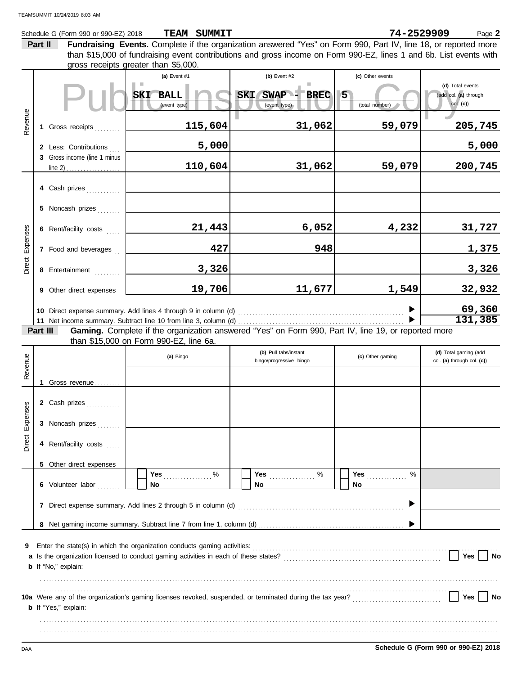|                                                                                                          |         | Schedule G (Form 990 or 990-EZ) 2018 | TEAM SUMMIT                                                                                                        |                                                  | 74-2529909       | Page 2                                              |  |
|----------------------------------------------------------------------------------------------------------|---------|--------------------------------------|--------------------------------------------------------------------------------------------------------------------|--------------------------------------------------|------------------|-----------------------------------------------------|--|
|                                                                                                          | Part II |                                      | Fundraising Events. Complete if the organization answered "Yes" on Form 990, Part IV, line 18, or reported more    |                                                  |                  |                                                     |  |
|                                                                                                          |         |                                      | than \$15,000 of fundraising event contributions and gross income on Form 990-EZ, lines 1 and 6b. List events with |                                                  |                  |                                                     |  |
|                                                                                                          |         |                                      | gross receipts greater than \$5,000.                                                                               |                                                  |                  |                                                     |  |
|                                                                                                          |         |                                      | (a) Event #1                                                                                                       | (b) Event $#2$                                   | (c) Other events | (d) Total events                                    |  |
|                                                                                                          |         |                                      | SKI BALL                                                                                                           | SWAP - BREC<br><b>SKI</b>                        | 5                | (add col. (a) through                               |  |
|                                                                                                          |         |                                      | (event type)                                                                                                       | (event type)                                     | (total number)   | col. (c)                                            |  |
| Revenue                                                                                                  |         |                                      |                                                                                                                    |                                                  |                  |                                                     |  |
|                                                                                                          |         | 1 Gross receipts                     | 115,604                                                                                                            | 31,062                                           | 59,079           | 205,745                                             |  |
|                                                                                                          |         |                                      |                                                                                                                    |                                                  |                  |                                                     |  |
|                                                                                                          |         | 2 Less: Contributions                | 5,000                                                                                                              |                                                  |                  | 5,000                                               |  |
|                                                                                                          |         | 3 Gross income (line 1 minus         |                                                                                                                    |                                                  |                  |                                                     |  |
|                                                                                                          |         |                                      | 110,604                                                                                                            | 31,062                                           | 59,079           | 200,745                                             |  |
|                                                                                                          |         |                                      |                                                                                                                    |                                                  |                  |                                                     |  |
|                                                                                                          |         | 4 Cash prizes                        |                                                                                                                    |                                                  |                  |                                                     |  |
|                                                                                                          |         | 5 Noncash prizes                     |                                                                                                                    |                                                  |                  |                                                     |  |
|                                                                                                          |         |                                      |                                                                                                                    |                                                  |                  |                                                     |  |
|                                                                                                          |         | 6 Rent/facility costs                | 21,443                                                                                                             | 6,052                                            | 4,232            | 31,727                                              |  |
| Expenses                                                                                                 |         |                                      |                                                                                                                    |                                                  |                  |                                                     |  |
|                                                                                                          |         | 7 Food and beverages                 | 427                                                                                                                | 948                                              |                  | 1,375                                               |  |
| Direct                                                                                                   |         |                                      |                                                                                                                    |                                                  |                  |                                                     |  |
|                                                                                                          |         | 8 Entertainment                      | 3,326                                                                                                              |                                                  |                  | 3,326                                               |  |
|                                                                                                          |         | 9 Other direct expenses              | 19,706                                                                                                             | 11,677                                           | 1,549            | 32,932                                              |  |
|                                                                                                          |         |                                      |                                                                                                                    |                                                  |                  |                                                     |  |
|                                                                                                          |         |                                      | 10 Direct expense summary. Add lines 4 through 9 in column (d)                                                     |                                                  |                  | 69,360                                              |  |
|                                                                                                          |         |                                      |                                                                                                                    |                                                  |                  | 131,385                                             |  |
|                                                                                                          |         | Part III                             | Gaming. Complete if the organization answered "Yes" on Form 990, Part IV, line 19, or reported more                |                                                  |                  |                                                     |  |
|                                                                                                          |         |                                      | than \$15,000 on Form 990-EZ, line 6a.                                                                             |                                                  |                  |                                                     |  |
|                                                                                                          |         |                                      | (a) Bingo                                                                                                          | (b) Pull tabs/instant<br>bingo/progressive bingo | (c) Other gaming | (d) Total gaming (add<br>col. (a) through col. (c)) |  |
| Revenue                                                                                                  |         |                                      |                                                                                                                    |                                                  |                  |                                                     |  |
|                                                                                                          |         | Gross revenue                        |                                                                                                                    |                                                  |                  |                                                     |  |
|                                                                                                          |         |                                      |                                                                                                                    |                                                  |                  |                                                     |  |
| <b>Ses</b>                                                                                               |         | 2 Cash prizes                        |                                                                                                                    |                                                  |                  |                                                     |  |
|                                                                                                          |         |                                      |                                                                                                                    |                                                  |                  |                                                     |  |
| Expen                                                                                                    |         | 3 Noncash prizes                     |                                                                                                                    |                                                  |                  |                                                     |  |
| Direct                                                                                                   |         |                                      |                                                                                                                    |                                                  |                  |                                                     |  |
|                                                                                                          |         | 4 Rent/facility costs                |                                                                                                                    |                                                  |                  |                                                     |  |
|                                                                                                          |         | 5 Other direct expenses              |                                                                                                                    |                                                  |                  |                                                     |  |
|                                                                                                          |         |                                      | %<br>Yes                                                                                                           | Yes 2000                                         | Yes<br>%         |                                                     |  |
|                                                                                                          |         | 6 Volunteer labor                    | No                                                                                                                 | No                                               | No               |                                                     |  |
|                                                                                                          |         |                                      |                                                                                                                    |                                                  |                  |                                                     |  |
|                                                                                                          |         |                                      |                                                                                                                    |                                                  |                  |                                                     |  |
|                                                                                                          |         |                                      |                                                                                                                    |                                                  |                  |                                                     |  |
|                                                                                                          |         |                                      |                                                                                                                    |                                                  |                  |                                                     |  |
| 9                                                                                                        |         |                                      |                                                                                                                    |                                                  |                  |                                                     |  |
| Yes<br>a Is the organization licensed to conduct gaming activities in each of these states?<br><b>No</b> |         |                                      |                                                                                                                    |                                                  |                  |                                                     |  |
| <b>b</b> If "No," explain:                                                                               |         |                                      |                                                                                                                    |                                                  |                  |                                                     |  |
|                                                                                                          |         |                                      |                                                                                                                    |                                                  |                  |                                                     |  |
|                                                                                                          |         |                                      |                                                                                                                    |                                                  |                  |                                                     |  |
|                                                                                                          |         |                                      |                                                                                                                    |                                                  |                  | Yes<br><b>No</b>                                    |  |
|                                                                                                          |         | <b>b</b> If "Yes," explain:          |                                                                                                                    |                                                  |                  |                                                     |  |
|                                                                                                          |         |                                      |                                                                                                                    |                                                  |                  |                                                     |  |
|                                                                                                          |         |                                      |                                                                                                                    |                                                  |                  |                                                     |  |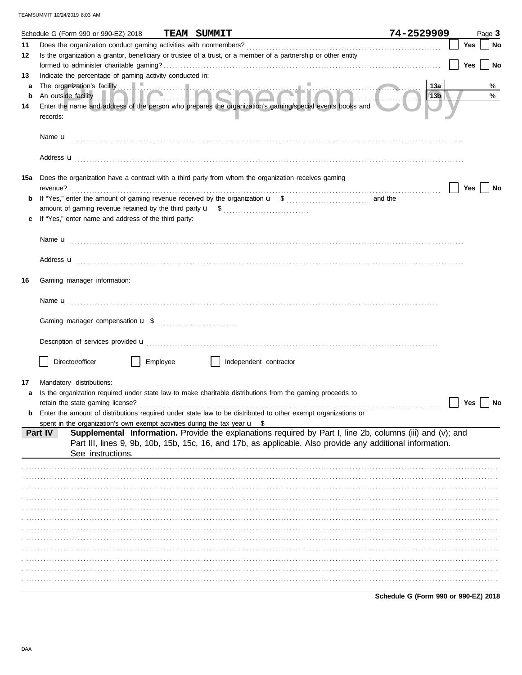|         | Schedule G (Form 990 or 990-EZ) 2018                                                  |          | <b>TEAM SUMMIT</b>                                                                                                                                                                                                       | 74-2529909      |            | Page 3 |
|---------|---------------------------------------------------------------------------------------|----------|--------------------------------------------------------------------------------------------------------------------------------------------------------------------------------------------------------------------------|-----------------|------------|--------|
| 11      |                                                                                       |          |                                                                                                                                                                                                                          |                 | Yes        | No     |
| 12      |                                                                                       |          | Is the organization a grantor, beneficiary or trustee of a trust, or a member of a partnership or other entity                                                                                                           |                 |            |        |
|         |                                                                                       |          |                                                                                                                                                                                                                          |                 | <b>Yes</b> | No     |
| 13      | Indicate the percentage of gaming activity conducted in:                              |          |                                                                                                                                                                                                                          |                 |            |        |
| a       |                                                                                       |          |                                                                                                                                                                                                                          | 13a             |            | %      |
| b<br>14 |                                                                                       |          | Enter the name and address of the person who prepares the organization's gaming/special events books and                                                                                                                 | 13 <sub>b</sub> |            | %      |
|         | records:                                                                              |          |                                                                                                                                                                                                                          |                 |            |        |
|         |                                                                                       |          |                                                                                                                                                                                                                          |                 |            |        |
|         |                                                                                       |          | Address <b>u</b>                                                                                                                                                                                                         |                 |            |        |
| 15a     |                                                                                       |          | Does the organization have a contract with a third party from whom the organization receives gaming                                                                                                                      |                 |            |        |
|         | revenue?                                                                              |          |                                                                                                                                                                                                                          |                 | Yes        | No     |
|         |                                                                                       |          |                                                                                                                                                                                                                          |                 |            |        |
|         | If "Yes," enter name and address of the third party:                                  |          |                                                                                                                                                                                                                          |                 |            |        |
|         |                                                                                       |          |                                                                                                                                                                                                                          |                 |            |        |
|         |                                                                                       |          |                                                                                                                                                                                                                          |                 |            |        |
|         |                                                                                       |          |                                                                                                                                                                                                                          |                 |            |        |
|         |                                                                                       |          | Address <b>u</b>                                                                                                                                                                                                         |                 |            |        |
| 16      | Gaming manager information:                                                           |          |                                                                                                                                                                                                                          |                 |            |        |
|         |                                                                                       |          |                                                                                                                                                                                                                          |                 |            |        |
|         |                                                                                       |          |                                                                                                                                                                                                                          |                 |            |        |
|         |                                                                                       |          |                                                                                                                                                                                                                          |                 |            |        |
|         |                                                                                       |          |                                                                                                                                                                                                                          |                 |            |        |
|         |                                                                                       |          |                                                                                                                                                                                                                          |                 |            |        |
|         | Director/officer                                                                      | Employee | Independent contractor                                                                                                                                                                                                   |                 |            |        |
|         |                                                                                       |          |                                                                                                                                                                                                                          |                 |            |        |
| 17      | Mandatory distributions:                                                              |          | Is the organization required under state law to make charitable distributions from the gaming proceeds to                                                                                                                |                 |            |        |
|         | retain the state gaming license?                                                      |          |                                                                                                                                                                                                                          |                 | Yes        | No     |
|         |                                                                                       |          | Enter the amount of distributions required under state law to be distributed to other exempt organizations or                                                                                                            |                 |            |        |
|         | spent in the organization's own exempt activities during the tax year $\mathbf{u}$ \$ |          |                                                                                                                                                                                                                          |                 |            |        |
|         | Part IV<br>See instructions.                                                          |          | Supplemental Information. Provide the explanations required by Part I, line 2b, columns (iii) and (v); and<br>Part III, lines 9, 9b, 10b, 15b, 15c, 16, and 17b, as applicable. Also provide any additional information. |                 |            |        |
|         |                                                                                       |          |                                                                                                                                                                                                                          |                 |            |        |
|         |                                                                                       |          |                                                                                                                                                                                                                          |                 |            |        |
|         |                                                                                       |          |                                                                                                                                                                                                                          |                 |            |        |
|         |                                                                                       |          |                                                                                                                                                                                                                          |                 |            |        |
|         |                                                                                       |          |                                                                                                                                                                                                                          |                 |            |        |
|         |                                                                                       |          |                                                                                                                                                                                                                          |                 |            |        |
|         |                                                                                       |          |                                                                                                                                                                                                                          |                 |            |        |
|         |                                                                                       |          |                                                                                                                                                                                                                          |                 |            |        |
|         |                                                                                       |          |                                                                                                                                                                                                                          |                 |            |        |
|         |                                                                                       |          |                                                                                                                                                                                                                          |                 |            |        |
|         |                                                                                       |          |                                                                                                                                                                                                                          |                 |            |        |
|         |                                                                                       |          |                                                                                                                                                                                                                          |                 |            |        |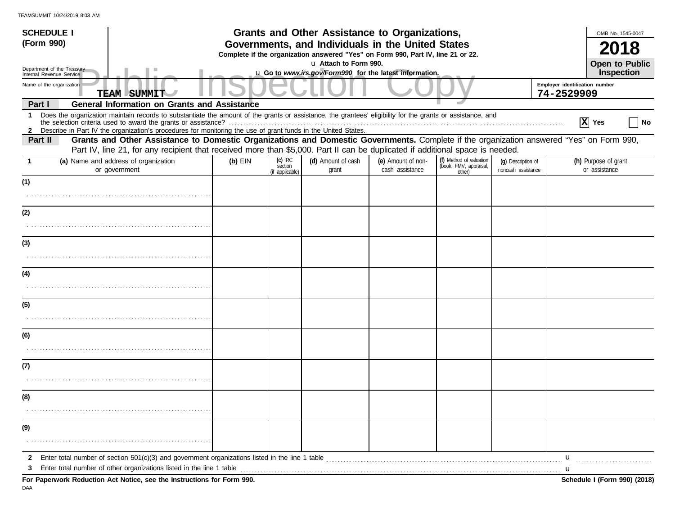| <b>SCHEDULE I</b>                                    |                                                                                                                                                                                                                                                                                                                                                 | <b>Grants and Other Assistance to Organizations,</b> |                                                                                                                                       |                             |                                       |                                                             |                                          |                                              | OMB No. 1545-0047                     |    |
|------------------------------------------------------|-------------------------------------------------------------------------------------------------------------------------------------------------------------------------------------------------------------------------------------------------------------------------------------------------------------------------------------------------|------------------------------------------------------|---------------------------------------------------------------------------------------------------------------------------------------|-----------------------------|---------------------------------------|-------------------------------------------------------------|------------------------------------------|----------------------------------------------|---------------------------------------|----|
| (Form 990)                                           |                                                                                                                                                                                                                                                                                                                                                 |                                                      | Governments, and Individuals in the United States<br>Complete if the organization answered "Yes" on Form 990, Part IV, line 21 or 22. |                             |                                       |                                                             |                                          |                                              |                                       |    |
| Department of the Treasury                           |                                                                                                                                                                                                                                                                                                                                                 | u Attach to Form 990.                                |                                                                                                                                       |                             |                                       |                                                             |                                          |                                              | Open to Public                        |    |
| Internal Revenue Service<br>Name of the organization | <b>TEAM SUMMIT</b>                                                                                                                                                                                                                                                                                                                              |                                                      | u Go to www.irs.gov/Form990 for the latest information.                                                                               |                             |                                       |                                                             |                                          | Employer identification number<br>74-2529909 | Inspection                            |    |
| Part I                                               | <b>General Information on Grants and Assistance</b>                                                                                                                                                                                                                                                                                             |                                                      |                                                                                                                                       |                             |                                       |                                                             |                                          |                                              |                                       |    |
| $\mathbf 1$                                          | Does the organization maintain records to substantiate the amount of the grants or assistance, the grantees' eligibility for the grants or assistance, and<br>the selection criteria used to award the grants or assistance?<br>2 Describe in Part IV the organization's procedures for monitoring the use of grant funds in the United States. |                                                      |                                                                                                                                       |                             |                                       |                                                             |                                          |                                              | $ X $ Yes                             | No |
| Part II                                              | Grants and Other Assistance to Domestic Organizations and Domestic Governments. Complete if the organization answered "Yes" on Form 990,<br>Part IV, line 21, for any recipient that received more than \$5,000. Part II can be duplicated if additional space is needed.                                                                       |                                                      |                                                                                                                                       |                             |                                       |                                                             |                                          |                                              |                                       |    |
| 1                                                    | (a) Name and address of organization<br>or government                                                                                                                                                                                                                                                                                           | $(b)$ EIN                                            | $(c)$ IRC<br>section<br>(if applicable)                                                                                               | (d) Amount of cash<br>grant | (e) Amount of non-<br>cash assistance | (f) Method of valuation<br>(book, FMV, appraisal,<br>other) | (q) Description of<br>noncash assistance |                                              | (h) Purpose of grant<br>or assistance |    |
| (1)                                                  |                                                                                                                                                                                                                                                                                                                                                 |                                                      |                                                                                                                                       |                             |                                       |                                                             |                                          |                                              |                                       |    |
|                                                      |                                                                                                                                                                                                                                                                                                                                                 |                                                      |                                                                                                                                       |                             |                                       |                                                             |                                          |                                              |                                       |    |
| (2)                                                  |                                                                                                                                                                                                                                                                                                                                                 |                                                      |                                                                                                                                       |                             |                                       |                                                             |                                          |                                              |                                       |    |
|                                                      |                                                                                                                                                                                                                                                                                                                                                 |                                                      |                                                                                                                                       |                             |                                       |                                                             |                                          |                                              |                                       |    |
| (3)                                                  |                                                                                                                                                                                                                                                                                                                                                 |                                                      |                                                                                                                                       |                             |                                       |                                                             |                                          |                                              |                                       |    |
|                                                      |                                                                                                                                                                                                                                                                                                                                                 |                                                      |                                                                                                                                       |                             |                                       |                                                             |                                          |                                              |                                       |    |
| (4)                                                  |                                                                                                                                                                                                                                                                                                                                                 |                                                      |                                                                                                                                       |                             |                                       |                                                             |                                          |                                              |                                       |    |
|                                                      |                                                                                                                                                                                                                                                                                                                                                 |                                                      |                                                                                                                                       |                             |                                       |                                                             |                                          |                                              |                                       |    |
| (5)                                                  |                                                                                                                                                                                                                                                                                                                                                 |                                                      |                                                                                                                                       |                             |                                       |                                                             |                                          |                                              |                                       |    |
|                                                      |                                                                                                                                                                                                                                                                                                                                                 |                                                      |                                                                                                                                       |                             |                                       |                                                             |                                          |                                              |                                       |    |
| (6)                                                  |                                                                                                                                                                                                                                                                                                                                                 |                                                      |                                                                                                                                       |                             |                                       |                                                             |                                          |                                              |                                       |    |
|                                                      |                                                                                                                                                                                                                                                                                                                                                 |                                                      |                                                                                                                                       |                             |                                       |                                                             |                                          |                                              |                                       |    |
| (7)                                                  |                                                                                                                                                                                                                                                                                                                                                 |                                                      |                                                                                                                                       |                             |                                       |                                                             |                                          |                                              |                                       |    |
|                                                      |                                                                                                                                                                                                                                                                                                                                                 |                                                      |                                                                                                                                       |                             |                                       |                                                             |                                          |                                              |                                       |    |
| (8)                                                  |                                                                                                                                                                                                                                                                                                                                                 |                                                      |                                                                                                                                       |                             |                                       |                                                             |                                          |                                              |                                       |    |
|                                                      |                                                                                                                                                                                                                                                                                                                                                 |                                                      |                                                                                                                                       |                             |                                       |                                                             |                                          |                                              |                                       |    |
| (9)                                                  |                                                                                                                                                                                                                                                                                                                                                 |                                                      |                                                                                                                                       |                             |                                       |                                                             |                                          |                                              |                                       |    |
|                                                      |                                                                                                                                                                                                                                                                                                                                                 |                                                      |                                                                                                                                       |                             |                                       |                                                             |                                          |                                              |                                       |    |
| $\mathbf{2}$                                         |                                                                                                                                                                                                                                                                                                                                                 |                                                      |                                                                                                                                       |                             |                                       |                                                             |                                          | u                                            |                                       |    |
| 3                                                    | Enter total number of other organizations listed in the line 1 table <b>conserved to the conserved in the line 1</b> table<br>For Paperwork Reduction Act Notice, see the Instructions for Form 990.                                                                                                                                            |                                                      |                                                                                                                                       |                             |                                       |                                                             |                                          |                                              | Schedule I (Form 990) (2018)          |    |

DAA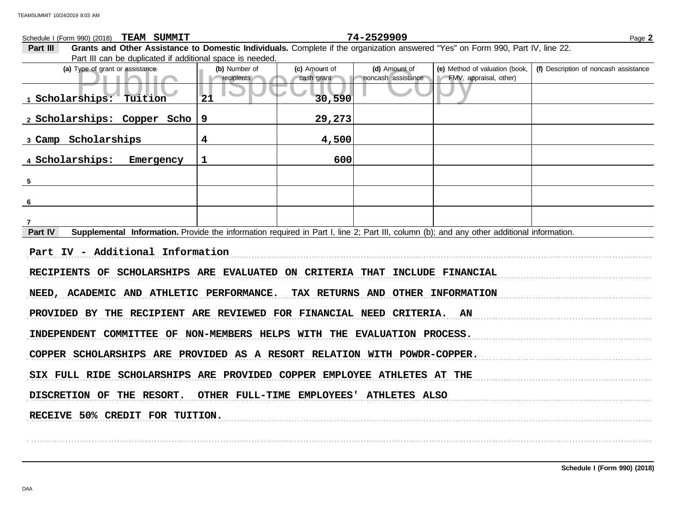Public Inspection CopyFype of grant or assistance<br>
Public Inspection CopyFMV, appraisal, other)<br>
Public CopyFMV, appraisal, other)<br>
Public CopyFMV, appraisal, other)<br>
Public CopyFMV, appraisal, other)<br>
Public CopyFMV, appr **(d)** Amount of **(e)** Method of valuation (book, cash grant **(a)** Type of grant or assistance **(b)** Number of **(c)** Amount of **Part III Grants and Other Assistance to Domestic Individuals.** Complete if the organization answered "Yes" on Form 990, Part IV, line 22. Part III can be duplicated if additional space is needed. Schedule I (Form 990) (2018) Page **2 TEAM SUMMIT 74-2529909 example assistance** assistance assistance **(f)** Description of noncash assistance **Part IV** Supplemental Information. Provide the information required in Part I, line 2; Part III, column (b); and any other additional information. . . . . . . . . . . . . . . . . . . . . . . . . . . . . . . . . . . . . . . . . . . . . . . . . . . . . . . . . . . . . . . . . . . . . . . . . . . . . . . . . . . . . . . . . . . . . . . . . . . . . . . . . . . . . . . . . . . . . . . . . . . . . . . . . . . . . . . . . . . . . . . . . . . . . . . . . . . . . . . . . . . . . . . . . . . . . . . . . . . . . . . . . . . . . . . . . . . . . . . . . . . . . . . . . . . . . . . . . . . RECIPIENTS OF SCHOLARSHIPS ARE EVALUATED ON CRITERIA THAT INCLUDE FINANCIAL NEED, ACADEMIC AND ATHLETIC PERFORMANCE. TAX RETURNS AND OTHER INFORMATION PROVIDED BY THE RECIPIENT ARE REVIEWED FOR FINANCIAL NEED CRITERIA. AN INDEPENDENT COMMITTEE OF NON-MEMBERS HELPS WITH THE EVALUATION PROCESS. COPPER SCHOLARSHIPS ARE PROVIDED AS A RESORT RELATION WITH POWDR-COPPER. SIX FULL RIDE SCHOLARSHIPS ARE PROVIDED COPPER EMPLOYEE ATHLETES AT THE DISCRETION OF THE RESORT. OTHER FULL-TIME EMPLOYEES' ATHLETES ALSO RECEIVE 50% CREDIT FOR TUITION. **1 Scholarships: Tuition 21 30,590 2 Scholarships: Copper Scho 9 29,273 3 Camp Scholarships 4 4,500 4 Scholarships: Emergency 1 600 5 6 7 Part IV - Additional Information**

. . . . . . . . . . . . . . . . . . . . . . . . . . . . . . . . . . . . . . . . . . . . . . . . . . . . . . . . . . . . . . . . . . . . . . . . . . . . . . . . . . . . . . . . . . . . . . . . . . . . . . . . . . . . . . . . . . . . . . . . . . . . . . . . . . . . . . . . . . . . . . . . . . . . . . . . . . . . . . . . . . . . . . . . . . . . . . . . . . . . . . . . . . . . . . . . . . . . . . . . . . . . . . . . . . . . . . . . . .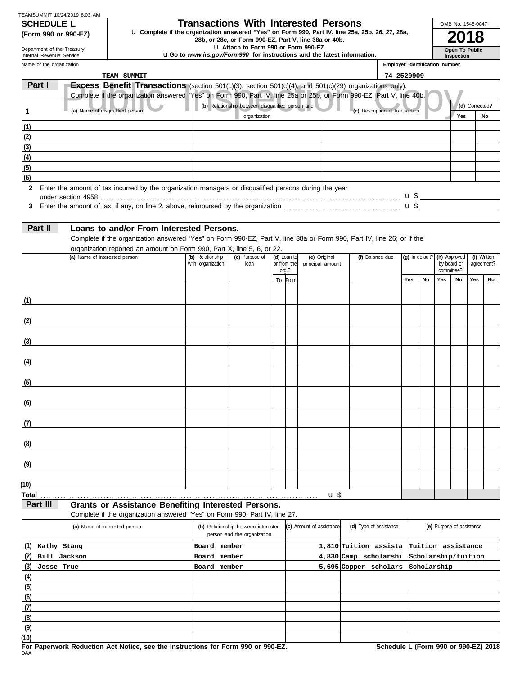| <b>SCHEDULE L</b>             |  |
|-------------------------------|--|
| TEAMSUMMIT 10/24/2019 8:03 AM |  |

# **Transactions With Interested Persons**

**(Form 990 or 990-EZ)** u Complete if the organization answered "Yes" on Form 990, Part IV, line 25a, 25b, 26, 27, 28a,<br>28b, or 28c, or Form 990-EZ, Part V, line 38a or 40b.<br>**2018** 

u **Attach to Form 990 or Form 990-EZ.**

u**Go to** *www.irs.gov/Form990* **for instructions and the latest information.**

Name of the organization Department of the Treasury Internal Revenue Service

**Inspection**

**Open To Public**

OMB No. 1545-0047

| Name of the organization |                                                                                                                                                                                                                                     |                                       |                                                  |                            |                                  |                                | <b>Employer identification number</b> |                 |     |                             |                |             |
|--------------------------|-------------------------------------------------------------------------------------------------------------------------------------------------------------------------------------------------------------------------------------|---------------------------------------|--------------------------------------------------|----------------------------|----------------------------------|--------------------------------|---------------------------------------|-----------------|-----|-----------------------------|----------------|-------------|
|                          | TEAM SUMMIT                                                                                                                                                                                                                         |                                       |                                                  |                            |                                  |                                | 74-2529909                            |                 |     |                             |                |             |
| Part I                   | Excess Benefit Transactions (section 501(c)(3), section 501(c)(4), and 501(c)(29) organizations only).                                                                                                                              |                                       |                                                  |                            |                                  |                                |                                       |                 |     |                             |                |             |
|                          | Complete if the organization answered "Yes" on Form 990, Part IV, line 25a or 25b, or Form 990-EZ, Part V, line 40b.                                                                                                                |                                       |                                                  |                            |                                  |                                |                                       |                 |     |                             |                |             |
| $\mathbf{1}$             | (a) Name of disqualified person                                                                                                                                                                                                     |                                       | (b) Relationship between disqualified person and |                            |                                  | (c) Description of transaction |                                       |                 |     |                             | (d) Corrected? |             |
|                          |                                                                                                                                                                                                                                     |                                       | organization                                     |                            |                                  |                                |                                       |                 |     | Yes                         |                | No          |
| (1)                      |                                                                                                                                                                                                                                     |                                       |                                                  |                            |                                  |                                |                                       |                 |     |                             |                |             |
| (2)                      |                                                                                                                                                                                                                                     |                                       |                                                  |                            |                                  |                                |                                       |                 |     |                             |                |             |
| (3)                      |                                                                                                                                                                                                                                     |                                       |                                                  |                            |                                  |                                |                                       |                 |     |                             |                |             |
| (4)                      |                                                                                                                                                                                                                                     |                                       |                                                  |                            |                                  |                                |                                       |                 |     |                             |                |             |
| (5)                      |                                                                                                                                                                                                                                     |                                       |                                                  |                            |                                  |                                |                                       |                 |     |                             |                |             |
| (6)                      |                                                                                                                                                                                                                                     |                                       |                                                  |                            |                                  |                                |                                       |                 |     |                             |                |             |
|                          | 2 Enter the amount of tax incurred by the organization managers or disqualified persons during the year                                                                                                                             |                                       |                                                  |                            |                                  |                                |                                       |                 |     |                             |                |             |
|                          |                                                                                                                                                                                                                                     |                                       |                                                  |                            |                                  |                                |                                       |                 |     |                             |                |             |
|                          | 3 Enter the amount of tax, if any, on line 2, above, reimbursed by the organization <i>maching maching maching</i> with the system and the system and the system and the system and the system and the system and the system and th |                                       |                                                  |                            |                                  |                                |                                       |                 |     |                             |                |             |
|                          |                                                                                                                                                                                                                                     |                                       |                                                  |                            |                                  |                                |                                       |                 |     |                             |                |             |
| Part II                  | Loans to and/or From Interested Persons.                                                                                                                                                                                            |                                       |                                                  |                            |                                  |                                |                                       |                 |     |                             |                |             |
|                          | Complete if the organization answered "Yes" on Form 990-EZ, Part V, line 38a or Form 990, Part IV, line 26; or if the                                                                                                               |                                       |                                                  |                            |                                  |                                |                                       |                 |     |                             |                |             |
|                          | organization reported an amount on Form 990, Part X, line 5, 6, or 22.                                                                                                                                                              |                                       |                                                  |                            |                                  |                                |                                       |                 |     |                             |                |             |
|                          | (a) Name of interested person                                                                                                                                                                                                       | (b) Relationship<br>with organization | (c) Purpose of<br>loan                           | (d) Loan to<br>or from the | (e) Original<br>principal amount | (f) Balance due                |                                       | (g) In default? |     | (h) Approved<br>by board or | agreement?     | (i) Written |
|                          |                                                                                                                                                                                                                                     |                                       |                                                  | org.?                      |                                  |                                |                                       |                 |     | committee?                  |                |             |
|                          |                                                                                                                                                                                                                                     |                                       |                                                  | To From                    |                                  |                                | Yes                                   | <b>No</b>       | Yes | No                          | Yes            | No          |
|                          |                                                                                                                                                                                                                                     |                                       |                                                  |                            |                                  |                                |                                       |                 |     |                             |                |             |
| (1)                      | <u> 1980 - Johann Barbara, martxa a</u>                                                                                                                                                                                             |                                       |                                                  |                            |                                  |                                |                                       |                 |     |                             |                |             |
|                          |                                                                                                                                                                                                                                     |                                       |                                                  |                            |                                  |                                |                                       |                 |     |                             |                |             |
| (2)                      |                                                                                                                                                                                                                                     |                                       |                                                  |                            |                                  |                                |                                       |                 |     |                             |                |             |
|                          |                                                                                                                                                                                                                                     |                                       |                                                  |                            |                                  |                                |                                       |                 |     |                             |                |             |
| (3)                      |                                                                                                                                                                                                                                     |                                       |                                                  |                            |                                  |                                |                                       |                 |     |                             |                |             |
|                          |                                                                                                                                                                                                                                     |                                       |                                                  |                            |                                  |                                |                                       |                 |     |                             |                |             |
| (4)                      |                                                                                                                                                                                                                                     |                                       |                                                  |                            |                                  |                                |                                       |                 |     |                             |                |             |
|                          |                                                                                                                                                                                                                                     |                                       |                                                  |                            |                                  |                                |                                       |                 |     |                             |                |             |
| (5)                      |                                                                                                                                                                                                                                     |                                       |                                                  |                            |                                  |                                |                                       |                 |     |                             |                |             |
|                          |                                                                                                                                                                                                                                     |                                       |                                                  |                            |                                  |                                |                                       |                 |     |                             |                |             |
| (6)                      |                                                                                                                                                                                                                                     |                                       |                                                  |                            |                                  |                                |                                       |                 |     |                             |                |             |
| (7)                      |                                                                                                                                                                                                                                     |                                       |                                                  |                            |                                  |                                |                                       |                 |     |                             |                |             |
|                          |                                                                                                                                                                                                                                     |                                       |                                                  |                            |                                  |                                |                                       |                 |     |                             |                |             |
| (8)                      |                                                                                                                                                                                                                                     |                                       |                                                  |                            |                                  |                                |                                       |                 |     |                             |                |             |
|                          |                                                                                                                                                                                                                                     |                                       |                                                  |                            |                                  |                                |                                       |                 |     |                             |                |             |
| (9)                      |                                                                                                                                                                                                                                     |                                       |                                                  |                            |                                  |                                |                                       |                 |     |                             |                |             |
|                          | <u> 1980 - Johann Barbara, martxa alemaniar a</u>                                                                                                                                                                                   |                                       |                                                  |                            |                                  |                                |                                       |                 |     |                             |                |             |
| (10)                     |                                                                                                                                                                                                                                     |                                       |                                                  |                            |                                  |                                |                                       |                 |     |                             |                |             |
| Total                    |                                                                                                                                                                                                                                     |                                       |                                                  |                            | u \$                             |                                |                                       |                 |     |                             |                |             |
|                          |                                                                                                                                                                                                                                     |                                       |                                                  |                            |                                  |                                |                                       |                 |     |                             |                |             |

# **Part III Grants or Assistance Benefiting Interested Persons.**

Complete if the organization answered "Yes" on Form 990, Part IV, line 27.

| (a) Name of interested person | (b) Relationship between interested<br>person and the organization | (c) Amount of assistance | (d) Type of assistance   | (e) Purpose of assistance |  |  |
|-------------------------------|--------------------------------------------------------------------|--------------------------|--------------------------|---------------------------|--|--|
| (1)<br>Kathy Stang            | Board member                                                       |                          | 1,810 Tuition assista    | Tuition assistance        |  |  |
| (2)<br>Bill Jackson           | Board member                                                       |                          | 4,830 Camp scholarshi    | Scholarship/tuition       |  |  |
| (3)<br>Jesse True             | Board member                                                       |                          | scholars<br>5,695 Copper | Scholarship               |  |  |
| (4)                           |                                                                    |                          |                          |                           |  |  |
| (5)                           |                                                                    |                          |                          |                           |  |  |
| (6)                           |                                                                    |                          |                          |                           |  |  |
| (7)                           |                                                                    |                          |                          |                           |  |  |
| (8)                           |                                                                    |                          |                          |                           |  |  |
| (9)                           |                                                                    |                          |                          |                           |  |  |
| (10)                          |                                                                    |                          |                          |                           |  |  |

DAA **For Paperwork Reduction Act Notice, see the Instructions for Form 990 or 990-EZ. Schedule L (Form 990 or 990-EZ) 2018**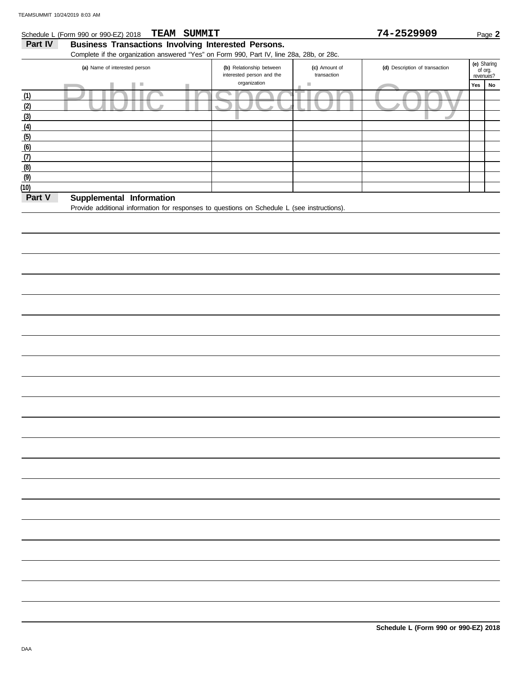**(8) (9) (10)**

**Part V** Supplemental Information

### Public Inspection Copy Yes No revenues? **(e)** Sharing (d) Description of transaction interested person and the Part IV Business Transactions Involving Interested Persons. Complete if the organization answered "Yes" on Form 990, Part IV, line 28a, 28b, or 28c. **(a)** Name of interested person **(b)** Relationship between organization **(c)** Amount of transaction **Schedule L (Form 990 or 990-EZ) 2018** Page 2 **TEAM SUMMIT 12 CONSERVERGE 2 (6) (5) (4) (3) (2) (1) (7)**

Provide additional information for responses to questions on Schedule L (see instructions).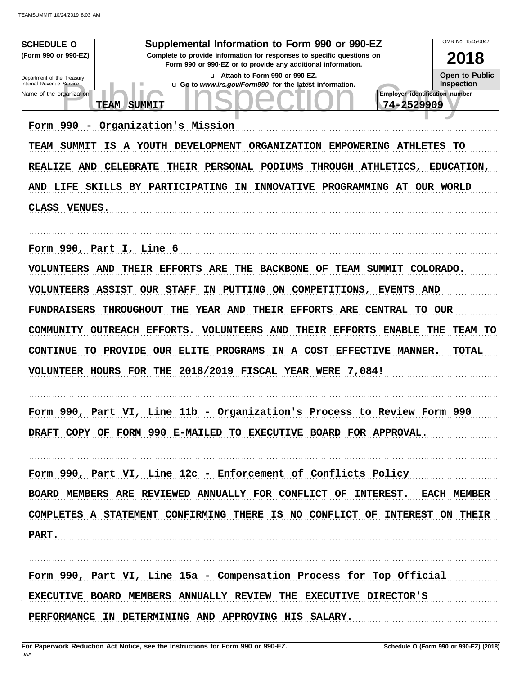| <b>SCHEDULE O</b>                                      | Supplemental Information to Form 990 or 990-EZ                                                                                         | OMB No. 1545-0047                          |
|--------------------------------------------------------|----------------------------------------------------------------------------------------------------------------------------------------|--------------------------------------------|
| (Form 990 or 990-EZ)                                   | Complete to provide information for responses to specific questions on<br>Form 990 or 990-EZ or to provide any additional information. | 2018                                       |
| Department of the Treasury<br>Internal Revenue Service | u Attach to Form 990 or 990-EZ.                                                                                                        | <b>Open to Public</b><br><b>Inspection</b> |
| Name of the organization                               | u Go to www.irs.gov/Form990 for the latest information.<br>Employer identification number                                              |                                            |
|                                                        | 74-2529909<br><b>TEAM</b><br><b>SUMMIT</b>                                                                                             |                                            |
| Form 990<br>$\overline{\phantom{a}}$                   | Organization's Mission                                                                                                                 |                                            |
| SUMMIT<br><b>TEAM</b>                                  | A YOUTH DEVELOPMENT<br>ORGANIZATION EMPOWERING ATHLETES<br>IS                                                                          | TО                                         |
| REALIZE AND                                            | <b>CELEBRATE</b><br>THEIR PERSONAL PODIUMS<br>THROUGH ATHLETICS,                                                                       | <b>EDUCATION,</b>                          |
|                                                        | AND LIFE SKILLS BY PARTICIPATING IN<br>INNOVATIVE PROGRAMMING AT OUR WORLD                                                             |                                            |
| <b>CLASS</b><br><b>VENUES.</b>                         |                                                                                                                                        |                                            |
|                                                        |                                                                                                                                        |                                            |
|                                                        | Form 990, Part I, Line 6                                                                                                               |                                            |
| <b>VOLUNTEERS AND</b>                                  | THEIR EFFORTS<br>ARE<br>THE<br><b>BACKBONE OF</b><br><b>TEAM SUMMIT</b>                                                                | COLORADO.                                  |
|                                                        |                                                                                                                                        |                                            |
|                                                        | <b>VOLUNTEERS ASSIST OUR STAFF</b><br>ΙN<br>PUTTING ON COMPETITIONS,<br><b>EVENTS AND</b>                                              |                                            |
| <b>FUNDRAISERS</b>                                     | THEIR EFFORTS ARE CENTRAL TO OUR<br><b>THROUGHOUT</b><br>THE<br><b>YEAR AND</b>                                                        |                                            |
|                                                        | <b>VOLUNTEERS AND</b><br>THEIR EFFORTS<br><b>ENABLE</b><br>COMMUNITY OUTREACH EFFORTS.                                                 | THE<br>TEAM TO                             |
| <b>CONTINUE</b><br>TO.                                 | PROVIDE OUR ELITE PROGRAMS<br>IN A COST EFFECTIVE MANNER.                                                                              | <b>TOTAL</b>                               |
|                                                        | VOLUNTEER HOURS FOR THE 2018/2019 FISCAL YEAR WERE 7,084!                                                                              |                                            |
|                                                        |                                                                                                                                        |                                            |
| Form 990                                               |                                                                                                                                        |                                            |
|                                                        | Part VI, Line 11b - Organization's Process to Review Form 990                                                                          |                                            |
|                                                        | DRAFT COPY OF FORM 990 E-MAILED TO EXECUTIVE BOARD FOR APPROVAL.                                                                       |                                            |
|                                                        |                                                                                                                                        |                                            |
|                                                        | Form 990, Part VI, Line 12c - Enforcement of Conflicts Policy                                                                          |                                            |
|                                                        | BOARD MEMBERS ARE REVIEWED ANNUALLY FOR CONFLICT OF INTEREST. EACH MEMBER                                                              |                                            |
|                                                        | COMPLETES A STATEMENT CONFIRMING THERE IS NO CONFLICT OF INTEREST ON THEIR                                                             |                                            |
| PART.                                                  |                                                                                                                                        |                                            |
|                                                        |                                                                                                                                        |                                            |
|                                                        | Form 990, Part VI, Line 15a - Compensation Process for Top Official                                                                    |                                            |
|                                                        |                                                                                                                                        |                                            |
|                                                        | EXECUTIVE BOARD MEMBERS ANNUALLY REVIEW THE EXECUTIVE DIRECTOR'S                                                                       |                                            |
|                                                        | PERFORMANCE IN DETERMINING AND APPROVING HIS SALARY.                                                                                   |                                            |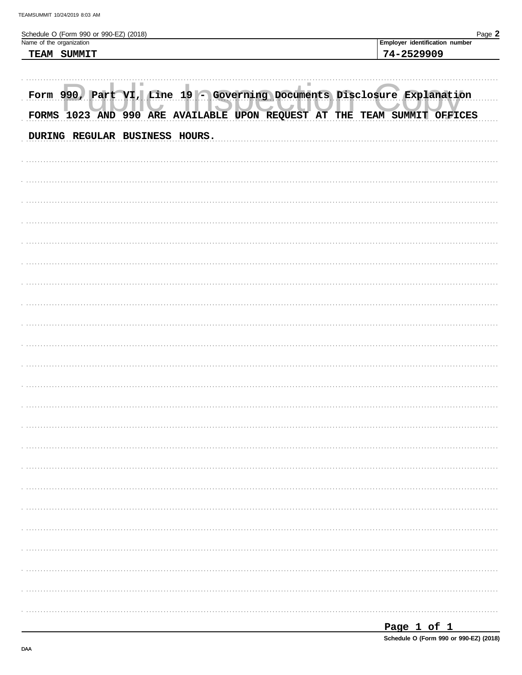| Schedule O (Form 990 or 990-EZ) (2018)<br>Name of the organization      | Page 2<br>Employer identification number                                 |
|-------------------------------------------------------------------------|--------------------------------------------------------------------------|
| TEAM SUMMIT                                                             | 74-2529909                                                               |
|                                                                         |                                                                          |
| Form 990, Part VI, Line 19 - Governing Documents Disclosure Explanation | FORMS 1023 AND 990 ARE AVAILABLE UPON REQUEST AT THE TEAM SUMMIT OFFICES |
| DURING REGULAR BUSINESS HOURS.                                          |                                                                          |
|                                                                         |                                                                          |
|                                                                         |                                                                          |
|                                                                         |                                                                          |
|                                                                         |                                                                          |
|                                                                         |                                                                          |
|                                                                         |                                                                          |
|                                                                         |                                                                          |
|                                                                         |                                                                          |
|                                                                         |                                                                          |
|                                                                         |                                                                          |
|                                                                         |                                                                          |
|                                                                         |                                                                          |
|                                                                         |                                                                          |
|                                                                         |                                                                          |
|                                                                         |                                                                          |
|                                                                         |                                                                          |
|                                                                         |                                                                          |
|                                                                         |                                                                          |
|                                                                         |                                                                          |
|                                                                         |                                                                          |
|                                                                         |                                                                          |
|                                                                         |                                                                          |

Schedule O (Form 990 or 990-EZ) (2018)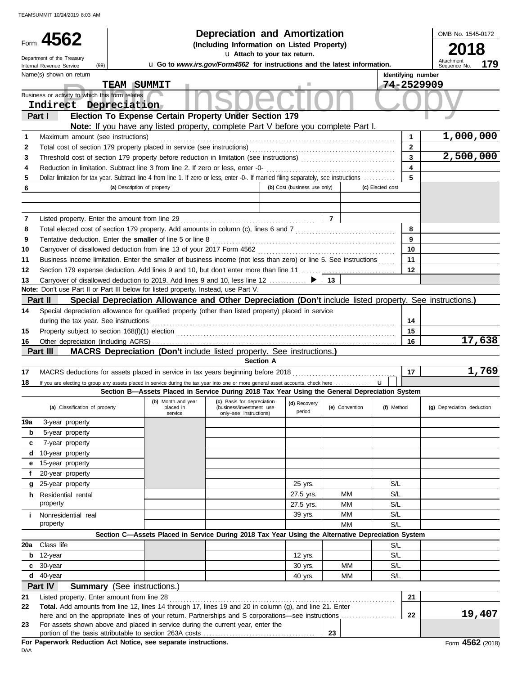|                                                 |                                                                                  | <b>Depreciation and Amortization</b>                   |  |                    | OMB No. 1545-0 |  |
|-------------------------------------------------|----------------------------------------------------------------------------------|--------------------------------------------------------|--|--------------------|----------------|--|
| Form $4562$                                     |                                                                                  | (Including Information on Listed Property)             |  |                    | 2018           |  |
| Department of the Treasury                      |                                                                                  | u Attach to your tax return.                           |  |                    |                |  |
| (99)<br>Internal Revenue Service                | <b>u</b> Go to www.irs.gov/Form4562 for instructions and the latest information. | Attachment<br>Sequence No.                             |  |                    |                |  |
| Name(s) shown on return                         |                                                                                  |                                                        |  | Identifying number |                |  |
|                                                 | SUMMIT<br><b>TEAM</b>                                                            |                                                        |  | 74-2529909         |                |  |
| Business or activity to which this form relates |                                                                                  |                                                        |  |                    |                |  |
| Indirect Depreciation                           |                                                                                  |                                                        |  |                    |                |  |
| Part I                                          |                                                                                  | Election To Expense Certain Property Under Section 179 |  |                    |                |  |

|     | Indirect Depreciation                                                                                                                                                                                         |                                                                                                   |                                                    |                              |                |                  |                         |                            |
|-----|---------------------------------------------------------------------------------------------------------------------------------------------------------------------------------------------------------------|---------------------------------------------------------------------------------------------------|----------------------------------------------------|------------------------------|----------------|------------------|-------------------------|----------------------------|
|     | Election To Expense Certain Property Under Section 179<br>Part I                                                                                                                                              |                                                                                                   |                                                    |                              |                |                  |                         |                            |
|     | Note: If you have any listed property, complete Part V before you complete Part I.                                                                                                                            |                                                                                                   |                                                    |                              |                |                  |                         |                            |
| 1   | Maximum amount (see instructions)                                                                                                                                                                             |                                                                                                   |                                                    |                              |                |                  | 1                       | 1,000,000                  |
| 2   |                                                                                                                                                                                                               |                                                                                                   |                                                    |                              |                |                  | $\overline{2}$          |                            |
| 3   |                                                                                                                                                                                                               |                                                                                                   |                                                    |                              |                |                  | $\overline{\mathbf{3}}$ | 2,500,000                  |
| 4   | Reduction in limitation. Subtract line 3 from line 2. If zero or less, enter -0-                                                                                                                              |                                                                                                   |                                                    |                              |                |                  | $\overline{\mathbf{4}}$ |                            |
| 5   | Dollar limitation for tax year. Subtract line 4 from line 1. If zero or less, enter -0-. If married filing separately, see instructions                                                                       |                                                                                                   |                                                    |                              |                |                  | 5                       |                            |
| 6   | (a) Description of property                                                                                                                                                                                   |                                                                                                   |                                                    | (b) Cost (business use only) |                | (c) Elected cost |                         |                            |
|     |                                                                                                                                                                                                               |                                                                                                   |                                                    |                              |                |                  |                         |                            |
|     |                                                                                                                                                                                                               |                                                                                                   |                                                    |                              |                |                  |                         |                            |
| 7   | Listed property. Enter the amount from line 29                                                                                                                                                                |                                                                                                   |                                                    |                              | $\overline{7}$ |                  |                         |                            |
| 8   |                                                                                                                                                                                                               |                                                                                                   |                                                    |                              |                |                  | 8                       |                            |
| 9   | Tentative deduction. Enter the smaller of line 5 or line 8                                                                                                                                                    |                                                                                                   |                                                    |                              |                |                  | 9                       |                            |
| 10  |                                                                                                                                                                                                               |                                                                                                   |                                                    |                              |                |                  | 10                      |                            |
| 11  | Business income limitation. Enter the smaller of business income (not less than zero) or line 5. See instructions                                                                                             |                                                                                                   |                                                    |                              |                |                  | 11                      |                            |
| 12  | Section 179 expense deduction. Add lines 9 and 10, but don't enter more than line 11                                                                                                                          |                                                                                                   |                                                    |                              |                |                  | 12                      |                            |
| 13  | Carryover of disallowed deduction to 2019. Add lines 9 and 10, less line 12                                                                                                                                   |                                                                                                   |                                                    |                              | 13             |                  |                         |                            |
|     | Note: Don't use Part II or Part III below for listed property. Instead, use Part V.                                                                                                                           |                                                                                                   |                                                    |                              |                |                  |                         |                            |
|     | Part II<br>Special Depreciation Allowance and Other Depreciation (Don't include listed property. See instructions.)                                                                                           |                                                                                                   |                                                    |                              |                |                  |                         |                            |
| 14  | Special depreciation allowance for qualified property (other than listed property) placed in service                                                                                                          |                                                                                                   |                                                    |                              |                |                  |                         |                            |
|     | during the tax year. See instructions                                                                                                                                                                         |                                                                                                   |                                                    |                              |                |                  | 14                      |                            |
| 15  | Property subject to section 168(f)(1) election                                                                                                                                                                |                                                                                                   |                                                    |                              |                |                  | 15                      |                            |
| 16  |                                                                                                                                                                                                               |                                                                                                   |                                                    |                              |                |                  | 16                      | 17,638                     |
|     | Part III<br><b>MACRS Depreciation (Don't include listed property. See instructions.)</b>                                                                                                                      |                                                                                                   | <b>Section A</b>                                   |                              |                |                  |                         |                            |
| 17  |                                                                                                                                                                                                               |                                                                                                   |                                                    |                              |                |                  | 17                      | 1,769                      |
| 18  |                                                                                                                                                                                                               |                                                                                                   |                                                    |                              |                | $\mathbf{u}$     |                         |                            |
|     | If you are electing to group any assets placed in service during the tax year into one or more general asset accounts, check here                                                                             | Section B-Assets Placed in Service During 2018 Tax Year Using the General Depreciation System     |                                                    |                              |                |                  |                         |                            |
|     |                                                                                                                                                                                                               | (b) Month and year                                                                                | (c) Basis for depreciation                         | (d) Recovery                 |                |                  |                         |                            |
|     | (a) Classification of property                                                                                                                                                                                | placed in<br>service                                                                              | (business/investment use<br>only-see instructions) | period                       | (e) Convention | (f) Method       |                         | (g) Depreciation deduction |
| 19a | 3-year property                                                                                                                                                                                               |                                                                                                   |                                                    |                              |                |                  |                         |                            |
| b   | 5-year property                                                                                                                                                                                               |                                                                                                   |                                                    |                              |                |                  |                         |                            |
| c   | 7-year property                                                                                                                                                                                               |                                                                                                   |                                                    |                              |                |                  |                         |                            |
| d   | 10-year property                                                                                                                                                                                              |                                                                                                   |                                                    |                              |                |                  |                         |                            |
|     | 15-year property                                                                                                                                                                                              |                                                                                                   |                                                    |                              |                |                  |                         |                            |
|     | 20-year property                                                                                                                                                                                              |                                                                                                   |                                                    |                              |                |                  |                         |                            |
|     | g 25-year property                                                                                                                                                                                            |                                                                                                   |                                                    | 25 yrs.                      |                | S/L              |                         |                            |
|     | h Residential rental                                                                                                                                                                                          |                                                                                                   |                                                    | 27.5 yrs.                    | MМ             | S/L              |                         |                            |
|     | property                                                                                                                                                                                                      |                                                                                                   |                                                    | 27.5 yrs.                    | MМ             | S/L              |                         |                            |
| i.  | Nonresidential real                                                                                                                                                                                           |                                                                                                   |                                                    | 39 yrs.                      | MM             | S/L              |                         |                            |
|     | property                                                                                                                                                                                                      |                                                                                                   |                                                    |                              | MM             | S/L              |                         |                            |
|     |                                                                                                                                                                                                               | Section C-Assets Placed in Service During 2018 Tax Year Using the Alternative Depreciation System |                                                    |                              |                |                  |                         |                            |
|     | 20a Class life                                                                                                                                                                                                |                                                                                                   |                                                    |                              |                | S/L              |                         |                            |
|     | $b$ 12-year                                                                                                                                                                                                   |                                                                                                   |                                                    | 12 yrs.                      |                | S/L              |                         |                            |
|     | c 30-year                                                                                                                                                                                                     |                                                                                                   |                                                    | 30 yrs.                      | МM             | S/L              |                         |                            |
|     | $d$ 40-year                                                                                                                                                                                                   |                                                                                                   |                                                    | 40 yrs.                      | МM             | S/L              |                         |                            |
|     | Part IV<br><b>Summary</b> (See instructions.)                                                                                                                                                                 |                                                                                                   |                                                    |                              |                |                  |                         |                            |
| 21  | Listed property. Enter amount from line 28                                                                                                                                                                    |                                                                                                   |                                                    |                              |                |                  | 21                      |                            |
|     |                                                                                                                                                                                                               |                                                                                                   |                                                    |                              |                |                  |                         |                            |
| 22  | Total. Add amounts from line 12, lines 14 through 17, lines 19 and 20 in column (g), and line 21. Enter<br>here and on the appropriate lines of your return. Partnerships and S corporations—see instructions |                                                                                                   |                                                    |                              |                |                  | 22                      | 19,407                     |

| here and on the appropriate lines of your return. Partnerships and S corporations—see instructions |  |  |  |
|----------------------------------------------------------------------------------------------------|--|--|--|
| 23 For assets shown above and placed in service during the current year, enter the                 |  |  |  |

OMB No. 1545-0172

**179**